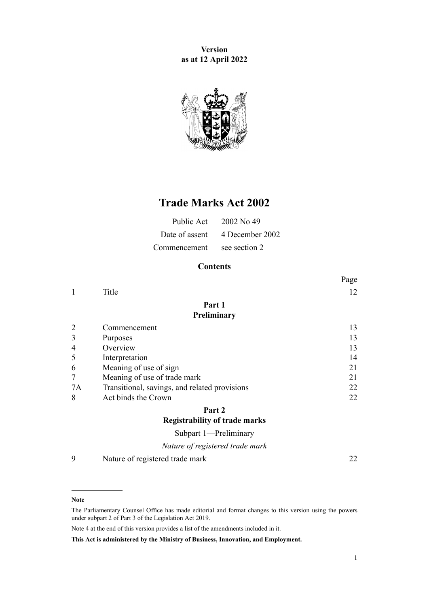**Version as at 12 April 2022**



# **Trade Marks Act 2002**

|                            | Public Act $2002$ No 49        |
|----------------------------|--------------------------------|
|                            | Date of assent 4 December 2002 |
| Commencement see section 2 |                                |

## **Contents**

|    |                                               | Page |
|----|-----------------------------------------------|------|
| 1  | Title                                         | 12   |
|    | Part 1                                        |      |
|    | Preliminary                                   |      |
| 2  | Commencement                                  | 13   |
| 3  | Purposes                                      | 13   |
| 4  | Overview                                      | 13   |
| 5  | Interpretation                                | 14   |
| 6  | Meaning of use of sign                        | 21   |
| 7  | Meaning of use of trade mark                  | 21   |
| 7A | Transitional, savings, and related provisions | 22   |
| 8  | Act binds the Crown                           | 22   |
|    | Part 2                                        |      |
|    | <b>Registrability of trade marks</b>          |      |
|    | Subpart 1-Preliminary                         |      |
|    | Nature of registered trade mark               |      |

[9](#page-21-0) [Nature of registered trade mark](#page-21-0) [22](#page-21-0)

#### **Note**

The Parliamentary Counsel Office has made editorial and format changes to this version using the powers under [subpart 2](http://legislation.govt.nz/pdflink.aspx?id=DLM7298371) of Part 3 of the Legislation Act 2019.

Note 4 at the end of this version provides a list of the amendments included in it.

**This Act is administered by the Ministry of Business, Innovation, and Employment.**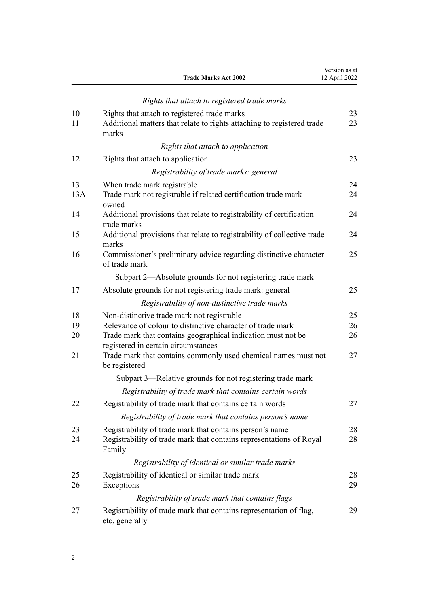|                      | <b>Trade Marks Act 2002</b>                                                                                                                                                                                                                                                                        | Version as at<br>12 April 2022 |
|----------------------|----------------------------------------------------------------------------------------------------------------------------------------------------------------------------------------------------------------------------------------------------------------------------------------------------|--------------------------------|
|                      | Rights that attach to registered trade marks                                                                                                                                                                                                                                                       |                                |
| 10<br>11             | Rights that attach to registered trade marks<br>Additional matters that relate to rights attaching to registered trade<br>marks                                                                                                                                                                    | 23<br>23                       |
|                      | Rights that attach to application                                                                                                                                                                                                                                                                  |                                |
| 12                   | Rights that attach to application                                                                                                                                                                                                                                                                  | 23                             |
|                      | Registrability of trade marks: general                                                                                                                                                                                                                                                             |                                |
| 13<br>13A            | When trade mark registrable<br>Trade mark not registrable if related certification trade mark<br>owned                                                                                                                                                                                             | 24<br>24                       |
| 14                   | Additional provisions that relate to registrability of certification<br>trade marks                                                                                                                                                                                                                | 24                             |
| 15                   | Additional provisions that relate to registrability of collective trade<br>marks                                                                                                                                                                                                                   | 24                             |
| 16                   | Commissioner's preliminary advice regarding distinctive character<br>of trade mark                                                                                                                                                                                                                 | 25                             |
|                      | Subpart 2—Absolute grounds for not registering trade mark                                                                                                                                                                                                                                          |                                |
| 17                   | Absolute grounds for not registering trade mark: general                                                                                                                                                                                                                                           | 25                             |
|                      | Registrability of non-distinctive trade marks                                                                                                                                                                                                                                                      |                                |
| 18<br>19<br>20<br>21 | Non-distinctive trade mark not registrable<br>Relevance of colour to distinctive character of trade mark<br>Trade mark that contains geographical indication must not be<br>registered in certain circumstances<br>Trade mark that contains commonly used chemical names must not<br>be registered | 25<br>26<br>26<br>27           |
|                      | Subpart 3—Relative grounds for not registering trade mark                                                                                                                                                                                                                                          |                                |
|                      | Registrability of trade mark that contains certain words                                                                                                                                                                                                                                           |                                |
| 22                   | Registrability of trade mark that contains certain words<br>Registrability of trade mark that contains person's name                                                                                                                                                                               | 27                             |
| 23<br>24             | Registrability of trade mark that contains person's name<br>Registrability of trade mark that contains representations of Royal<br>Family                                                                                                                                                          | 28<br>28                       |
|                      | Registrability of identical or similar trade marks                                                                                                                                                                                                                                                 |                                |
| 25<br>26             | Registrability of identical or similar trade mark<br>Exceptions                                                                                                                                                                                                                                    | 28<br>29                       |
|                      | Registrability of trade mark that contains flags                                                                                                                                                                                                                                                   |                                |
| 27                   | Registrability of trade mark that contains representation of flag,<br>etc, generally                                                                                                                                                                                                               | 29                             |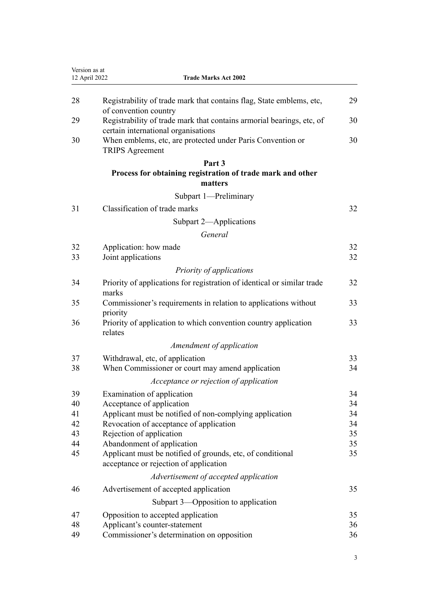| 12 April 2022 | <b>Trade Marks Act 2002</b>                                                                                  |    |
|---------------|--------------------------------------------------------------------------------------------------------------|----|
| 28            | Registrability of trade mark that contains flag, State emblems, etc,<br>of convention country                | 29 |
| 29            | Registrability of trade mark that contains armorial bearings, etc, of<br>certain international organisations | 30 |
| 30            | When emblems, etc, are protected under Paris Convention or<br><b>TRIPS</b> Agreement                         | 30 |
|               | Part 3                                                                                                       |    |
|               | Process for obtaining registration of trade mark and other                                                   |    |
|               | matters                                                                                                      |    |
|               | Subpart 1-Preliminary                                                                                        |    |
| 31            | Classification of trade marks                                                                                | 32 |
|               | Subpart 2-Applications                                                                                       |    |
|               | General                                                                                                      |    |
| 32            | Application: how made                                                                                        | 32 |
| 33            | Joint applications                                                                                           | 32 |
|               | Priority of applications                                                                                     |    |
| 34            | Priority of applications for registration of identical or similar trade                                      | 32 |
|               | marks                                                                                                        |    |
| 35            | Commissioner's requirements in relation to applications without                                              | 33 |
| 36            | priority<br>Priority of application to which convention country application<br>relates                       | 33 |
|               | Amendment of application                                                                                     |    |
| 37            | Withdrawal, etc, of application                                                                              | 33 |
| 38            | When Commissioner or court may amend application                                                             | 34 |
|               | Acceptance or rejection of application                                                                       |    |
| 39            | Examination of application                                                                                   | 34 |
| 40            | Acceptance of application                                                                                    | 34 |
| 41            | Applicant must be notified of non-complying application                                                      | 34 |
| 42            | Revocation of acceptance of application                                                                      | 34 |
| 43            | Rejection of application                                                                                     | 35 |
| 44            | Abandonment of application                                                                                   | 35 |
| 45            | Applicant must be notified of grounds, etc, of conditional<br>acceptance or rejection of application         | 35 |
|               | Advertisement of accepted application                                                                        |    |
| 46            | Advertisement of accepted application                                                                        | 35 |
|               | Subpart 3—Opposition to application                                                                          |    |
| 47            | Opposition to accepted application                                                                           | 35 |
| 48            | Applicant's counter-statement                                                                                | 36 |
| 49            | Commissioner's determination on opposition                                                                   | 36 |
|               |                                                                                                              |    |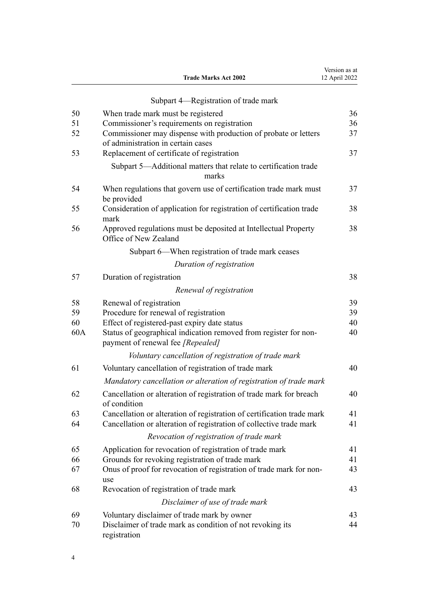|          | <b>Trade Marks Act 2002</b>                                                                           | Version as at<br>12 April 2022 |
|----------|-------------------------------------------------------------------------------------------------------|--------------------------------|
|          | Subpart 4-Registration of trade mark                                                                  |                                |
|          |                                                                                                       | 36                             |
| 50<br>51 | When trade mark must be registered<br>Commissioner's requirements on registration                     | 36                             |
| 52       | Commissioner may dispense with production of probate or letters<br>of administration in certain cases | 37                             |
| 53       | Replacement of certificate of registration                                                            | 37                             |
|          | Subpart 5-Additional matters that relate to certification trade<br>marks                              |                                |
| 54       | When regulations that govern use of certification trade mark must<br>be provided                      | 37                             |
| 55       | Consideration of application for registration of certification trade<br>mark                          | 38                             |
| 56       | Approved regulations must be deposited at Intellectual Property<br>Office of New Zealand              | 38                             |
|          | Subpart 6—When registration of trade mark ceases                                                      |                                |
|          | Duration of registration                                                                              |                                |
| 57       | Duration of registration                                                                              | 38                             |
|          | Renewal of registration                                                                               |                                |
| 58       | Renewal of registration                                                                               | 39                             |
| 59       | Procedure for renewal of registration                                                                 | 39                             |
| 60       | Effect of registered-past expiry date status                                                          | 40                             |
| 60A      | Status of geographical indication removed from register for non-<br>payment of renewal fee [Repealed] | 40                             |
|          | Voluntary cancellation of registration of trade mark                                                  |                                |
| 61       | Voluntary cancellation of registration of trade mark                                                  | 40                             |
|          | Mandatory cancellation or alteration of registration of trade mark                                    |                                |
| 62       | Cancellation or alteration of registration of trade mark for breach<br>of condition                   | 40                             |
| 63       | Cancellation or alteration of registration of certification trade mark                                | 41                             |
| 64       | Cancellation or alteration of registration of collective trade mark                                   | 41                             |
|          | Revocation of registration of trade mark                                                              |                                |
| 65       | Application for revocation of registration of trade mark                                              | 41                             |
| 66       | Grounds for revoking registration of trade mark                                                       | 41                             |
| 67       | Onus of proof for revocation of registration of trade mark for non-<br>use                            | 43                             |
| 68       | Revocation of registration of trade mark                                                              | 43                             |
|          | Disclaimer of use of trade mark                                                                       |                                |
| 69       | Voluntary disclaimer of trade mark by owner                                                           | 43                             |
| 70       | Disclaimer of trade mark as condition of not revoking its<br>registration                             | 44                             |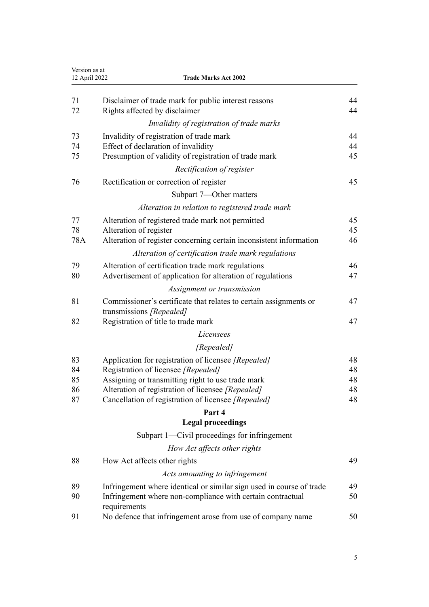| Version as at<br>12 April 2022<br><b>Trade Marks Act 2002</b> |                                                                                          |          |
|---------------------------------------------------------------|------------------------------------------------------------------------------------------|----------|
| 71                                                            | Disclaimer of trade mark for public interest reasons                                     | 44       |
| 72                                                            | Rights affected by disclaimer                                                            | 44       |
|                                                               | Invalidity of registration of trade marks                                                |          |
| 73                                                            | Invalidity of registration of trade mark                                                 | 44       |
| 74                                                            | Effect of declaration of invalidity                                                      | 44       |
| 75                                                            | Presumption of validity of registration of trade mark                                    | 45       |
|                                                               | Rectification of register                                                                |          |
| 76                                                            | Rectification or correction of register                                                  | 45       |
|                                                               | Subpart 7—Other matters                                                                  |          |
|                                                               | Alteration in relation to registered trade mark                                          |          |
| 77                                                            | Alteration of registered trade mark not permitted                                        | 45       |
| 78                                                            | Alteration of register                                                                   | 45       |
| 78A                                                           | Alteration of register concerning certain inconsistent information                       | 46       |
|                                                               | Alteration of certification trade mark regulations                                       |          |
| 79                                                            | Alteration of certification trade mark regulations                                       | 46       |
| 80                                                            | Advertisement of application for alteration of regulations                               | 47       |
|                                                               | Assignment or transmission                                                               |          |
| 81                                                            | Commissioner's certificate that relates to certain assignments or                        | 47       |
|                                                               | transmissions [Repealed]                                                                 |          |
| 82                                                            | Registration of title to trade mark                                                      | 47       |
|                                                               | Licensees                                                                                |          |
|                                                               | [Repealed]                                                                               |          |
| 83                                                            | Application for registration of licensee [Repealed]                                      | 48       |
| 84<br>85                                                      | Registration of licensee [Repealed]<br>Assigning or transmitting right to use trade mark | 48<br>48 |
| 86                                                            | Alteration of registration of licensee [Repealed]                                        | 48       |
| 87                                                            | Cancellation of registration of licensee [Repealed]                                      | 48       |
|                                                               | Part 4                                                                                   |          |
|                                                               | <b>Legal proceedings</b>                                                                 |          |
|                                                               | Subpart 1—Civil proceedings for infringement                                             |          |
|                                                               | How Act affects other rights                                                             |          |
| 88                                                            | How Act affects other rights                                                             | 49       |
|                                                               | Acts amounting to infringement                                                           |          |
| 89                                                            | Infringement where identical or similar sign used in course of trade                     | 49       |
| 90                                                            | Infringement where non-compliance with certain contractual<br>requirements               | 50       |
| 91                                                            | No defence that infringement arose from use of company name                              | 50       |
|                                                               |                                                                                          |          |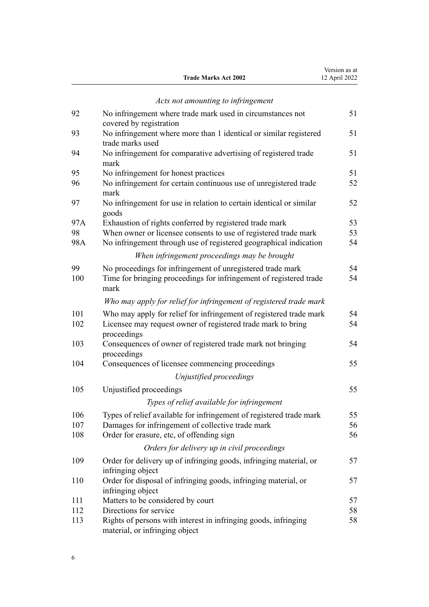|     | <b>Trade Marks Act 2002</b>                                                                       | 12 April 2022 |
|-----|---------------------------------------------------------------------------------------------------|---------------|
|     | Acts not amounting to infringement                                                                |               |
| 92  | No infringement where trade mark used in circumstances not                                        | 51            |
|     | covered by registration                                                                           |               |
| 93  | No infringement where more than 1 identical or similar registered<br>trade marks used             | 51            |
| 94  | No infringement for comparative advertising of registered trade<br>mark                           | 51            |
| 95  | No infringement for honest practices                                                              | 51            |
| 96  | No infringement for certain continuous use of unregistered trade<br>mark                          | 52            |
| 97  | No infringement for use in relation to certain identical or similar<br>goods                      | 52            |
| 97A | Exhaustion of rights conferred by registered trade mark                                           | 53            |
| 98  | When owner or licensee consents to use of registered trade mark                                   | 53            |
| 98A | No infringement through use of registered geographical indication                                 | 54            |
|     | When infringement proceedings may be brought                                                      |               |
| 99  | No proceedings for infringement of unregistered trade mark                                        | 54            |
| 100 | Time for bringing proceedings for infringement of registered trade<br>mark                        | 54            |
|     | Who may apply for relief for infringement of registered trade mark                                |               |
| 101 | Who may apply for relief for infringement of registered trade mark                                | 54            |
| 102 | Licensee may request owner of registered trade mark to bring<br>proceedings                       | 54            |
| 103 | Consequences of owner of registered trade mark not bringing<br>proceedings                        | 54            |
| 104 | Consequences of licensee commencing proceedings                                                   | 55            |
|     | Unjustified proceedings                                                                           |               |
| 105 | Unjustified proceedings                                                                           | 55            |
|     | Types of relief available for infringement                                                        |               |
| 106 | Types of relief available for infringement of registered trade mark                               | 55            |
| 107 | Damages for infringement of collective trade mark                                                 | 56            |
| 108 | Order for erasure, etc, of offending sign                                                         | 56            |
|     | Orders for delivery up in civil proceedings                                                       |               |
| 109 | Order for delivery up of infringing goods, infringing material, or                                | 57            |
|     | infringing object                                                                                 |               |
| 110 | Order for disposal of infringing goods, infringing material, or<br>infringing object              | 57            |
| 111 | Matters to be considered by court                                                                 | 57            |
| 112 | Directions for service                                                                            | 58            |
| 113 | Rights of persons with interest in infringing goods, infringing<br>material, or infringing object | 58            |

Version as at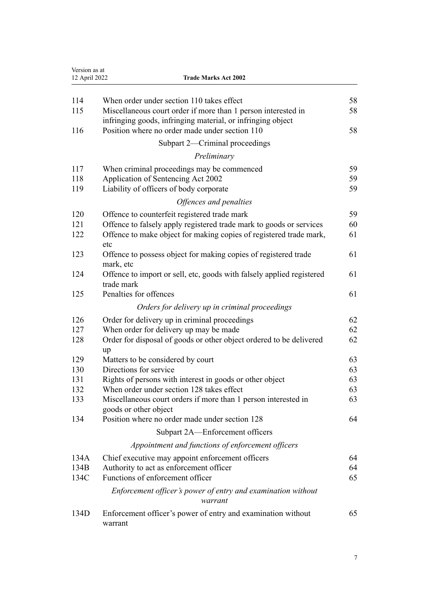| 12 April 2022 | <b>Trade Marks Act 2002</b>                                                                                                  |  |
|---------------|------------------------------------------------------------------------------------------------------------------------------|--|
| 114           | When order under section 110 takes effect                                                                                    |  |
| 115           | Miscellaneous court order if more than 1 person interested in<br>infringing goods, infringing material, or infringing object |  |
| 116           | Position where no order made under section 110                                                                               |  |
|               | Subpart 2—Criminal proceedings                                                                                               |  |
|               | Preliminary                                                                                                                  |  |
| 117           | When criminal proceedings may be commenced                                                                                   |  |
| 118           | Application of Sentencing Act 2002                                                                                           |  |
| 119           | Liability of officers of body corporate                                                                                      |  |
|               | Offences and penalties                                                                                                       |  |
| 120           | Offence to counterfeit registered trade mark                                                                                 |  |
| 121           | Offence to falsely apply registered trade mark to goods or services                                                          |  |
| 122           | Offence to make object for making copies of registered trade mark,<br>etc                                                    |  |
| 123           | Offence to possess object for making copies of registered trade<br>mark, etc                                                 |  |
| 124           | Offence to import or sell, etc, goods with falsely applied registered<br>trade mark                                          |  |
| 125           | Penalties for offences                                                                                                       |  |
|               | Orders for delivery up in criminal proceedings                                                                               |  |
| 126           | Order for delivery up in criminal proceedings                                                                                |  |
| 127           | When order for delivery up may be made                                                                                       |  |
| 128           | Order for disposal of goods or other object ordered to be delivered<br>up                                                    |  |
| 129           | Matters to be considered by court                                                                                            |  |
| 130           | Directions for service                                                                                                       |  |
| 131           | Rights of persons with interest in goods or other object                                                                     |  |
| 132<br>133    | When order under section 128 takes effect                                                                                    |  |
|               | Miscellaneous court orders if more than 1 person interested in<br>goods or other object                                      |  |
| 134           | Position where no order made under section 128                                                                               |  |
|               | Subpart 2A-Enforcement officers                                                                                              |  |
|               | Appointment and functions of enforcement officers                                                                            |  |
| 134A          | Chief executive may appoint enforcement officers                                                                             |  |
| 134B          | Authority to act as enforcement officer                                                                                      |  |
| 134C          | Functions of enforcement officer                                                                                             |  |
|               | Enforcement officer's power of entry and examination without<br>warrant                                                      |  |
| 134D          | Enforcement officer's power of entry and examination without                                                                 |  |
|               | warrant                                                                                                                      |  |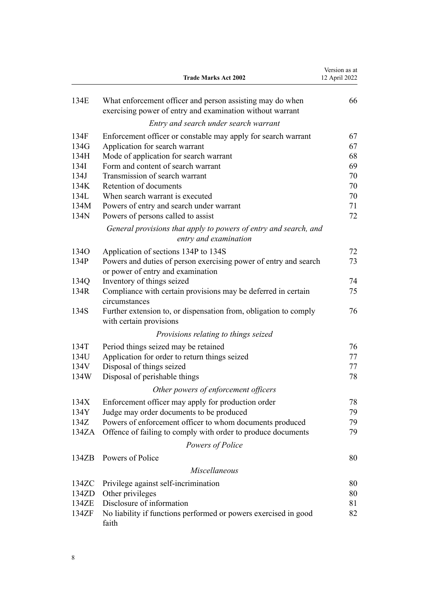|       | <b>Trade Marks Act 2002</b>                                                                                            | Version as at<br>12 April 2022 |
|-------|------------------------------------------------------------------------------------------------------------------------|--------------------------------|
| 134E  | What enforcement officer and person assisting may do when<br>exercising power of entry and examination without warrant | 66                             |
|       | Entry and search under search warrant                                                                                  |                                |
| 134F  | Enforcement officer or constable may apply for search warrant                                                          | 67                             |
| 134G  | Application for search warrant                                                                                         | 67                             |
| 134H  | Mode of application for search warrant                                                                                 | 68                             |
| 134I  | Form and content of search warrant                                                                                     | 69                             |
| 134J  | Transmission of search warrant                                                                                         | 70                             |
| 134K  | Retention of documents                                                                                                 | 70                             |
| 134L  | When search warrant is executed                                                                                        | 70                             |
| 134M  | Powers of entry and search under warrant                                                                               | 71                             |
| 134N  | Powers of persons called to assist                                                                                     | 72                             |
|       | General provisions that apply to powers of entry and search, and<br>entry and examination                              |                                |
| 134O  | Application of sections 134P to 134S                                                                                   | 72                             |
| 134P  | Powers and duties of person exercising power of entry and search<br>or power of entry and examination                  | 73                             |
| 134Q  | Inventory of things seized                                                                                             | 74                             |
| 134R  | Compliance with certain provisions may be deferred in certain<br>circumstances                                         | 75                             |
| 134S  | Further extension to, or dispensation from, obligation to comply<br>with certain provisions                            | 76                             |
|       | Provisions relating to things seized                                                                                   |                                |
| 134T  | Period things seized may be retained                                                                                   | 76                             |
| 134U  | Application for order to return things seized                                                                          | 77                             |
| 134V  | Disposal of things seized                                                                                              | 77                             |
| 134W  | Disposal of perishable things                                                                                          | 78                             |
|       | Other powers of enforcement officers                                                                                   |                                |
| 134X  | Enforcement officer may apply for production order                                                                     | 78                             |
| 134Y  | Judge may order documents to be produced                                                                               | 79                             |
| 134Z  | Powers of enforcement officer to whom documents produced                                                               | 79                             |
| 134ZA | Offence of failing to comply with order to produce documents                                                           | 79                             |
|       |                                                                                                                        |                                |
|       | Powers of Police                                                                                                       |                                |
| 134ZB | Powers of Police                                                                                                       | 80                             |
|       | Miscellaneous                                                                                                          |                                |
| 134ZC | Privilege against self-incrimination                                                                                   | 80                             |
| 134ZD | Other privileges                                                                                                       | 80                             |
| 134ZE | Disclosure of information                                                                                              | 81                             |
| 134ZF | No liability if functions performed or powers exercised in good<br>faith                                               | 82                             |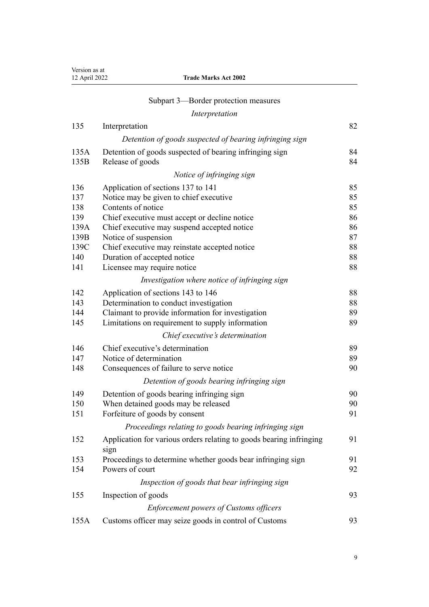| Version as at<br>12 April 2022 | <b>Trade Marks Act 2002</b>                                                 |          |
|--------------------------------|-----------------------------------------------------------------------------|----------|
|                                | Subpart 3—Border protection measures                                        |          |
|                                | Interpretation                                                              |          |
| 135                            | Interpretation                                                              | 82       |
|                                | Detention of goods suspected of bearing infringing sign                     |          |
| 135A                           | Detention of goods suspected of bearing infringing sign                     | 84       |
| 135B                           | Release of goods                                                            | 84       |
|                                | Notice of infringing sign                                                   |          |
| 136                            | Application of sections 137 to 141                                          | 85       |
| 137                            | Notice may be given to chief executive                                      | 85       |
| 138                            | Contents of notice                                                          | 85       |
| 139                            | Chief executive must accept or decline notice                               | 86       |
| 139A                           | Chief executive may suspend accepted notice                                 | 86       |
| 139B                           | Notice of suspension                                                        | 87       |
| 139C                           | Chief executive may reinstate accepted notice                               | 88       |
| 140                            | Duration of accepted notice                                                 | 88       |
| 141                            | Licensee may require notice                                                 | 88       |
|                                | Investigation where notice of infringing sign                               |          |
| 142                            | Application of sections 143 to 146                                          | 88       |
| 143                            | Determination to conduct investigation                                      | 88       |
| 144<br>145                     | Claimant to provide information for investigation                           | 89<br>89 |
|                                | Limitations on requirement to supply information                            |          |
|                                | Chief executive's determination                                             |          |
| 146                            | Chief executive's determination<br>Notice of determination                  | 89       |
| 147<br>148                     |                                                                             | 89<br>90 |
|                                | Consequences of failure to serve notice                                     |          |
|                                | Detention of goods bearing infringing sign                                  |          |
| 149                            | Detention of goods bearing infringing sign                                  | 90       |
| 150<br>151                     | When detained goods may be released<br>Forfeiture of goods by consent       | 90<br>91 |
|                                | Proceedings relating to goods bearing infringing sign                       |          |
|                                |                                                                             |          |
| 152                            | Application for various orders relating to goods bearing infringing<br>sign | 91       |
| 153                            | Proceedings to determine whether goods bear infringing sign                 | 91       |
| 154                            | Powers of court                                                             | 92       |
|                                | Inspection of goods that bear infringing sign                               |          |
| 155                            | Inspection of goods                                                         | 93       |
|                                | <b>Enforcement powers of Customs officers</b>                               |          |
| 155A                           | Customs officer may seize goods in control of Customs                       | 93       |
|                                |                                                                             |          |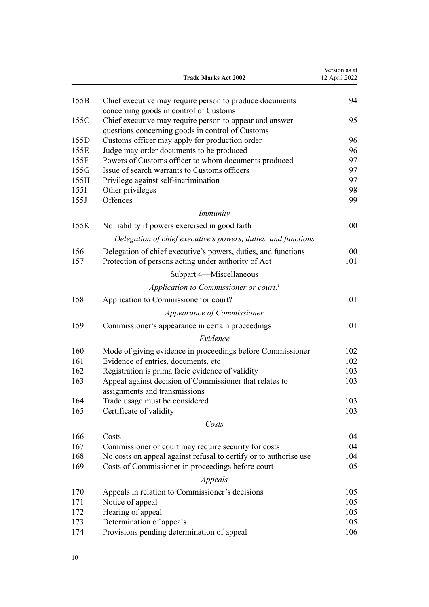|      | <b>Trade Marks Act 2002</b>                                         | Version as at<br>12 April 2022 |
|------|---------------------------------------------------------------------|--------------------------------|
| 155B | Chief executive may require person to produce documents             | 94                             |
|      | concerning goods in control of Customs                              |                                |
| 155C | Chief executive may require person to appear and answer             | 95                             |
|      | questions concerning goods in control of Customs                    |                                |
| 155D | Customs officer may apply for production order                      | 96                             |
| 155E | Judge may order documents to be produced                            | 96                             |
| 155F | Powers of Customs officer to whom documents produced                | 97                             |
| 155G | Issue of search warrants to Customs officers                        | 97                             |
| 155H | Privilege against self-incrimination                                | 97                             |
| 155I | Other privileges                                                    | 98                             |
| 155J | Offences                                                            | 99                             |
|      | <i>Immunity</i>                                                     |                                |
| 155K | No liability if powers exercised in good faith                      | 100                            |
|      | Delegation of chief executive's powers, duties, and functions       |                                |
| 156  | Delegation of chief executive's powers, duties, and functions       | 100                            |
| 157  | Protection of persons acting under authority of Act                 | 101                            |
|      | Subpart 4-Miscellaneous                                             |                                |
|      | Application to Commissioner or court?                               |                                |
| 158  | Application to Commissioner or court?                               | 101                            |
|      | Appearance of Commissioner                                          |                                |
| 159  | Commissioner's appearance in certain proceedings                    | 101                            |
|      | Evidence                                                            |                                |
| 160  | Mode of giving evidence in proceedings before Commissioner          | 102                            |
| 161  | Evidence of entries, documents, etc                                 | 102                            |
| 162  | Registration is prima facie evidence of validity                    | 103                            |
| 163  | Appeal against decision of Commissioner that relates to             | 103                            |
|      | assignments and transmissions                                       |                                |
| 164  | Trade usage must be considered                                      | 103                            |
| 165  | Certificate of validity                                             | 103                            |
|      | Costs                                                               |                                |
| 166  | Costs                                                               | 104                            |
| 167  | Commissioner or court may require security for costs                | 104                            |
| 168  | No costs on appeal against refusal to certify or to authorise use   | 104                            |
| 169  | Costs of Commissioner in proceedings before court                   | 105                            |
|      | <i>Appeals</i>                                                      |                                |
| 170  |                                                                     | 105                            |
| 171  | Appeals in relation to Commissioner's decisions<br>Notice of appeal | 105                            |
|      |                                                                     | 105                            |
| 172  | Hearing of appeal                                                   |                                |
| 173  | Determination of appeals                                            | 105                            |
| 174  | Provisions pending determination of appeal                          | 106                            |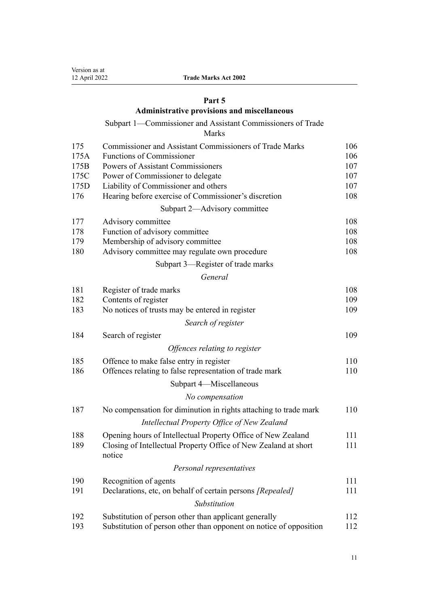# **[Part 5](#page-105-0)**

# **[Administrative provisions and miscellaneous](#page-105-0)**

# [Subpart 1—Commissioner and Assistant Commissioners of Trade](#page-105-0)

[Marks](#page-105-0)

| 175  | Commissioner and Assistant Commissioners of Trade Marks                   | 106 |
|------|---------------------------------------------------------------------------|-----|
| 175A | <b>Functions of Commissioner</b>                                          | 106 |
| 175B | Powers of Assistant Commissioners                                         | 107 |
| 175C | Power of Commissioner to delegate                                         | 107 |
| 175D | Liability of Commissioner and others                                      | 107 |
| 176  | Hearing before exercise of Commissioner's discretion                      | 108 |
|      | Subpart 2-Advisory committee                                              |     |
| 177  | Advisory committee                                                        | 108 |
| 178  | Function of advisory committee                                            | 108 |
| 179  | Membership of advisory committee                                          | 108 |
| 180  | Advisory committee may regulate own procedure                             | 108 |
|      | Subpart 3—Register of trade marks                                         |     |
|      | General                                                                   |     |
| 181  | Register of trade marks                                                   | 108 |
| 182  | Contents of register                                                      | 109 |
| 183  | No notices of trusts may be entered in register                           | 109 |
|      | Search of register                                                        |     |
| 184  | Search of register                                                        | 109 |
|      | Offences relating to register                                             |     |
| 185  | Offence to make false entry in register                                   | 110 |
| 186  | Offences relating to false representation of trade mark                   | 110 |
|      | Subpart 4-Miscellaneous                                                   |     |
|      | No compensation                                                           |     |
| 187  | No compensation for diminution in rights attaching to trade mark          | 110 |
|      | Intellectual Property Office of New Zealand                               |     |
| 188  | Opening hours of Intellectual Property Office of New Zealand              | 111 |
| 189  | Closing of Intellectual Property Office of New Zealand at short<br>notice | 111 |
|      | Personal representatives                                                  |     |
| 190  | Recognition of agents                                                     | 111 |
| 191  | Declarations, etc, on behalf of certain persons [Repealed]                | 111 |
|      | Substitution                                                              |     |
| 192  | Substitution of person other than applicant generally                     | 112 |
| 193  | Substitution of person other than opponent on notice of opposition        | 112 |
|      |                                                                           |     |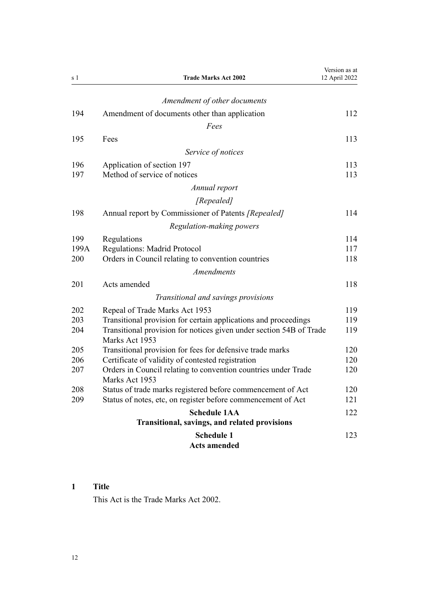<span id="page-11-0"></span>

| s 1        | <b>Trade Marks Act 2002</b>                                                           | Version as at<br>12 April 2022 |
|------------|---------------------------------------------------------------------------------------|--------------------------------|
|            | Amendment of other documents                                                          |                                |
| 194        | Amendment of documents other than application                                         | 112                            |
|            | Fees                                                                                  |                                |
| 195        | Fees                                                                                  | 113                            |
|            | Service of notices                                                                    |                                |
|            |                                                                                       |                                |
| 196<br>197 | Application of section 197<br>Method of service of notices                            | 113<br>113                     |
|            |                                                                                       |                                |
|            | Annual report                                                                         |                                |
|            | [Repealed]                                                                            |                                |
| 198        | Annual report by Commissioner of Patents [Repealed]                                   | 114                            |
|            | Regulation-making powers                                                              |                                |
| 199        | Regulations                                                                           | 114                            |
| 199A       | <b>Regulations: Madrid Protocol</b>                                                   | 117                            |
| 200        | Orders in Council relating to convention countries                                    | 118                            |
|            | <b>Amendments</b>                                                                     |                                |
| 201        | Acts amended                                                                          | 118                            |
|            | Transitional and savings provisions                                                   |                                |
| 202        | Repeal of Trade Marks Act 1953                                                        | 119                            |
| 203        | Transitional provision for certain applications and proceedings                       | 119                            |
| 204        | Transitional provision for notices given under section 54B of Trade<br>Marks Act 1953 | 119                            |
| 205        | Transitional provision for fees for defensive trade marks                             | 120                            |
| 206        | Certificate of validity of contested registration                                     | 120                            |
| 207        | Orders in Council relating to convention countries under Trade<br>Marks Act 1953      | 120                            |
| 208        | Status of trade marks registered before commencement of Act                           | 120                            |
| 209        | Status of notes, etc, on register before commencement of Act                          | 121                            |
|            | <b>Schedule 1AA</b><br>Transitional, savings, and related provisions                  | 122                            |
|            | <b>Schedule 1</b><br><b>Acts amended</b>                                              | 123                            |

## **1 Title**

This Act is the Trade Marks Act 2002.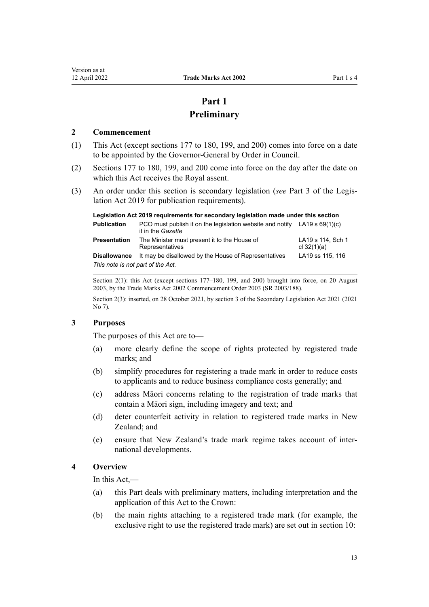# **Part 1 Preliminary**

#### <span id="page-12-0"></span>**2 Commencement**

- (1) This Act (except [sections 177 to 180,](#page-107-0) [199](#page-113-0), and [200](#page-117-0)) comes into force on a date to be appointed by the Governor-General by Order in Council.
- (2) [Sections 177 to 180,](#page-107-0) [199](#page-113-0), and [200](#page-117-0) come into force on the day after the date on which this Act receives the Royal assent.
- (3) An order under this section is secondary legislation (*see* [Part 3](http://legislation.govt.nz/pdflink.aspx?id=DLM7298343) of the Legis‐ lation Act 2019 for publication requirements).

| Legislation Act 2019 requirements for secondary legislation made under this section |                                                                                                  |                                    |  |  |  |
|-------------------------------------------------------------------------------------|--------------------------------------------------------------------------------------------------|------------------------------------|--|--|--|
| <b>Publication</b>                                                                  | PCO must publish it on the legislation website and notify LA19 s $69(1)(c)$<br>it in the Gazette |                                    |  |  |  |
| <b>Presentation</b>                                                                 | The Minister must present it to the House of<br>Representatives                                  | LA19 s 114, Sch 1<br>cl $32(1)(a)$ |  |  |  |
| <b>Disallowance</b>                                                                 | It may be disallowed by the House of Representatives                                             | LA19 ss 115, 116                   |  |  |  |
| This note is not part of the Act.                                                   |                                                                                                  |                                    |  |  |  |

Section 2(1): this Act (except sections 177–180, 199, and 200) brought into force, on 20 August 2003, by the Trade Marks Act 2002 Commencement Order 2003 (SR 2003/188).

Section 2(3): inserted, on 28 October 2021, by [section 3](http://legislation.govt.nz/pdflink.aspx?id=LMS268932) of the Secondary Legislation Act 2021 (2021 No 7).

#### **3 Purposes**

The purposes of this Act are to—

- (a) more clearly define the scope of rights protected by registered trade marks; and
- (b) simplify procedures for registering a trade mark in order to reduce costs to applicants and to reduce business compliance costs generally; and
- (c) address Māori concerns relating to the registration of trade marks that contain a Māori sign, including imagery and text; and
- (d) deter counterfeit activity in relation to registered trade marks in New Zealand; and
- (e) ensure that New Zealand's trade mark regime takes account of inter‐ national developments.

#### **4 Overview**

In this Act,—

- (a) this Part deals with preliminary matters, including interpretation and the application of this Act to the Crown:
- (b) the main rights attaching to a registered trade mark (for example, the exclusive right to use the registered trade mark) are set out in [section 10](#page-22-0):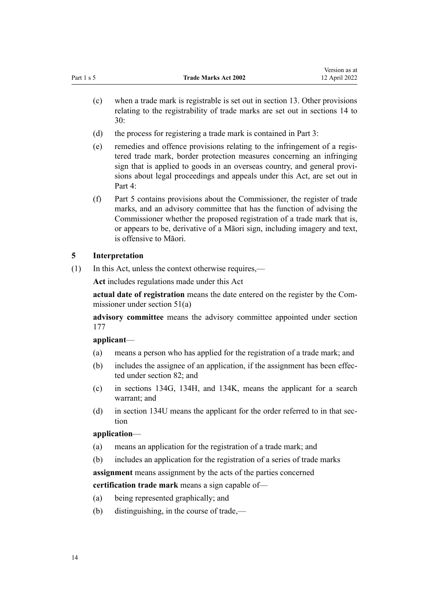- <span id="page-13-0"></span>(c) when a trade mark is registrable is set out in [section 13](#page-23-0). Other provisions relating to the registrability of trade marks are set out in [sections 14 to](#page-23-0) [30:](#page-23-0)
- (d) the process for registering a trade mark is contained in [Part 3](#page-30-0):
- (e) remedies and offence provisions relating to the infringement of a regis‐ tered trade mark, border protection measures concerning an infringing sign that is applied to goods in an overseas country, and general provi‐ sions about legal proceedings and appeals under this Act, are set out in [Part 4](#page-48-0):
- (f) [Part 5](#page-105-0) contains provisions about the Commissioner, the register of trade marks, and an advisory committee that has the function of advising the Commissioner whether the proposed registration of a trade mark that is, or appears to be, derivative of a Māori sign, including imagery and text, is offensive to Māori.

## **5 Interpretation**

(1) In this Act, unless the context otherwise requires,—

**Act** includes regulations made under this Act

**actual date of registration** means the date entered on the register by the Com‐ missioner under [section 51\(a\)](#page-35-0)

**advisory committee** means the advisory committee appointed under [section](#page-107-0) [177](#page-107-0)

## **applicant**—

- (a) means a person who has applied for the registration of a trade mark; and
- (b) includes the assignee of an application, if the assignment has been effected under [section 82](#page-46-0); and
- (c) in [sections 134G,](#page-66-0) [134H](#page-67-0), and [134K](#page-69-0), means the applicant for a search warrant; and
- (d) in [section 134U](#page-76-0) means the applicant for the order referred to in that section

## **application**—

- (a) means an application for the registration of a trade mark; and
- (b) includes an application for the registration of a series of trade marks

**assignment** means assignment by the acts of the parties concerned

**certification trade mark** means a sign capable of—

- (a) being represented graphically; and
- (b) distinguishing, in the course of trade,—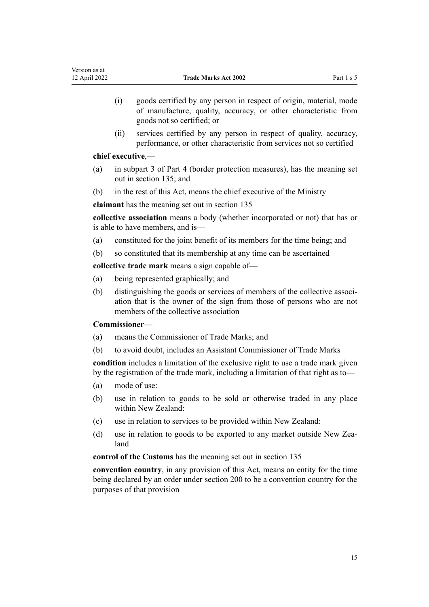- (i) goods certified by any person in respect of origin, material, mode of manufacture, quality, accuracy, or other characteristic from goods not so certified; or
- (ii) services certified by any person in respect of quality, accuracy, performance, or other characteristic from services not so certified

## **chief executive**,—

- (a) in [subpart 3](#page-81-0) of Part 4 (border protection measures), has the meaning set out in [section 135](#page-81-0); and
- (b) in the rest of this Act, means the chief executive of the Ministry

**claimant** has the meaning set out in [section 135](#page-81-0)

**collective association** means a body (whether incorporated or not) that has or is able to have members, and is—

- (a) constituted for the joint benefit of its members for the time being; and
- (b) so constituted that its membership at any time can be ascertained

**collective trade mark** means a sign capable of—

- (a) being represented graphically; and
- (b) distinguishing the goods or services of members of the collective association that is the owner of the sign from those of persons who are not members of the collective association

## **Commissioner**—

- (a) means the Commissioner of Trade Marks; and
- (b) to avoid doubt, includes an Assistant Commissioner of Trade Marks

**condition** includes a limitation of the exclusive right to use a trade mark given by the registration of the trade mark, including a limitation of that right as to—

- (a) mode of use:
- (b) use in relation to goods to be sold or otherwise traded in any place within New Zealand:
- (c) use in relation to services to be provided within New Zealand:
- (d) use in relation to goods to be exported to any market outside New Zealand

**control of the Customs** has the meaning set out in [section 135](#page-81-0)

**convention country**, in any provision of this Act, means an entity for the time being declared by an order under [section 200](#page-117-0) to be a convention country for the purposes of that provision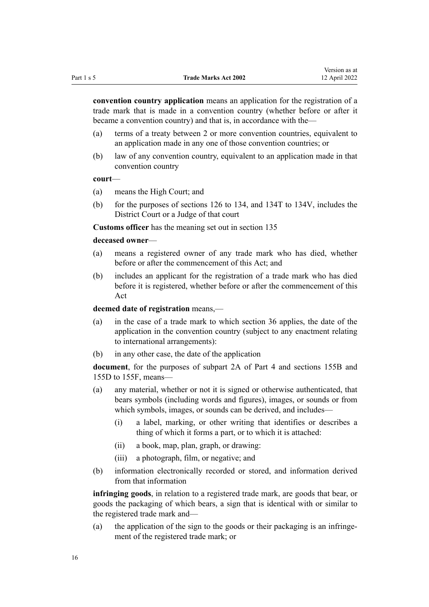**convention country application** means an application for the registration of a trade mark that is made in a convention country (whether before or after it became a convention country) and that is, in accordance with the—

- (a) terms of a treaty between 2 or more convention countries, equivalent to an application made in any one of those convention countries; or
- (b) law of any convention country, equivalent to an application made in that convention country

#### **court**—

- (a) means the High Court; and
- (b) for the purposes of [sections 126 to 134,](#page-61-0) and [134T to 134V,](#page-75-0) includes the District Court or a Judge of that court

**Customs officer** has the meaning set out in [section 135](#page-81-0)

## **deceased owner**—

- (a) means a registered owner of any trade mark who has died, whether before or after the commencement of this Act; and
- (b) includes an applicant for the registration of a trade mark who has died before it is registered, whether before or after the commencement of this Act

#### **deemed date of registration** means,—

- (a) in the case of a trade mark to which [section 36](#page-32-0) applies, the date of the application in the convention country (subject to any enactment relating to international arrangements):
- (b) in any other case, the date of the application

**document**, for the purposes of [subpart 2A](#page-63-0) of Part 4 and [sections 155B](#page-93-0) and [155D to 155F](#page-95-0), means—

- (a) any material, whether or not it is signed or otherwise authenticated, that bears symbols (including words and figures), images, or sounds or from which symbols, images, or sounds can be derived, and includes—
	- (i) a label, marking, or other writing that identifies or describes a thing of which it forms a part, or to which it is attached:
	- (ii) a book, map, plan, graph, or drawing:
	- (iii) a photograph, film, or negative; and
- (b) information electronically recorded or stored, and information derived from that information

**infringing goods**, in relation to a registered trade mark, are goods that bear, or goods the packaging of which bears, a sign that is identical with or similar to the registered trade mark and—

(a) the application of the sign to the goods or their packaging is an infringement of the registered trade mark; or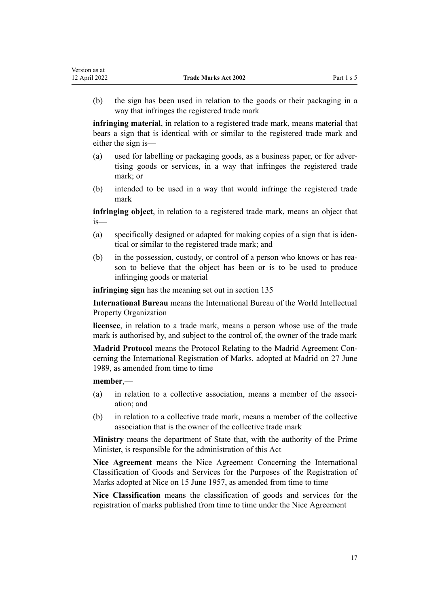(b) the sign has been used in relation to the goods or their packaging in a way that infringes the registered trade mark

**infringing material**, in relation to a registered trade mark, means material that bears a sign that is identical with or similar to the registered trade mark and either the sign is—

- (a) used for labelling or packaging goods, as a business paper, or for adver‐ tising goods or services, in a way that infringes the registered trade mark; or
- (b) intended to be used in a way that would infringe the registered trade mark

**infringing object**, in relation to a registered trade mark, means an object that is—

- (a) specifically designed or adapted for making copies of a sign that is iden‐ tical or similar to the registered trade mark; and
- (b) in the possession, custody, or control of a person who knows or has reason to believe that the object has been or is to be used to produce infringing goods or material

**infringing sign** has the meaning set out in [section 135](#page-81-0)

**International Bureau** means the International Bureau of the World Intellectual Property Organization

**licensee**, in relation to a trade mark, means a person whose use of the trade mark is authorised by, and subject to the control of, the owner of the trade mark

**Madrid Protocol** means the Protocol Relating to the Madrid Agreement Con‐ cerning the International Registration of Marks, adopted at Madrid on 27 June 1989, as amended from time to time

#### **member**,—

- (a) in relation to a collective association, means a member of the association; and
- (b) in relation to a collective trade mark, means a member of the collective association that is the owner of the collective trade mark

**Ministry** means the department of State that, with the authority of the Prime Minister, is responsible for the administration of this Act

**Nice Agreement** means the Nice Agreement Concerning the International Classification of Goods and Services for the Purposes of the Registration of Marks adopted at Nice on 15 June 1957, as amended from time to time

**Nice Classification** means the classification of goods and services for the registration of marks published from time to time under the Nice Agreement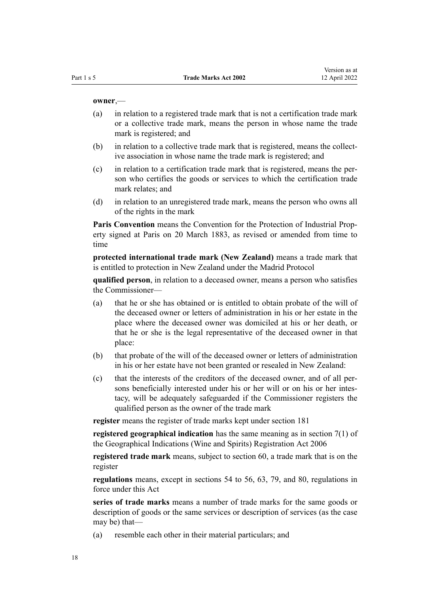#### **owner**,—

- (a) in relation to a registered trade mark that is not a certification trade mark or a collective trade mark, means the person in whose name the trade mark is registered; and
- (b) in relation to a collective trade mark that is registered, means the collective association in whose name the trade mark is registered; and
- (c) in relation to a certification trade mark that is registered, means the per‐ son who certifies the goods or services to which the certification trade mark relates; and
- (d) in relation to an unregistered trade mark, means the person who owns all of the rights in the mark

Paris Convention means the Convention for the Protection of Industrial Property signed at Paris on 20 March 1883, as revised or amended from time to time

**protected international trade mark (New Zealand)** means a trade mark that is entitled to protection in New Zealand under the Madrid Protocol

**qualified person**, in relation to a deceased owner, means a person who satisfies the Commissioner—

- (a) that he or she has obtained or is entitled to obtain probate of the will of the deceased owner or letters of administration in his or her estate in the place where the deceased owner was domiciled at his or her death, or that he or she is the legal representative of the deceased owner in that place:
- (b) that probate of the will of the deceased owner or letters of administration in his or her estate have not been granted or resealed in New Zealand:
- (c) that the interests of the creditors of the deceased owner, and of all per‐ sons beneficially interested under his or her will or on his or her intestacy, will be adequately safeguarded if the Commissioner registers the qualified person as the owner of the trade mark

**register** means the register of trade marks kept under [section 181](#page-107-0)

**registered geographical indication** has the same meaning as in [section 7\(1\)](http://legislation.govt.nz/pdflink.aspx?id=DLM390819) of the Geographical Indications (Wine and Spirits) Registration Act 2006

**registered trade mark** means, subject to [section 60,](#page-39-0) a trade mark that is on the register

**regulations** means, except in [sections 54 to 56,](#page-36-0) [63,](#page-40-0) [79](#page-45-0), and [80,](#page-46-0) regulations in force under this Act

**series of trade marks** means a number of trade marks for the same goods or description of goods or the same services or description of services (as the case may be) that—

(a) resemble each other in their material particulars; and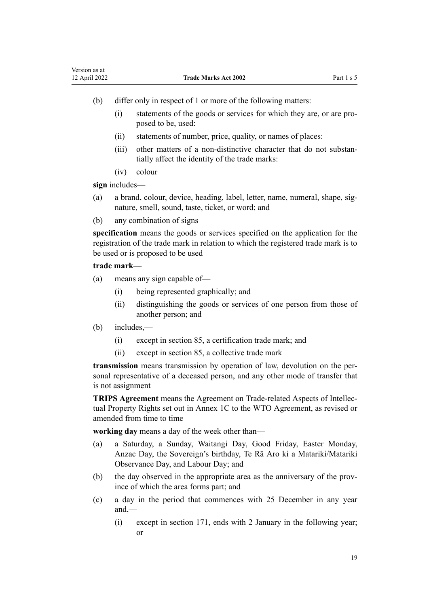- (b) differ only in respect of 1 or more of the following matters:
	- (i) statements of the goods or services for which they are, or are pro‐ posed to be, used:
	- (ii) statements of number, price, quality, or names of places:
	- (iii) other matters of a non-distinctive character that do not substantially affect the identity of the trade marks:
	- (iv) colour

**sign** includes—

- (a) a brand, colour, device, heading, label, letter, name, numeral, shape, sig‐ nature, smell, sound, taste, ticket, or word; and
- (b) any combination of signs

**specification** means the goods or services specified on the application for the registration of the trade mark in relation to which the registered trade mark is to be used or is proposed to be used

## **trade mark**—

- (a) means any sign capable of—
	- (i) being represented graphically; and
	- (ii) distinguishing the goods or services of one person from those of another person; and
- (b) includes,—
	- (i) except in [section 85,](#page-47-0) a certification trade mark; and
	- (ii) except in [section 85,](#page-47-0) a collective trade mark

**transmission** means transmission by operation of law, devolution on the per‐ sonal representative of a deceased person, and any other mode of transfer that is not assignment

**TRIPS Agreement** means the Agreement on Trade-related Aspects of Intellec‐ tual Property Rights set out in Annex 1C to the WTO Agreement, as revised or amended from time to time

**working day** means a day of the week other than—

- (a) a Saturday, a Sunday, Waitangi Day, Good Friday, Easter Monday, Anzac Day, the Sovereign's birthday, Te Rā Aro ki a Matariki/Matariki Observance Day, and Labour Day; and
- (b) the day observed in the appropriate area as the anniversary of the province of which the area forms part; and
- (c) a day in the period that commences with 25 December in any year and,—
	- (i) except in [section 171](#page-104-0), ends with 2 January in the following year; or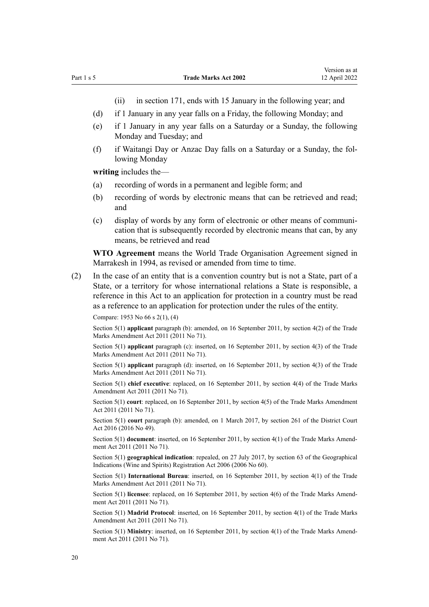- (ii) in [section 171,](#page-104-0) ends with 15 January in the following year; and
- (d) if 1 January in any year falls on a Friday, the following Monday; and
- (e) if 1 January in any year falls on a Saturday or a Sunday, the following Monday and Tuesday; and
- (f) if Waitangi Day or Anzac Day falls on a Saturday or a Sunday, the fol‐ lowing Monday

**writing** includes the—

- (a) recording of words in a permanent and legible form; and
- (b) recording of words by electronic means that can be retrieved and read; and
- (c) display of words by any form of electronic or other means of communi‐ cation that is subsequently recorded by electronic means that can, by any means, be retrieved and read

**WTO Agreement** means the World Trade Organisation Agreement signed in Marrakesh in 1994, as revised or amended from time to time.

(2) In the case of an entity that is a convention country but is not a State, part of a State, or a territory for whose international relations a State is responsible, a reference in this Act to an application for protection in a country must be read as a reference to an application for protection under the rules of the entity.

Compare: 1953 No 66 s 2(1), (4)

Section 5(1) **applicant** paragraph (b): amended, on 16 September 2011, by [section 4\(2\)](http://legislation.govt.nz/pdflink.aspx?id=DLM2290008) of the Trade Marks Amendment Act 2011 (2011 No 71).

Section 5(1) **applicant** paragraph (c): inserted, on 16 September 2011, by [section 4\(3\)](http://legislation.govt.nz/pdflink.aspx?id=DLM2290008) of the Trade Marks Amendment Act 2011 (2011 No 71).

Section 5(1) **applicant** paragraph (d): inserted, on 16 September 2011, by [section 4\(3\)](http://legislation.govt.nz/pdflink.aspx?id=DLM2290008) of the Trade Marks Amendment Act 2011 (2011 No 71).

Section 5(1) **chief executive**: replaced, on 16 September 2011, by [section 4\(4\)](http://legislation.govt.nz/pdflink.aspx?id=DLM2290008) of the Trade Marks Amendment Act 2011 (2011 No 71).

Section 5(1) **court**: replaced, on 16 September 2011, by [section 4\(5\)](http://legislation.govt.nz/pdflink.aspx?id=DLM2290008) of the Trade Marks Amendment Act 2011 (2011 No 71).

Section 5(1) **court** paragraph (b): amended, on 1 March 2017, by [section 261](http://legislation.govt.nz/pdflink.aspx?id=DLM6942680) of the District Court Act 2016 (2016 No 49).

Section 5(1) **document**: inserted, on 16 September 2011, by [section 4\(1\)](http://legislation.govt.nz/pdflink.aspx?id=DLM2290008) of the Trade Marks Amendment Act 2011 (2011 No 71).

Section 5(1) **geographical indication**: repealed, on 27 July 2017, by [section 63](http://legislation.govt.nz/pdflink.aspx?id=DLM390893) of the Geographical Indications (Wine and Spirits) Registration Act 2006 (2006 No 60).

Section 5(1) **International Bureau**: inserted, on 16 September 2011, by [section 4\(1\)](http://legislation.govt.nz/pdflink.aspx?id=DLM2290008) of the Trade Marks Amendment Act 2011 (2011 No 71).

Section 5(1) **licensee**: replaced, on 16 September 2011, by [section 4\(6\)](http://legislation.govt.nz/pdflink.aspx?id=DLM2290008) of the Trade Marks Amendment Act 2011 (2011 No 71).

Section 5(1) **Madrid Protocol**: inserted, on 16 September 2011, by [section 4\(1\)](http://legislation.govt.nz/pdflink.aspx?id=DLM2290008) of the Trade Marks Amendment Act 2011 (2011 No 71).

Section 5(1) Ministry: inserted, on 16 September 2011, by [section 4\(1\)](http://legislation.govt.nz/pdflink.aspx?id=DLM2290008) of the Trade Marks Amendment Act 2011 (2011 No 71).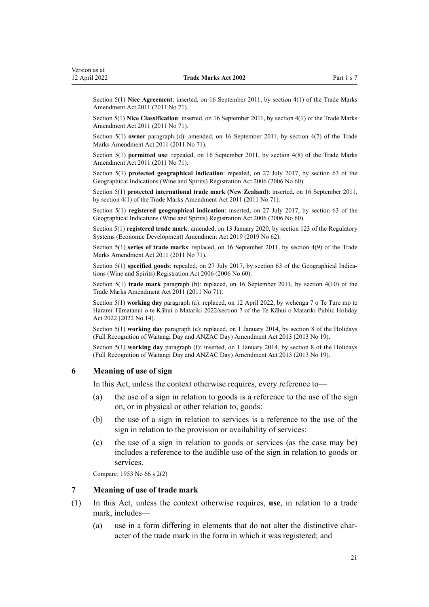<span id="page-20-0"></span>Section 5(1) **Nice Agreement**: inserted, on 16 September 2011, by [section 4\(1\)](http://legislation.govt.nz/pdflink.aspx?id=DLM2290008) of the Trade Marks Amendment Act 2011 (2011 No 71).

Section 5(1) **Nice Classification**: inserted, on 16 September 2011, by [section 4\(1\)](http://legislation.govt.nz/pdflink.aspx?id=DLM2290008) of the Trade Marks Amendment Act 2011 (2011 No 71).

Section 5(1) **owner** paragraph (d): amended, on 16 September 2011, by [section 4\(7\)](http://legislation.govt.nz/pdflink.aspx?id=DLM2290008) of the Trade Marks Amendment Act 2011 (2011 No 71).

Section 5(1) **permitted use**: repealed, on 16 September 2011, by [section 4\(8\)](http://legislation.govt.nz/pdflink.aspx?id=DLM2290008) of the Trade Marks Amendment Act 2011 (2011 No 71).

Section 5(1) **protected geographical indication**: repealed, on 27 July 2017, by [section 63](http://legislation.govt.nz/pdflink.aspx?id=DLM390893) of the Geographical Indications (Wine and Spirits) Registration Act 2006 (2006 No 60).

Section 5(1) **protected international trade mark (New Zealand)**: inserted, on 16 September 2011, by [section 4\(1\)](http://legislation.govt.nz/pdflink.aspx?id=DLM2290008) of the Trade Marks Amendment Act 2011 (2011 No 71).

Section 5(1) **registered geographical indication**: inserted, on 27 July 2017, by [section 63](http://legislation.govt.nz/pdflink.aspx?id=DLM390893) of the Geographical Indications (Wine and Spirits) Registration Act 2006 (2006 No 60).

Section 5(1) **registered trade mark**: amended, on 13 January 2020, by [section 123](http://legislation.govt.nz/pdflink.aspx?id=LMS85747) of the Regulatory Systems (Economic Development) Amendment Act 2019 (2019 No 62).

Section 5(1) **series of trade marks**: replaced, on 16 September 2011, by [section 4\(9\)](http://legislation.govt.nz/pdflink.aspx?id=DLM2290008) of the Trade Marks Amendment Act 2011 (2011 No 71).

Section 5(1) **specified goods**: repealed, on 27 July 2017, by [section 63](http://legislation.govt.nz/pdflink.aspx?id=DLM390893) of the Geographical Indications (Wine and Spirits) Registration Act 2006 (2006 No 60).

Section 5(1) **trade mark** paragraph (b): replaced, on 16 September 2011, by [section 4\(10\)](http://legislation.govt.nz/pdflink.aspx?id=DLM2290008) of the Trade Marks Amendment Act 2011 (2011 No 71).

Section 5(1) **working day** paragraph (a): replaced, on 12 April 2022, by [wehenga 7](http://legislation.govt.nz/pdflink.aspx?id=LMS557838) o Te Ture mō te Hararei Tūmatanui o te Kāhui o Matariki 2022/[section 7](http://legislation.govt.nz/pdflink.aspx?id=LMS557848) of the Te Kāhui o Matariki Public Holiday Act 2022 (2022 No 14).

Section 5(1) **working day** paragraph (e): replaced, on 1 January 2014, by [section 8](http://legislation.govt.nz/pdflink.aspx?id=DLM4929207) of the Holidays (Full Recognition of Waitangi Day and ANZAC Day) Amendment Act 2013 (2013 No 19).

Section 5(1) **working day** paragraph (f): inserted, on 1 January 2014, by [section 8](http://legislation.govt.nz/pdflink.aspx?id=DLM4929207) of the Holidays (Full Recognition of Waitangi Day and ANZAC Day) Amendment Act 2013 (2013 No 19).

#### **6 Meaning of use of sign**

In this Act, unless the context otherwise requires, every reference to—

- (a) the use of a sign in relation to goods is a reference to the use of the sign on, or in physical or other relation to, goods:
- (b) the use of a sign in relation to services is a reference to the use of the sign in relation to the provision or availability of services:
- (c) the use of a sign in relation to goods or services (as the case may be) includes a reference to the audible use of the sign in relation to goods or services.

Compare: 1953 No 66 s 2(2)

#### **7 Meaning of use of trade mark**

- (1) In this Act, unless the context otherwise requires, **use**, in relation to a trade mark, includes—
	- (a) use in a form differing in elements that do not alter the distinctive char‐ acter of the trade mark in the form in which it was registered; and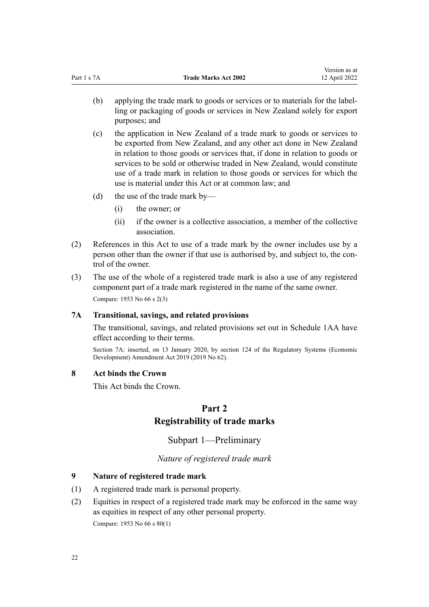<span id="page-21-0"></span>(b) applying the trade mark to goods or services or to materials for the labelling or packaging of goods or services in New Zealand solely for export purposes; and

Version as at

- (c) the application in New Zealand of a trade mark to goods or services to be exported from New Zealand, and any other act done in New Zealand in relation to those goods or services that, if done in relation to goods or services to be sold or otherwise traded in New Zealand, would constitute use of a trade mark in relation to those goods or services for which the use is material under this Act or at common law; and
- (d) the use of the trade mark by—
	- (i) the owner; or
	- (ii) if the owner is a collective association, a member of the collective association.
- (2) References in this Act to use of a trade mark by the owner includes use by a person other than the owner if that use is authorised by, and subject to, the control of the owner.
- (3) The use of the whole of a registered trade mark is also a use of any registered component part of a trade mark registered in the name of the same owner. Compare: 1953 No 66 s 2(3)

## **7A Transitional, savings, and related provisions**

The transitional, savings, and related provisions set out in [Schedule 1AA](#page-121-0) have effect according to their terms.

Section 7A: inserted, on 13 January 2020, by [section 124](http://legislation.govt.nz/pdflink.aspx?id=LMS85749) of the Regulatory Systems (Economic Development) Amendment Act 2019 (2019 No 62).

#### **8 Act binds the Crown**

This Act binds the Crown.

# **Part 2 Registrability of trade marks**

Subpart 1—Preliminary

*Nature of registered trade mark*

## **9 Nature of registered trade mark**

- (1) A registered trade mark is personal property.
- (2) Equities in respect of a registered trade mark may be enforced in the same way as equities in respect of any other personal property.

Compare: 1953 No 66 s 80(1)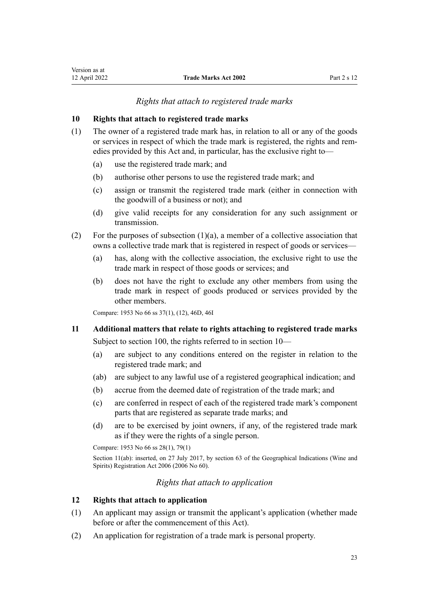#### *Rights that attach to registered trade marks*

#### <span id="page-22-0"></span>**10 Rights that attach to registered trade marks**

- (1) The owner of a registered trade mark has, in relation to all or any of the goods or services in respect of which the trade mark is registered, the rights and remedies provided by this Act and, in particular, has the exclusive right to—
	- (a) use the registered trade mark; and
	- (b) authorise other persons to use the registered trade mark; and
	- (c) assign or transmit the registered trade mark (either in connection with the goodwill of a business or not); and
	- (d) give valid receipts for any consideration for any such assignment or transmission.
- (2) For the purposes of subsection  $(1)(a)$ , a member of a collective association that owns a collective trade mark that is registered in respect of goods or services—
	- (a) has, along with the collective association, the exclusive right to use the trade mark in respect of those goods or services; and
	- (b) does not have the right to exclude any other members from using the trade mark in respect of goods produced or services provided by the other members.

Compare: 1953 No 66 ss 37(1), (12), 46D, 46I

#### **11 Additional matters that relate to rights attaching to registered trade marks**

Subject to [section 100](#page-53-0), the rights referred to in section 10—

- (a) are subject to any conditions entered on the register in relation to the registered trade mark; and
- (ab) are subject to any lawful use of a registered geographical indication; and
- (b) accrue from the deemed date of registration of the trade mark; and
- (c) are conferred in respect of each of the registered trade mark's component parts that are registered as separate trade marks; and
- (d) are to be exercised by joint owners, if any, of the registered trade mark as if they were the rights of a single person.

Compare: 1953 No 66 ss 28(1), 79(1)

Section 11(ab): inserted, on 27 July 2017, by [section 63](http://legislation.govt.nz/pdflink.aspx?id=DLM390893) of the Geographical Indications (Wine and Spirits) Registration Act 2006 (2006 No 60).

### *Rights that attach to application*

#### **12 Rights that attach to application**

- (1) An applicant may assign or transmit the applicant's application (whether made before or after the commencement of this Act).
- (2) An application for registration of a trade mark is personal property.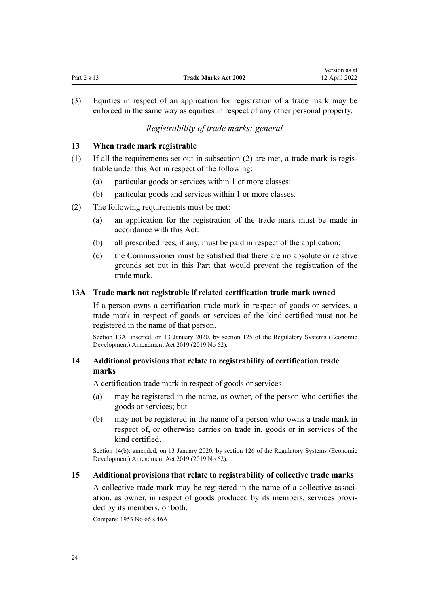<span id="page-23-0"></span>

|             |                             | ------------  |
|-------------|-----------------------------|---------------|
| Part 2 s 13 | <b>Trade Marks Act 2002</b> | 12 April 2022 |
|             |                             |               |

Version as at

(3) Equities in respect of an application for registration of a trade mark may be enforced in the same way as equities in respect of any other personal property.

## *Registrability of trade marks: general*

#### **13 When trade mark registrable**

- (1) If all the requirements set out in subsection (2) are met, a trade mark is regis‐ trable under this Act in respect of the following:
	- (a) particular goods or services within 1 or more classes:
	- (b) particular goods and services within 1 or more classes.
- (2) The following requirements must be met:
	- (a) an application for the registration of the trade mark must be made in accordance with this Act:
	- (b) all prescribed fees, if any, must be paid in respect of the application:
	- (c) the Commissioner must be satisfied that there are no absolute or relative grounds set out in this Part that would prevent the registration of the trade mark.

#### **13A Trade mark not registrable if related certification trade mark owned**

If a person owns a certification trade mark in respect of goods or services, a trade mark in respect of goods or services of the kind certified must not be registered in the name of that person.

Section 13A: inserted, on 13 January 2020, by [section 125](http://legislation.govt.nz/pdflink.aspx?id=LMS85751) of the Regulatory Systems (Economic Development) Amendment Act 2019 (2019 No 62).

## **14 Additional provisions that relate to registrability of certification trade marks**

A certification trade mark in respect of goods or services—

- (a) may be registered in the name, as owner, of the person who certifies the goods or services; but
- (b) may not be registered in the name of a person who owns a trade mark in respect of, or otherwise carries on trade in, goods or in services of the kind certified.

Section 14(b): amended, on 13 January 2020, by [section 126](http://legislation.govt.nz/pdflink.aspx?id=LMS85752) of the Regulatory Systems (Economic Development) Amendment Act 2019 (2019 No 62).

#### **15 Additional provisions that relate to registrability of collective trade marks**

A collective trade mark may be registered in the name of a collective associ‐ ation, as owner, in respect of goods produced by its members, services provided by its members, or both.

Compare: 1953 No 66 s 46A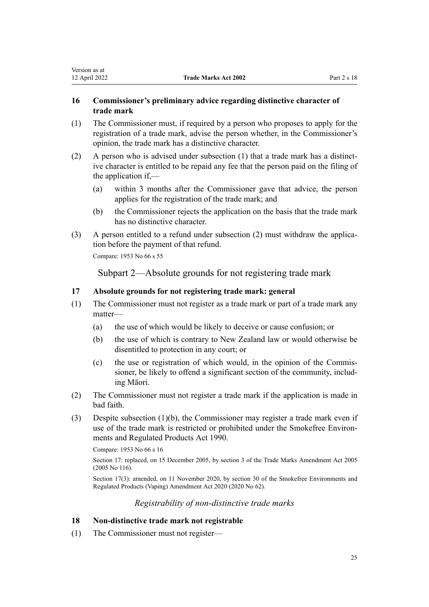## <span id="page-24-0"></span>**16 Commissioner's preliminary advice regarding distinctive character of trade mark**

- (1) The Commissioner must, if required by a person who proposes to apply for the registration of a trade mark, advise the person whether, in the Commissioner's opinion, the trade mark has a distinctive character.
- (2) A person who is advised under subsection  $(1)$  that a trade mark has a distinctive character is entitled to be repaid any fee that the person paid on the filing of the application if,—
	- (a) within 3 months after the Commissioner gave that advice, the person applies for the registration of the trade mark; and
	- (b) the Commissioner rejects the application on the basis that the trade mark has no distinctive character.
- $(3)$  A person entitled to a refund under subsection  $(2)$  must withdraw the application before the payment of that refund.

Compare: 1953 No 66 s 55

Subpart 2—Absolute grounds for not registering trade mark

## **17 Absolute grounds for not registering trade mark: general**

- (1) The Commissioner must not register as a trade mark or part of a trade mark any matter—
	- (a) the use of which would be likely to deceive or cause confusion; or
	- (b) the use of which is contrary to New Zealand law or would otherwise be disentitled to protection in any court; or
	- (c) the use or registration of which would, in the opinion of the Commissioner, be likely to offend a significant section of the community, includ‐ ing Māori.
- (2) The Commissioner must not register a trade mark if the application is made in bad faith.
- (3) Despite subsection (1)(b), the Commissioner may register a trade mark even if use of the trade mark is restricted or prohibited under the Smokefree Environ[ments and Regulated Products Act 1990](http://legislation.govt.nz/pdflink.aspx?id=DLM223190).

Compare: 1953 No 66 s 16

Section 17: replaced, on 15 December 2005, by [section 3](http://legislation.govt.nz/pdflink.aspx?id=DLM362636) of the Trade Marks Amendment Act 2005 (2005 No 116).

Section 17(3): amended, on 11 November 2020, by [section 30](http://legislation.govt.nz/pdflink.aspx?id=LMS314081) of the Smokefree Environments and Regulated Products (Vaping) Amendment Act 2020 (2020 No 62).

#### *Registrability of non-distinctive trade marks*

## **18 Non-distinctive trade mark not registrable**

(1) The Commissioner must not register—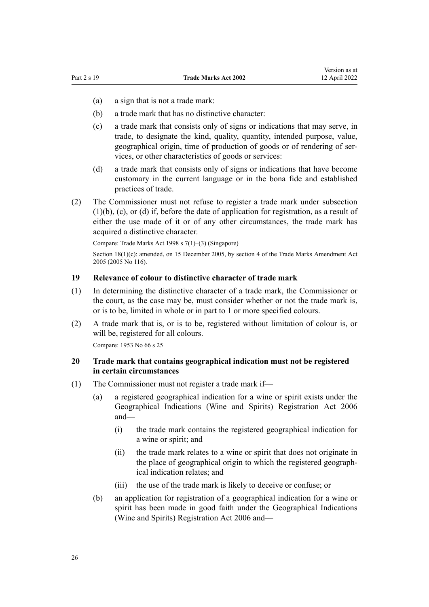- <span id="page-25-0"></span>(a) a sign that is not a trade mark:
- (b) a trade mark that has no distinctive character:
- (c) a trade mark that consists only of signs or indications that may serve, in trade, to designate the kind, quality, quantity, intended purpose, value, geographical origin, time of production of goods or of rendering of services, or other characteristics of goods or services:
- (d) a trade mark that consists only of signs or indications that have become customary in the current language or in the bona fide and established practices of trade.
- (2) The Commissioner must not refuse to register a trade mark under subsection (1)(b), (c), or (d) if, before the date of application for registration, as a result of either the use made of it or of any other circumstances, the trade mark has acquired a distinctive character.

Compare: Trade Marks Act 1998 s 7(1)–(3) (Singapore)

Section 18(1)(c): amended, on 15 December 2005, by [section 4](http://legislation.govt.nz/pdflink.aspx?id=DLM362638) of the Trade Marks Amendment Act 2005 (2005 No 116).

## **19 Relevance of colour to distinctive character of trade mark**

- (1) In determining the distinctive character of a trade mark, the Commissioner or the court, as the case may be, must consider whether or not the trade mark is, or is to be, limited in whole or in part to 1 or more specified colours.
- (2) A trade mark that is, or is to be, registered without limitation of colour is, or will be, registered for all colours.

Compare: 1953 No 66 s 25

## **20 Trade mark that contains geographical indication must not be registered in certain circumstances**

- (1) The Commissioner must not register a trade mark if—
	- (a) a registered geographical indication for a wine or spirit exists under the [Geographical Indications \(Wine and Spirits\) Registration Act 2006](http://legislation.govt.nz/pdflink.aspx?id=DLM390755) and—
		- (i) the trade mark contains the registered geographical indication for a wine or spirit; and
		- (ii) the trade mark relates to a wine or spirit that does not originate in the place of geographical origin to which the registered geograph‐ ical indication relates; and
		- (iii) the use of the trade mark is likely to deceive or confuse; or
	- (b) an application for registration of a geographical indication for a wine or spirit has been made in good faith under the [Geographical Indications](http://legislation.govt.nz/pdflink.aspx?id=DLM390755) [\(Wine and Spirits\) Registration Act 2006](http://legislation.govt.nz/pdflink.aspx?id=DLM390755) and—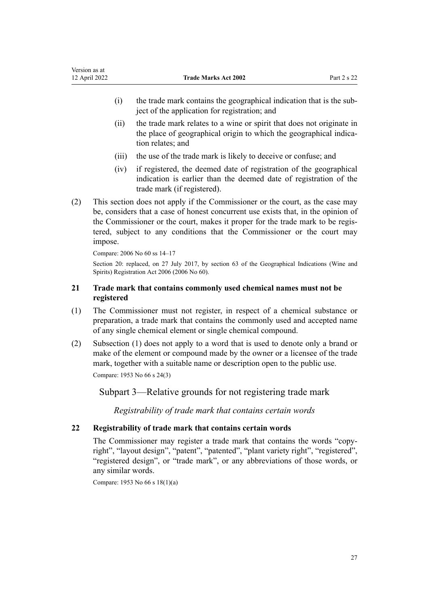- <span id="page-26-0"></span>(i) the trade mark contains the geographical indication that is the sub‐ ject of the application for registration; and
- (ii) the trade mark relates to a wine or spirit that does not originate in the place of geographical origin to which the geographical indication relates; and
- (iii) the use of the trade mark is likely to deceive or confuse; and
- (iv) if registered, the deemed date of registration of the geographical indication is earlier than the deemed date of registration of the trade mark (if registered).
- (2) This section does not apply if the Commissioner or the court, as the case may be, considers that a case of honest concurrent use exists that, in the opinion of the Commissioner or the court, makes it proper for the trade mark to be regis‐ tered, subject to any conditions that the Commissioner or the court may impose.

```
Compare: 2006 No 60 ss 14–17
```
Section 20: replaced, on 27 July 2017, by [section 63](http://legislation.govt.nz/pdflink.aspx?id=DLM390893) of the Geographical Indications (Wine and Spirits) Registration Act 2006 (2006 No 60).

## **21 Trade mark that contains commonly used chemical names must not be registered**

- (1) The Commissioner must not register, in respect of a chemical substance or preparation, a trade mark that contains the commonly used and accepted name of any single chemical element or single chemical compound.
- (2) Subsection (1) does not apply to a word that is used to denote only a brand or make of the element or compound made by the owner or a licensee of the trade mark, together with a suitable name or description open to the public use. Compare: 1953 No 66 s 24(3)

Subpart 3—Relative grounds for not registering trade mark

*Registrability of trade mark that contains certain words*

## **22 Registrability of trade mark that contains certain words**

The Commissioner may register a trade mark that contains the words "copyright", "layout design", "patent", "patented", "plant variety right", "registered", "registered design", or "trade mark", or any abbreviations of those words, or any similar words.

Compare: 1953 No 66 s 18(1)(a)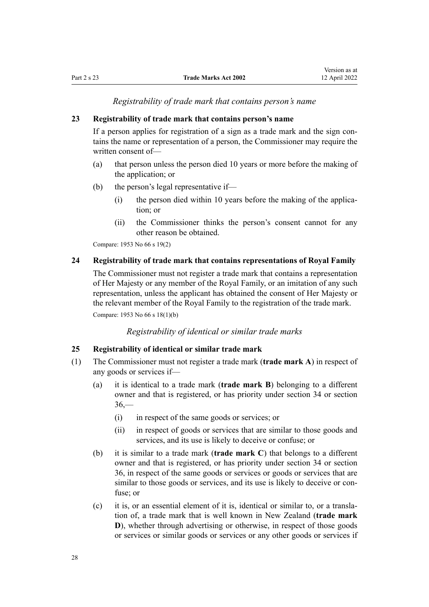<span id="page-27-0"></span>

*Registrability of trade mark that contains person's name*

#### **23 Registrability of trade mark that contains person's name**

If a person applies for registration of a sign as a trade mark and the sign contains the name or representation of a person, the Commissioner may require the written consent of—

- (a) that person unless the person died 10 years or more before the making of the application; or
- (b) the person's legal representative if—
	- $(i)$  the person died within 10 years before the making of the application; or
	- (ii) the Commissioner thinks the person's consent cannot for any other reason be obtained.

Compare: 1953 No 66 s 19(2)

#### **24 Registrability of trade mark that contains representations of Royal Family**

The Commissioner must not register a trade mark that contains a representation of Her Majesty or any member of the Royal Family, or an imitation of any such representation, unless the applicant has obtained the consent of Her Majesty or the relevant member of the Royal Family to the registration of the trade mark. Compare: 1953 No 66 s 18(1)(b)

*Registrability of identical or similar trade marks*

## **25 Registrability of identical or similar trade mark**

- (1) The Commissioner must not register a trade mark (**trade mark A**) in respect of any goods or services if—
	- (a) it is identical to a trade mark (**trade mark B**) belonging to a different owner and that is registered, or has priority under [section 34](#page-31-0) or [section](#page-32-0)  $36 -$ 
		- (i) in respect of the same goods or services; or
		- (ii) in respect of goods or services that are similar to those goods and services, and its use is likely to deceive or confuse; or
	- (b) it is similar to a trade mark (**trade mark C**) that belongs to a different owner and that is registered, or has priority under [section 34](#page-31-0) or [section](#page-32-0) [36,](#page-32-0) in respect of the same goods or services or goods or services that are similar to those goods or services, and its use is likely to deceive or confuse; or
	- (c) it is, or an essential element of it is, identical or similar to, or a transla‐ tion of, a trade mark that is well known in New Zealand (**trade mark D**), whether through advertising or otherwise, in respect of those goods or services or similar goods or services or any other goods or services if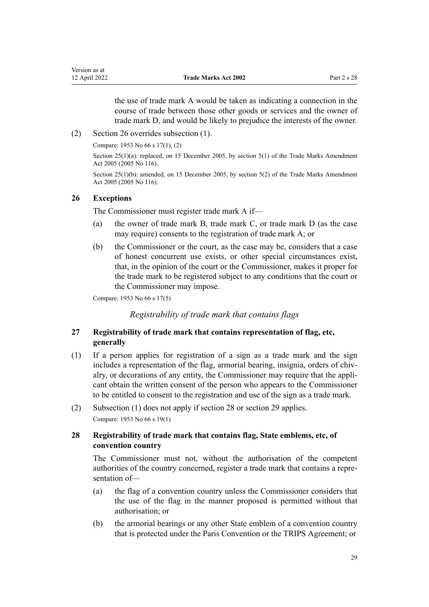the use of trade mark A would be taken as indicating a connection in the course of trade between those other goods or services and the owner of trade mark D, and would be likely to prejudice the interests of the owner.

<span id="page-28-0"></span>(2) Section 26 overrides subsection (1).

Compare: 1953 No 66 s 17(1), (2)

Section 25(1)(a): replaced, on 15 December 2005, by [section 5\(1\)](http://legislation.govt.nz/pdflink.aspx?id=DLM362639) of the Trade Marks Amendment Act 2005 (2005 No 116).

Section 25(1)(b): amended, on 15 December 2005, by [section 5\(2\)](http://legislation.govt.nz/pdflink.aspx?id=DLM362639) of the Trade Marks Amendment Act 2005 (2005 No 116).

#### **26 Exceptions**

The Commissioner must register trade mark A if—

- (a) the owner of trade mark B, trade mark C, or trade mark D (as the case may require) consents to the registration of trade mark A; or
- (b) the Commissioner or the court, as the case may be, considers that a case of honest concurrent use exists, or other special circumstances exist, that, in the opinion of the court or the Commissioner, makes it proper for the trade mark to be registered subject to any conditions that the court or the Commissioner may impose.

Compare: 1953 No 66 s 17(5)

*Registrability of trade mark that contains flags*

## **27 Registrability of trade mark that contains representation of flag, etc, generally**

- (1) If a person applies for registration of a sign as a trade mark and the sign includes a representation of the flag, armorial bearing, insignia, orders of chivalry, or decorations of any entity, the Commissioner may require that the appli‐ cant obtain the written consent of the person who appears to the Commissioner to be entitled to consent to the registration and use of the sign as a trade mark.
- (2) Subsection (1) does not apply if section 28 or [section 29](#page-29-0) applies. Compare: 1953 No 66 s 19(1)

## **28 Registrability of trade mark that contains flag, State emblems, etc, of convention country**

The Commissioner must not, without the authorisation of the competent authorities of the country concerned, register a trade mark that contains a repre‐ sentation of—

- (a) the flag of a convention country unless the Commissioner considers that the use of the flag in the manner proposed is permitted without that authorisation; or
- (b) the armorial bearings or any other State emblem of a convention country that is protected under the Paris Convention or the TRIPS Agreement; or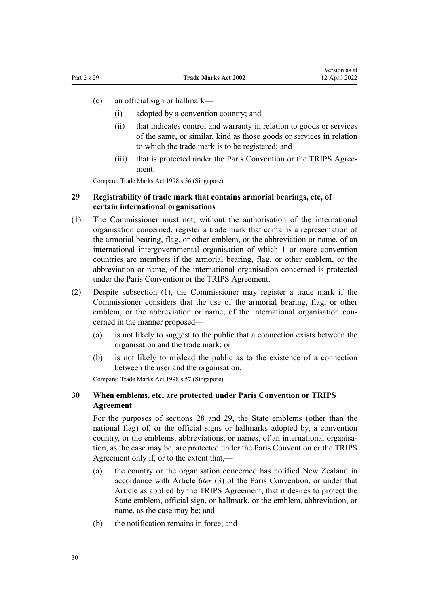- <span id="page-29-0"></span>(c) an official sign or hallmark—
	- (i) adopted by a convention country; and
	- (ii) that indicates control and warranty in relation to goods or services of the same, or similar, kind as those goods or services in relation to which the trade mark is to be registered; and
	- (iii) that is protected under the Paris Convention or the TRIPS Agreement.

Compare: Trade Marks Act 1998 s 56 (Singapore)

## **29 Registrability of trade mark that contains armorial bearings, etc, of certain international organisations**

- (1) The Commissioner must not, without the authorisation of the international organisation concerned, register a trade mark that contains a representation of the armorial bearing, flag, or other emblem, or the abbreviation or name, of an international intergovernmental organisation of which 1 or more convention countries are members if the armorial bearing, flag, or other emblem, or the abbreviation or name, of the international organisation concerned is protected under the Paris Convention or the TRIPS Agreement.
- (2) Despite subsection (1), the Commissioner may register a trade mark if the Commissioner considers that the use of the armorial bearing, flag, or other emblem, or the abbreviation or name, of the international organisation concerned in the manner proposed—
	- (a) is not likely to suggest to the public that a connection exists between the organisation and the trade mark; or
	- (b) is not likely to mislead the public as to the existence of a connection between the user and the organisation.

Compare: Trade Marks Act 1998 s 57 (Singapore)

## **30 When emblems, etc, are protected under Paris Convention or TRIPS Agreement**

For the purposes of [sections 28](#page-28-0) and 29, the State emblems (other than the national flag) of, or the official signs or hallmarks adopted by, a convention country, or the emblems, abbreviations, or names, of an international organisation, as the case may be, are protected under the Paris Convention or the TRIPS Agreement only if, or to the extent that,—

- (a) the country or the organisation concerned has notified New Zealand in accordance with Article 6*ter* (3) of the Paris Convention, or under that Article as applied by the TRIPS Agreement, that it desires to protect the State emblem, official sign, or hallmark, or the emblem, abbreviation, or name, as the case may be; and
- (b) the notification remains in force; and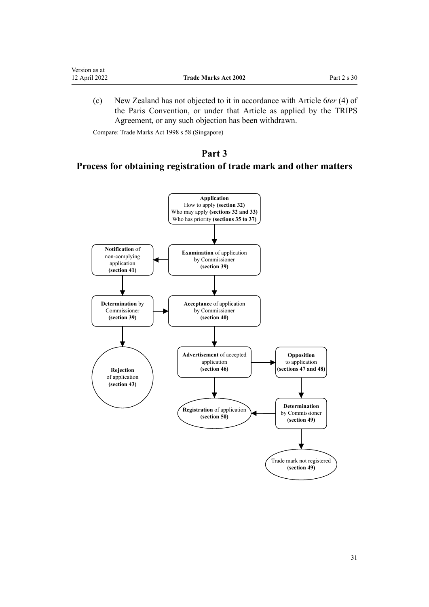<span id="page-30-0"></span>

| 12 April 2022 | <b>Trade Marks Act 2002</b> | Part $2 s 30$ |
|---------------|-----------------------------|---------------|
| Version as at |                             |               |

(c) New Zealand has not objected to it in accordance with Article 6*ter* (4) of the Paris Convention, or under that Article as applied by the TRIPS Agreement, or any such objection has been withdrawn.

Compare: Trade Marks Act 1998 s 58 (Singapore)

# **Part 3**

# **Process for obtaining registration of trade mark and other matters**

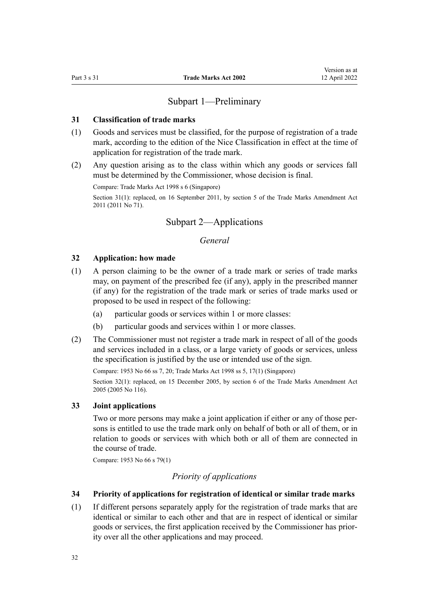## Subpart 1—Preliminary

#### <span id="page-31-0"></span>**31 Classification of trade marks**

- (1) Goods and services must be classified, for the purpose of registration of a trade mark, according to the edition of the Nice Classification in effect at the time of application for registration of the trade mark.
- (2) Any question arising as to the class within which any goods or services fall must be determined by the Commissioner, whose decision is final.

Compare: Trade Marks Act 1998 s 6 (Singapore)

Section 31(1): replaced, on 16 September 2011, by [section 5](http://legislation.govt.nz/pdflink.aspx?id=DLM2290037) of the Trade Marks Amendment Act 2011 (2011 No 71).

## Subpart 2—Applications

## *General*

#### **32 Application: how made**

- (1) A person claiming to be the owner of a trade mark or series of trade marks may, on payment of the prescribed fee (if any), apply in the prescribed manner (if any) for the registration of the trade mark or series of trade marks used or proposed to be used in respect of the following:
	- (a) particular goods or services within 1 or more classes:
	- (b) particular goods and services within 1 or more classes.
- (2) The Commissioner must not register a trade mark in respect of all of the goods and services included in a class, or a large variety of goods or services, unless the specification is justified by the use or intended use of the sign.

Compare: 1953 No 66 ss 7, 20; Trade Marks Act 1998 ss 5, 17(1) (Singapore) Section 32(1): replaced, on 15 December 2005, by [section 6](http://legislation.govt.nz/pdflink.aspx?id=DLM362640) of the Trade Marks Amendment Act 2005 (2005 No 116).

#### **33 Joint applications**

Two or more persons may make a joint application if either or any of those per‐ sons is entitled to use the trade mark only on behalf of both or all of them, or in relation to goods or services with which both or all of them are connected in the course of trade.

Compare: 1953 No 66 s 79(1)

### *Priority of applications*

#### **34 Priority of applications for registration of identical or similar trade marks**

(1) If different persons separately apply for the registration of trade marks that are identical or similar to each other and that are in respect of identical or similar goods or services, the first application received by the Commissioner has prior‐ ity over all the other applications and may proceed.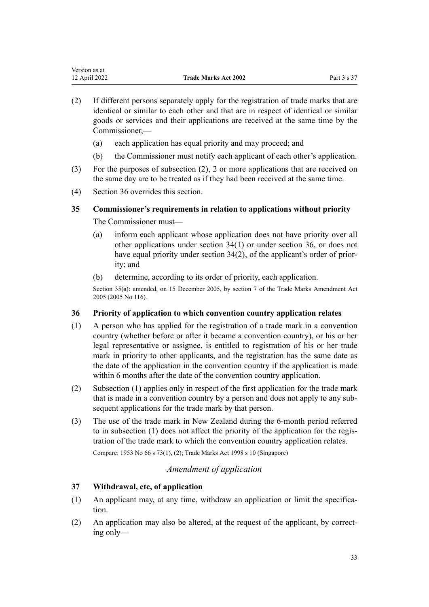| version as at |                             |             |
|---------------|-----------------------------|-------------|
| 12 April 2022 | <b>Trade Marks Act 2002</b> | Part 3 s 37 |

- (2) If different persons separately apply for the registration of trade marks that are identical or similar to each other and that are in respect of identical or similar goods or services and their applications are received at the same time by the Commissioner,—
	- (a) each application has equal priority and may proceed; and
	- (b) the Commissioner must notify each applicant of each other's application.
- (3) For the purposes of subsection (2), 2 or more applications that are received on the same day are to be treated as if they had been received at the same time.
- (4) Section 36 overrides this section.

<span id="page-32-0"></span> $\mathbf{v}$  version as at a set  $\mathbf{v}$ 

## **35 Commissioner's requirements in relation to applications without priority**

The Commissioner must—

- (a) inform each applicant whose application does not have priority over all other applications under [section 34\(1\)](#page-31-0) or under section 36, or does not have equal priority under [section 34\(2\)](#page-31-0), of the applicant's order of priority; and
- (b) determine, according to its order of priority, each application.

Section 35(a): amended, on 15 December 2005, by [section 7](http://legislation.govt.nz/pdflink.aspx?id=DLM362641) of the Trade Marks Amendment Act 2005 (2005 No 116).

#### **36 Priority of application to which convention country application relates**

- (1) A person who has applied for the registration of a trade mark in a convention country (whether before or after it became a convention country), or his or her legal representative or assignee, is entitled to registration of his or her trade mark in priority to other applicants, and the registration has the same date as the date of the application in the convention country if the application is made within 6 months after the date of the convention country application.
- (2) Subsection (1) applies only in respect of the first application for the trade mark that is made in a convention country by a person and does not apply to any sub‐ sequent applications for the trade mark by that person.
- (3) The use of the trade mark in New Zealand during the 6-month period referred to in subsection (1) does not affect the priority of the application for the regis‐ tration of the trade mark to which the convention country application relates. Compare: 1953 No 66 s 73(1), (2); Trade Marks Act 1998 s 10 (Singapore)

## *Amendment of application*

## **37 Withdrawal, etc, of application**

- $(1)$  An applicant may, at any time, withdraw an application or limit the specification.
- (2) An application may also be altered, at the request of the applicant, by correct‐ ing only—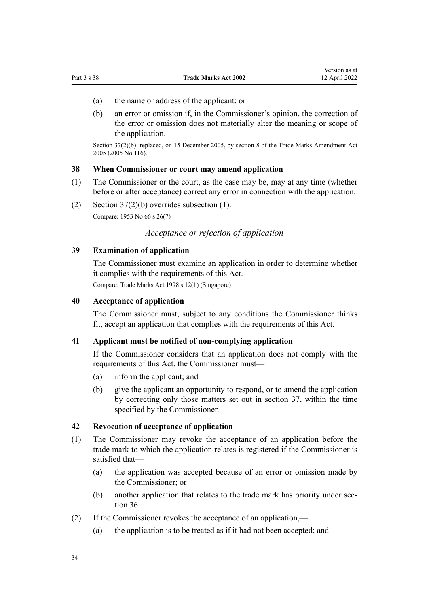Version as at

- <span id="page-33-0"></span>(a) the name or address of the applicant; or
- (b) an error or omission if, in the Commissioner's opinion, the correction of the error or omission does not materially alter the meaning or scope of the application.

Section 37(2)(b): replaced, on 15 December 2005, by [section 8](http://legislation.govt.nz/pdflink.aspx?id=DLM362642) of the Trade Marks Amendment Act 2005 (2005 No 116).

## **38 When Commissioner or court may amend application**

- (1) The Commissioner or the court, as the case may be, may at any time (whether before or after acceptance) correct any error in connection with the application.
- (2) [Section 37\(2\)\(b\)](#page-32-0) overrides subsection (1). Compare: 1953 No 66 s 26(7)

#### *Acceptance or rejection of application*

## **39 Examination of application**

The Commissioner must examine an application in order to determine whether it complies with the requirements of this Act. Compare: Trade Marks Act 1998 s 12(1) (Singapore)

## **40 Acceptance of application**

The Commissioner must, subject to any conditions the Commissioner thinks fit, accept an application that complies with the requirements of this Act.

## **41 Applicant must be notified of non-complying application**

If the Commissioner considers that an application does not comply with the requirements of this Act, the Commissioner must—

- (a) inform the applicant; and
- (b) give the applicant an opportunity to respond, or to amend the application by correcting only those matters set out in [section 37](#page-32-0), within the time specified by the Commissioner.

#### **42 Revocation of acceptance of application**

- (1) The Commissioner may revoke the acceptance of an application before the trade mark to which the application relates is registered if the Commissioner is satisfied that—
	- (a) the application was accepted because of an error or omission made by the Commissioner; or
	- (b) another application that relates to the trade mark has priority under [sec‐](#page-32-0) [tion 36](#page-32-0).
- (2) If the Commissioner revokes the acceptance of an application,—
	- (a) the application is to be treated as if it had not been accepted; and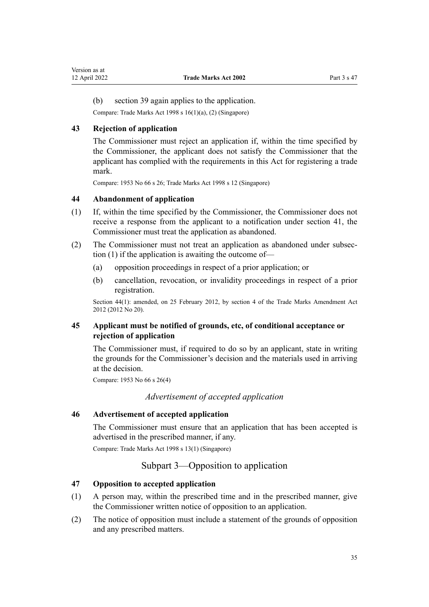(b) [section 39](#page-33-0) again applies to the application.

Compare: Trade Marks Act 1998 s 16(1)(a), (2) (Singapore)

## **43 Rejection of application**

<span id="page-34-0"></span>Version as at<br>12 April 2022

The Commissioner must reject an application if, within the time specified by the Commissioner, the applicant does not satisfy the Commissioner that the applicant has complied with the requirements in this Act for registering a trade mark.

Compare: 1953 No 66 s 26; Trade Marks Act 1998 s 12 (Singapore)

## **44 Abandonment of application**

- (1) If, within the time specified by the Commissioner, the Commissioner does not receive a response from the applicant to a notification under [section 41,](#page-33-0) the Commissioner must treat the application as abandoned.
- (2) The Commissioner must not treat an application as abandoned under subsec‐ tion (1) if the application is awaiting the outcome of—
	- (a) opposition proceedings in respect of a prior application; or
	- (b) cancellation, revocation, or invalidity proceedings in respect of a prior registration.

Section 44(1): amended, on 25 February 2012, by [section 4](http://legislation.govt.nz/pdflink.aspx?id=DLM4015207) of the Trade Marks Amendment Act 2012 (2012 No 20).

## **45 Applicant must be notified of grounds, etc, of conditional acceptance or rejection of application**

The Commissioner must, if required to do so by an applicant, state in writing the grounds for the Commissioner's decision and the materials used in arriving at the decision.

Compare: 1953 No 66 s 26(4)

#### *Advertisement of accepted application*

## **46 Advertisement of accepted application**

The Commissioner must ensure that an application that has been accepted is advertised in the prescribed manner, if any.

Compare: Trade Marks Act 1998 s 13(1) (Singapore)

## Subpart 3—Opposition to application

#### **47 Opposition to accepted application**

- (1) A person may, within the prescribed time and in the prescribed manner, give the Commissioner written notice of opposition to an application.
- (2) The notice of opposition must include a statement of the grounds of opposition and any prescribed matters.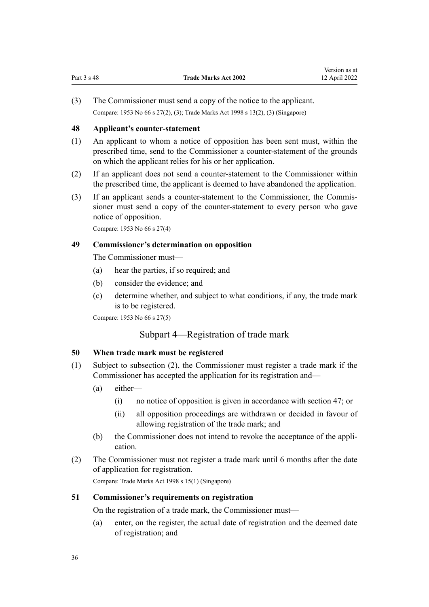<span id="page-35-0"></span>(3) The Commissioner must send a copy of the notice to the applicant. Compare: 1953 No 66 s 27(2), (3); Trade Marks Act 1998 s 13(2), (3) (Singapore)

#### **48 Applicant's counter-statement**

- (1) An applicant to whom a notice of opposition has been sent must, within the prescribed time, send to the Commissioner a counter-statement of the grounds on which the applicant relies for his or her application.
- (2) If an applicant does not send a counter-statement to the Commissioner within the prescribed time, the applicant is deemed to have abandoned the application.
- (3) If an applicant sends a counter-statement to the Commissioner, the Commis‐ sioner must send a copy of the counter-statement to every person who gave notice of opposition.

Compare: 1953 No 66 s 27(4)

#### **49 Commissioner's determination on opposition**

The Commissioner must—

- (a) hear the parties, if so required; and
- (b) consider the evidence; and
- (c) determine whether, and subject to what conditions, if any, the trade mark is to be registered.

Compare: 1953 No 66 s 27(5)

## Subpart 4—Registration of trade mark

#### **50 When trade mark must be registered**

- (1) Subject to subsection (2), the Commissioner must register a trade mark if the Commissioner has accepted the application for its registration and—
	- (a) either—
		- (i) no notice of opposition is given in accordance with [section 47](#page-34-0); or
		- (ii) all opposition proceedings are withdrawn or decided in favour of allowing registration of the trade mark; and
	- (b) the Commissioner does not intend to revoke the acceptance of the appli‐ cation.
- (2) The Commissioner must not register a trade mark until 6 months after the date of application for registration.

Compare: Trade Marks Act 1998 s 15(1) (Singapore)

#### **51 Commissioner's requirements on registration**

On the registration of a trade mark, the Commissioner must—

(a) enter, on the register, the actual date of registration and the deemed date of registration; and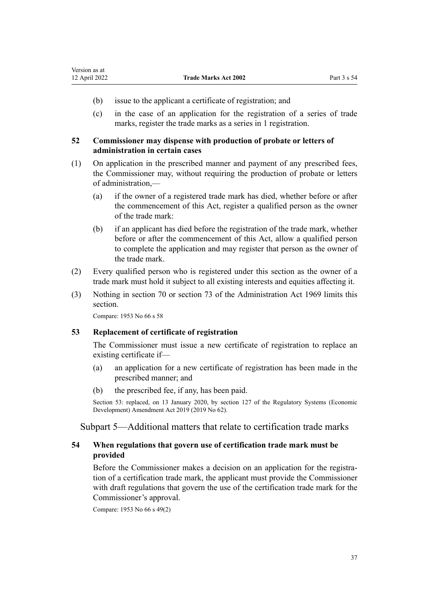- (b) issue to the applicant a certificate of registration; and
- (c) in the case of an application for the registration of a series of trade marks, register the trade marks as a series in 1 registration.

# **52 Commissioner may dispense with production of probate or letters of administration in certain cases**

- (1) On application in the prescribed manner and payment of any prescribed fees, the Commissioner may, without requiring the production of probate or letters of administration,—
	- (a) if the owner of a registered trade mark has died, whether before or after the commencement of this Act, register a qualified person as the owner of the trade mark:
	- (b) if an applicant has died before the registration of the trade mark, whether before or after the commencement of this Act, allow a qualified person to complete the application and may register that person as the owner of the trade mark.
- (2) Every qualified person who is registered under this section as the owner of a trade mark must hold it subject to all existing interests and equities affecting it.
- (3) Nothing in [section 70](http://legislation.govt.nz/pdflink.aspx?id=DLM393092) or [section 73](http://legislation.govt.nz/pdflink.aspx?id=DLM393097) of the Administration Act 1969 limits this section.

Compare: 1953 No 66 s 58

# **53 Replacement of certificate of registration**

The Commissioner must issue a new certificate of registration to replace an existing certificate if—

- (a) an application for a new certificate of registration has been made in the prescribed manner; and
- (b) the prescribed fee, if any, has been paid.

Section 53: replaced, on 13 January 2020, by [section 127](http://legislation.govt.nz/pdflink.aspx?id=LMS85754) of the Regulatory Systems (Economic Development) Amendment Act 2019 (2019 No 62).

Subpart 5—Additional matters that relate to certification trade marks

# **54 When regulations that govern use of certification trade mark must be provided**

Before the Commissioner makes a decision on an application for the registration of a certification trade mark, the applicant must provide the Commissioner with draft regulations that govern the use of the certification trade mark for the Commissioner's approval.

Compare: 1953 No 66 s 49(2)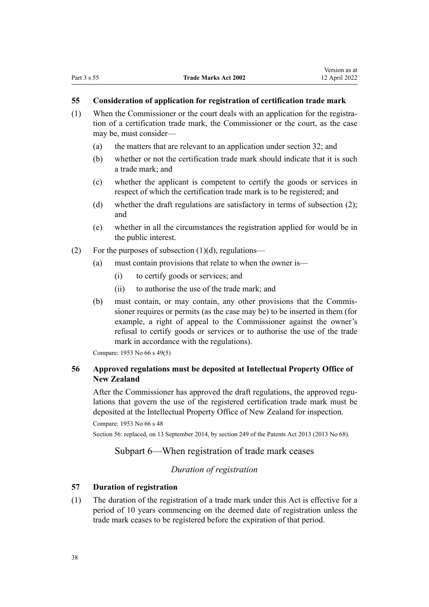## **55 Consideration of application for registration of certification trade mark**

- (1) When the Commissioner or the court deals with an application for the registration of a certification trade mark, the Commissioner or the court, as the case may be, must consider—
	- (a) the matters that are relevant to an application under [section 32](#page-31-0); and
	- (b) whether or not the certification trade mark should indicate that it is such a trade mark; and
	- (c) whether the applicant is competent to certify the goods or services in respect of which the certification trade mark is to be registered; and
	- (d) whether the draft regulations are satisfactory in terms of subsection (2); and
	- (e) whether in all the circumstances the registration applied for would be in the public interest.
- (2) For the purposes of subsection  $(1)(d)$ , regulations—
	- (a) must contain provisions that relate to when the owner is—
		- (i) to certify goods or services; and
		- (ii) to authorise the use of the trade mark; and
	- (b) must contain, or may contain, any other provisions that the Commis‐ sioner requires or permits (as the case may be) to be inserted in them (for example, a right of appeal to the Commissioner against the owner's refusal to certify goods or services or to authorise the use of the trade mark in accordance with the regulations).

Compare: 1953 No 66 s 49(5)

# **56 Approved regulations must be deposited at Intellectual Property Office of New Zealand**

After the Commissioner has approved the draft regulations, the approved regulations that govern the use of the registered certification trade mark must be deposited at the Intellectual Property Office of New Zealand for inspection.

```
Compare: 1953 No 66 s 48
```
Section 56: replaced, on 13 September 2014, by [section 249](http://legislation.govt.nz/pdflink.aspx?id=DLM1419624) of the Patents Act 2013 (2013 No 68).

# Subpart 6—When registration of trade mark ceases

# *Duration of registration*

# **57 Duration of registration**

(1) The duration of the registration of a trade mark under this Act is effective for a period of 10 years commencing on the deemed date of registration unless the trade mark ceases to be registered before the expiration of that period.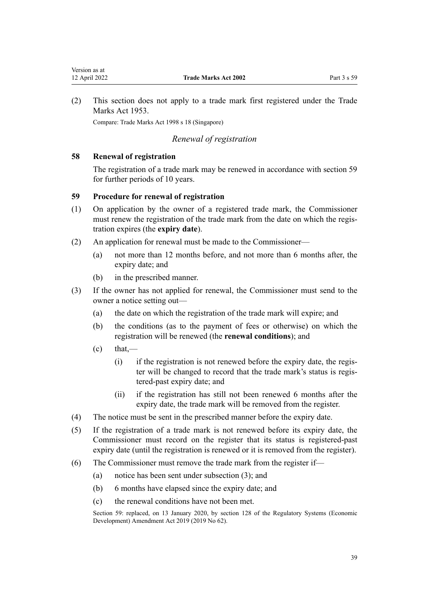<span id="page-38-0"></span>(2) This section does not apply to a trade mark first registered under the Trade Marks Act 1953.

Compare: Trade Marks Act 1998 s 18 (Singapore)

# *Renewal of registration*

# **58 Renewal of registration**

The registration of a trade mark may be renewed in accordance with section 59 for further periods of 10 years.

# **59 Procedure for renewal of registration**

- (1) On application by the owner of a registered trade mark, the Commissioner must renew the registration of the trade mark from the date on which the registration expires (the **expiry date**).
- (2) An application for renewal must be made to the Commissioner—
	- (a) not more than 12 months before, and not more than 6 months after, the expiry date; and
	- (b) in the prescribed manner.
- (3) If the owner has not applied for renewal, the Commissioner must send to the owner a notice setting out—
	- (a) the date on which the registration of the trade mark will expire; and
	- (b) the conditions (as to the payment of fees or otherwise) on which the registration will be renewed (the **renewal conditions**); and
	- $\text{(c)}$  that,—
		- $(i)$  if the registration is not renewed before the expiry date, the register will be changed to record that the trade mark's status is registered-past expiry date; and
		- (ii) if the registration has still not been renewed 6 months after the expiry date, the trade mark will be removed from the register.
- (4) The notice must be sent in the prescribed manner before the expiry date.
- (5) If the registration of a trade mark is not renewed before its expiry date, the Commissioner must record on the register that its status is registered-past expiry date (until the registration is renewed or it is removed from the register).
- (6) The Commissioner must remove the trade mark from the register if—
	- (a) notice has been sent under subsection (3); and
	- (b) 6 months have elapsed since the expiry date; and
	- (c) the renewal conditions have not been met.

Section 59: replaced, on 13 January 2020, by [section 128](http://legislation.govt.nz/pdflink.aspx?id=LMS85760) of the Regulatory Systems (Economic Development) Amendment Act 2019 (2019 No 62).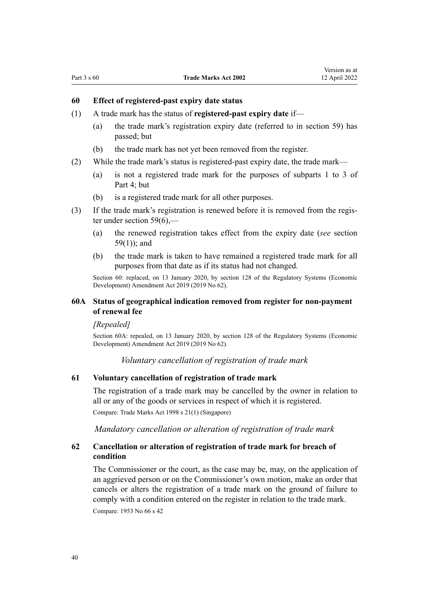## **60 Effect of registered-past expiry date status**

- (1) A trade mark has the status of **registered-past expiry date** if—
	- (a) the trade mark's registration expiry date (referred to in [section 59\)](#page-38-0) has passed; but
	- (b) the trade mark has not yet been removed from the register.
- (2) While the trade mark's status is registered-past expiry date, the trade mark—
	- (a) is not a registered trade mark for the purposes of [subparts 1 to 3](#page-48-0) of Part 4; but
	- (b) is a registered trade mark for all other purposes.
- (3) If the trade mark's registration is renewed before it is removed from the regis‐ ter under section  $59(6)$ ,-
	- (a) the renewed registration takes effect from the expiry date (*see* [section](#page-38-0) [59\(1\)](#page-38-0)); and
	- (b) the trade mark is taken to have remained a registered trade mark for all purposes from that date as if its status had not changed.

Section 60: replaced, on 13 January 2020, by [section 128](http://legislation.govt.nz/pdflink.aspx?id=LMS85760) of the Regulatory Systems (Economic Development) Amendment Act 2019 (2019 No 62).

# **60A Status of geographical indication removed from register for non-payment of renewal fee**

#### *[Repealed]*

Section 60A: repealed, on 13 January 2020, by [section 128](http://legislation.govt.nz/pdflink.aspx?id=LMS85760) of the Regulatory Systems (Economic Development) Amendment Act 2019 (2019 No 62).

*Voluntary cancellation of registration of trade mark*

## **61 Voluntary cancellation of registration of trade mark**

The registration of a trade mark may be cancelled by the owner in relation to all or any of the goods or services in respect of which it is registered.

Compare: Trade Marks Act 1998 s 21(1) (Singapore)

*Mandatory cancellation or alteration of registration of trade mark*

# **62 Cancellation or alteration of registration of trade mark for breach of condition**

The Commissioner or the court, as the case may be, may, on the application of an aggrieved person or on the Commissioner's own motion, make an order that cancels or alters the registration of a trade mark on the ground of failure to comply with a condition entered on the register in relation to the trade mark. Compare: 1953 No 66 s 42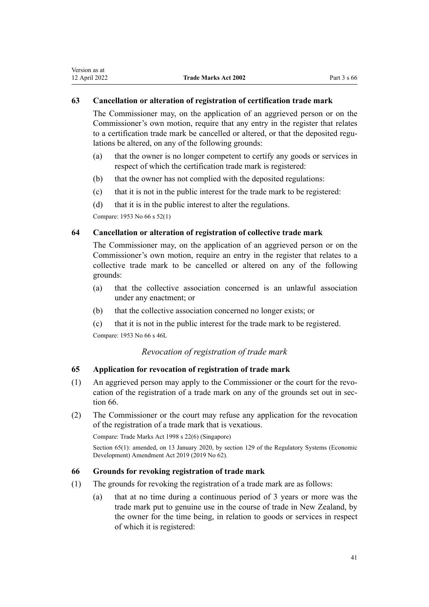# <span id="page-40-0"></span>**63 Cancellation or alteration of registration of certification trade mark**

The Commissioner may, on the application of an aggrieved person or on the Commissioner's own motion, require that any entry in the register that relates to a certification trade mark be cancelled or altered, or that the deposited regulations be altered, on any of the following grounds:

- (a) that the owner is no longer competent to certify any goods or services in respect of which the certification trade mark is registered:
- (b) that the owner has not complied with the deposited regulations:
- (c) that it is not in the public interest for the trade mark to be registered:
- (d) that it is in the public interest to alter the regulations.

Compare: 1953 No 66 s 52(1)

# **64 Cancellation or alteration of registration of collective trade mark**

The Commissioner may, on the application of an aggrieved person or on the Commissioner's own motion, require an entry in the register that relates to a collective trade mark to be cancelled or altered on any of the following grounds:

- (a) that the collective association concerned is an unlawful association under any enactment; or
- (b) that the collective association concerned no longer exists; or
- (c) that it is not in the public interest for the trade mark to be registered.

Compare: 1953 No 66 s 46L

# *Revocation of registration of trade mark*

# **65 Application for revocation of registration of trade mark**

- (1) An aggrieved person may apply to the Commissioner or the court for the revo‐ cation of the registration of a trade mark on any of the grounds set out in section 66.
- (2) The Commissioner or the court may refuse any application for the revocation of the registration of a trade mark that is vexatious.

Compare: Trade Marks Act 1998 s 22(6) (Singapore)

Section 65(1): amended, on 13 January 2020, by [section 129](http://legislation.govt.nz/pdflink.aspx?id=LMS85761) of the Regulatory Systems (Economic Development) Amendment Act 2019 (2019 No 62).

# **66 Grounds for revoking registration of trade mark**

- (1) The grounds for revoking the registration of a trade mark are as follows:
	- (a) that at no time during a continuous period of 3 years or more was the trade mark put to genuine use in the course of trade in New Zealand, by the owner for the time being, in relation to goods or services in respect of which it is registered: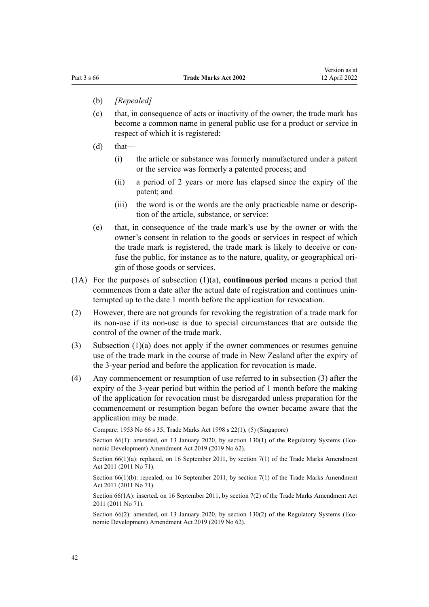- (b) *[Repealed]*
- (c) that, in consequence of acts or inactivity of the owner, the trade mark has become a common name in general public use for a product or service in respect of which it is registered:
- $(d)$  that—
	- (i) the article or substance was formerly manufactured under a patent or the service was formerly a patented process; and
	- (ii) a period of 2 years or more has elapsed since the expiry of the patent; and
	- (iii) the word is or the words are the only practicable name or description of the article, substance, or service:
- (e) that, in consequence of the trade mark's use by the owner or with the owner's consent in relation to the goods or services in respect of which the trade mark is registered, the trade mark is likely to deceive or con‐ fuse the public, for instance as to the nature, quality, or geographical origin of those goods or services.
- (1A) For the purposes of subsection (1)(a), **continuous period** means a period that commences from a date after the actual date of registration and continues uninterrupted up to the date 1 month before the application for revocation.
- (2) However, there are not grounds for revoking the registration of a trade mark for its non-use if its non-use is due to special circumstances that are outside the control of the owner of the trade mark.
- (3) Subsection (1)(a) does not apply if the owner commences or resumes genuine use of the trade mark in the course of trade in New Zealand after the expiry of the 3-year period and before the application for revocation is made.
- (4) Any commencement or resumption of use referred to in subsection (3) after the expiry of the 3-year period but within the period of 1 month before the making of the application for revocation must be disregarded unless preparation for the commencement or resumption began before the owner became aware that the application may be made.

Compare: 1953 No 66 s 35; Trade Marks Act 1998 s 22(1), (5) (Singapore)

Section  $66(1)$ : amended, on 13 January 2020, by [section 130\(1\)](http://legislation.govt.nz/pdflink.aspx?id=LMS85762) of the Regulatory Systems (Economic Development) Amendment Act 2019 (2019 No 62).

Section 66(1)(a): replaced, on 16 September 2011, by [section 7\(1\)](http://legislation.govt.nz/pdflink.aspx?id=DLM2290040) of the Trade Marks Amendment Act 2011 (2011 No 71).

Section  $66(1)(b)$ : repealed, on 16 September 2011, by [section 7\(1\)](http://legislation.govt.nz/pdflink.aspx?id=DLM2290040) of the Trade Marks Amendment Act 2011 (2011 No 71).

Section 66(1A): inserted, on 16 September 2011, by [section 7\(2\)](http://legislation.govt.nz/pdflink.aspx?id=DLM2290040) of the Trade Marks Amendment Act 2011 (2011 No 71).

Section 66(2): amended, on 13 January 2020, by [section 130\(2\)](http://legislation.govt.nz/pdflink.aspx?id=LMS85762) of the Regulatory Systems (Economic Development) Amendment Act 2019 (2019 No 62).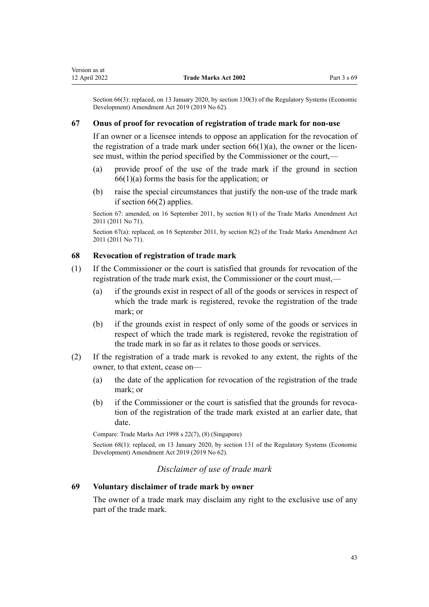Section 66(3): replaced, on 13 January 2020, by [section 130\(3\)](http://legislation.govt.nz/pdflink.aspx?id=LMS85762) of the Regulatory Systems (Economic Development) Amendment Act 2019 (2019 No 62).

## **67 Onus of proof for revocation of registration of trade mark for non-use**

If an owner or a licensee intends to oppose an application for the revocation of the registration of a trade mark under section  $66(1)(a)$ , the owner or the licensee must, within the period specified by the Commissioner or the court,—

- (a) provide proof of the use of the trade mark if the ground in [section](#page-40-0)  $66(1)(a)$  forms the basis for the application; or
- (b) raise the special circumstances that justify the non-use of the trade mark if [section 66\(2\)](#page-40-0) applies.

Section 67: amended, on 16 September 2011, by [section 8\(1\)](http://legislation.govt.nz/pdflink.aspx?id=DLM2290042) of the Trade Marks Amendment Act 2011 (2011 No 71).

Section 67(a): replaced, on 16 September 2011, by [section 8\(2\)](http://legislation.govt.nz/pdflink.aspx?id=DLM2290042) of the Trade Marks Amendment Act 2011 (2011 No 71).

# **68 Revocation of registration of trade mark**

- (1) If the Commissioner or the court is satisfied that grounds for revocation of the registration of the trade mark exist, the Commissioner or the court must,—
	- (a) if the grounds exist in respect of all of the goods or services in respect of which the trade mark is registered, revoke the registration of the trade mark; or
	- (b) if the grounds exist in respect of only some of the goods or services in respect of which the trade mark is registered, revoke the registration of the trade mark in so far as it relates to those goods or services.
- (2) If the registration of a trade mark is revoked to any extent, the rights of the owner, to that extent, cease on—
	- (a) the date of the application for revocation of the registration of the trade mark; or
	- (b) if the Commissioner or the court is satisfied that the grounds for revocation of the registration of the trade mark existed at an earlier date, that date.

Compare: Trade Marks Act 1998 s 22(7), (8) (Singapore)

Section 68(1): replaced, on 13 January 2020, by [section 131](http://legislation.govt.nz/pdflink.aspx?id=LMS85763) of the Regulatory Systems (Economic Development) Amendment Act 2019 (2019 No 62).

# *Disclaimer of use of trade mark*

# **69 Voluntary disclaimer of trade mark by owner**

The owner of a trade mark may disclaim any right to the exclusive use of any part of the trade mark.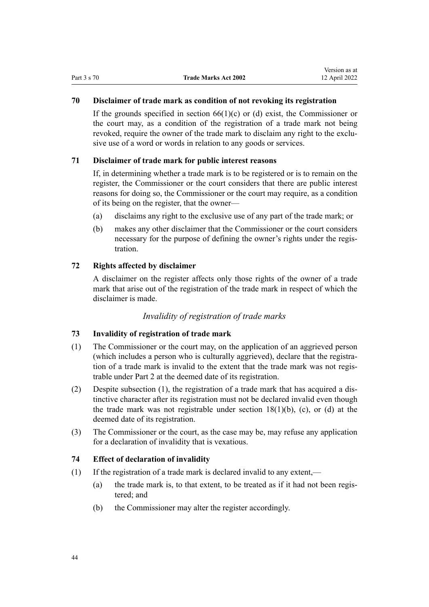# **70 Disclaimer of trade mark as condition of not revoking its registration**

If the grounds specified in section  $66(1)(c)$  or (d) exist, the Commissioner or the court may, as a condition of the registration of a trade mark not being revoked, require the owner of the trade mark to disclaim any right to the exclusive use of a word or words in relation to any goods or services.

# **71 Disclaimer of trade mark for public interest reasons**

If, in determining whether a trade mark is to be registered or is to remain on the register, the Commissioner or the court considers that there are public interest reasons for doing so, the Commissioner or the court may require, as a condition of its being on the register, that the owner—

- (a) disclaims any right to the exclusive use of any part of the trade mark; or
- (b) makes any other disclaimer that the Commissioner or the court considers necessary for the purpose of defining the owner's rights under the registration.

# **72 Rights affected by disclaimer**

A disclaimer on the register affects only those rights of the owner of a trade mark that arise out of the registration of the trade mark in respect of which the disclaimer is made.

# *Invalidity of registration of trade marks*

# **73 Invalidity of registration of trade mark**

- (1) The Commissioner or the court may, on the application of an aggrieved person (which includes a person who is culturally aggrieved), declare that the registration of a trade mark is invalid to the extent that the trade mark was not regis‐ trable under [Part 2](#page-21-0) at the deemed date of its registration.
- (2) Despite subsection (1), the registration of a trade mark that has acquired a dis‐ tinctive character after its registration must not be declared invalid even though the trade mark was not registrable under section  $18(1)(b)$ , (c), or (d) at the deemed date of its registration.
- (3) The Commissioner or the court, as the case may be, may refuse any application for a declaration of invalidity that is vexatious.

# **74 Effect of declaration of invalidity**

- (1) If the registration of a trade mark is declared invalid to any extent,—
	- (a) the trade mark is, to that extent, to be treated as if it had not been registered; and
	- (b) the Commissioner may alter the register accordingly.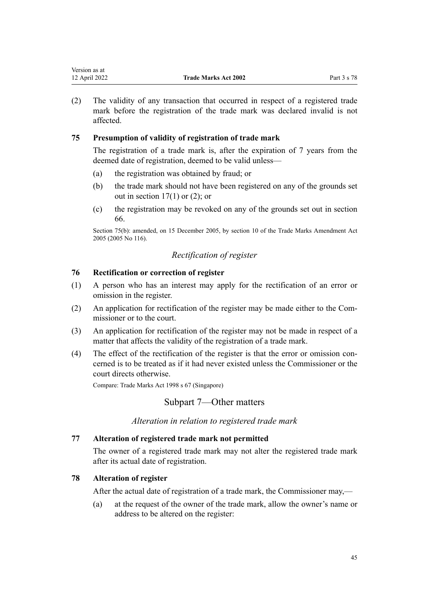| Version as at |                             |             |
|---------------|-----------------------------|-------------|
| 12 April 2022 | <b>Trade Marks Act 2002</b> | Part 3 s 78 |

(2) The validity of any transaction that occurred in respect of a registered trade mark before the registration of the trade mark was declared invalid is not affected.

# **75 Presumption of validity of registration of trade mark**

The registration of a trade mark is, after the expiration of 7 years from the deemed date of registration, deemed to be valid unless—

- (a) the registration was obtained by fraud; or
- (b) the trade mark should not have been registered on any of the grounds set out in section  $17(1)$  or  $(2)$ ; or
- (c) the registration may be revoked on any of the grounds set out in [section](#page-40-0) [66.](#page-40-0)

Section 75(b): amended, on 15 December 2005, by [section 10](http://legislation.govt.nz/pdflink.aspx?id=DLM362644) of the Trade Marks Amendment Act 2005 (2005 No 116).

# *Rectification of register*

# **76 Rectification or correction of register**

- (1) A person who has an interest may apply for the rectification of an error or omission in the register.
- (2) An application for rectification of the register may be made either to the Com‐ missioner or to the court.
- (3) An application for rectification of the register may not be made in respect of a matter that affects the validity of the registration of a trade mark.
- (4) The effect of the rectification of the register is that the error or omission con‐ cerned is to be treated as if it had never existed unless the Commissioner or the court directs otherwise.

Compare: Trade Marks Act 1998 s 67 (Singapore)

# Subpart 7—Other matters

*Alteration in relation to registered trade mark*

# **77 Alteration of registered trade mark not permitted**

The owner of a registered trade mark may not alter the registered trade mark after its actual date of registration.

# **78 Alteration of register**

After the actual date of registration of a trade mark, the Commissioner may,—

(a) at the request of the owner of the trade mark, allow the owner's name or address to be altered on the register: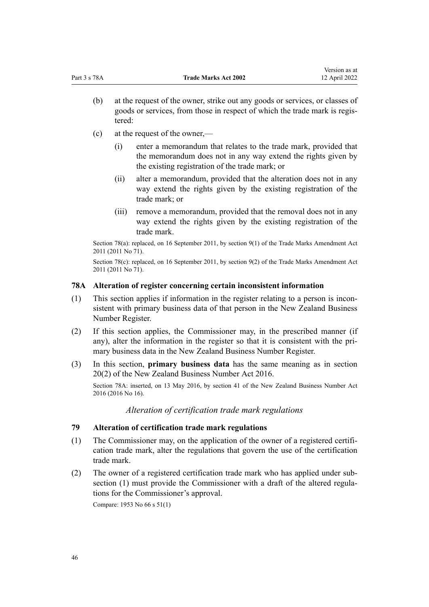- (b) at the request of the owner, strike out any goods or services, or classes of goods or services, from those in respect of which the trade mark is regis‐ tered:
- (c) at the request of the owner,—
	- (i) enter a memorandum that relates to the trade mark, provided that the memorandum does not in any way extend the rights given by the existing registration of the trade mark; or
	- (ii) alter a memorandum, provided that the alteration does not in any way extend the rights given by the existing registration of the trade mark; or
	- (iii) remove a memorandum, provided that the removal does not in any way extend the rights given by the existing registration of the trade mark.

Section 78(a): replaced, on 16 September 2011, by [section 9\(1\)](http://legislation.govt.nz/pdflink.aspx?id=DLM2290043) of the Trade Marks Amendment Act 2011 (2011 No 71).

Section 78(c): replaced, on 16 September 2011, by [section 9\(2\)](http://legislation.govt.nz/pdflink.aspx?id=DLM2290043) of the Trade Marks Amendment Act 2011 (2011 No 71).

#### **78A Alteration of register concerning certain inconsistent information**

- (1) This section applies if information in the register relating to a person is incon‐ sistent with primary business data of that person in the New Zealand Business Number Register.
- (2) If this section applies, the Commissioner may, in the prescribed manner (if any), alter the information in the register so that it is consistent with the primary business data in the New Zealand Business Number Register.
- (3) In this section, **primary business data** has the same meaning as in [section](http://legislation.govt.nz/pdflink.aspx?id=DLM6431573) [20\(2\)](http://legislation.govt.nz/pdflink.aspx?id=DLM6431573) of the New Zealand Business Number Act 2016.

Section 78A: inserted, on 13 May 2016, by [section 41](http://legislation.govt.nz/pdflink.aspx?id=DLM6431601) of the New Zealand Business Number Act 2016 (2016 No 16).

*Alteration of certification trade mark regulations*

# **79 Alteration of certification trade mark regulations**

- (1) The Commissioner may, on the application of the owner of a registered certifi‐ cation trade mark, alter the regulations that govern the use of the certification trade mark.
- (2) The owner of a registered certification trade mark who has applied under sub‐ section (1) must provide the Commissioner with a draft of the altered regulations for the Commissioner's approval.

Compare: 1953 No 66 s 51(1)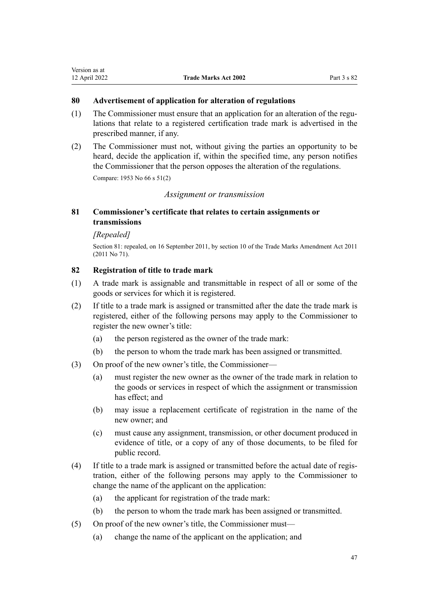# **80 Advertisement of application for alteration of regulations**

- (1) The Commissioner must ensure that an application for an alteration of the regulations that relate to a registered certification trade mark is advertised in the prescribed manner, if any.
- (2) The Commissioner must not, without giving the parties an opportunity to be heard, decide the application if, within the specified time, any person notifies the Commissioner that the person opposes the alteration of the regulations.

Compare: 1953 No 66 s 51(2)

# *Assignment or transmission*

# **81 Commissioner's certificate that relates to certain assignments or transmissions**

# *[Repealed]*

Section 81: repealed, on 16 September 2011, by [section 10](http://legislation.govt.nz/pdflink.aspx?id=DLM2290044) of the Trade Marks Amendment Act 2011 (2011 No 71).

# **82 Registration of title to trade mark**

- (1) A trade mark is assignable and transmittable in respect of all or some of the goods or services for which it is registered.
- (2) If title to a trade mark is assigned or transmitted after the date the trade mark is registered, either of the following persons may apply to the Commissioner to register the new owner's title:
	- (a) the person registered as the owner of the trade mark:
	- (b) the person to whom the trade mark has been assigned or transmitted.
- (3) On proof of the new owner's title, the Commissioner—
	- (a) must register the new owner as the owner of the trade mark in relation to the goods or services in respect of which the assignment or transmission has effect; and
	- (b) may issue a replacement certificate of registration in the name of the new owner; and
	- (c) must cause any assignment, transmission, or other document produced in evidence of title, or a copy of any of those documents, to be filed for public record.
- (4) If title to a trade mark is assigned or transmitted before the actual date of regis‐ tration, either of the following persons may apply to the Commissioner to change the name of the applicant on the application:
	- (a) the applicant for registration of the trade mark:
	- (b) the person to whom the trade mark has been assigned or transmitted.
- (5) On proof of the new owner's title, the Commissioner must—
	- (a) change the name of the applicant on the application; and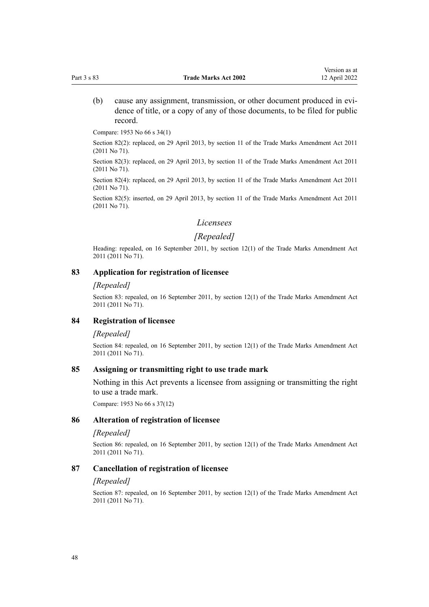(b) cause any assignment, transmission, or other document produced in evidence of title, or a copy of any of those documents, to be filed for public record.

Compare: 1953 No 66 s 34(1)

Section 82(2): replaced, on 29 April 2013, by [section 11](http://legislation.govt.nz/pdflink.aspx?id=DLM2290045) of the Trade Marks Amendment Act 2011 (2011 No 71).

Section 82(3): replaced, on 29 April 2013, by [section 11](http://legislation.govt.nz/pdflink.aspx?id=DLM2290045) of the Trade Marks Amendment Act 2011 (2011 No 71).

Section 82(4): replaced, on 29 April 2013, by [section 11](http://legislation.govt.nz/pdflink.aspx?id=DLM2290045) of the Trade Marks Amendment Act 2011 (2011 No 71).

Section 82(5): inserted, on 29 April 2013, by [section 11](http://legislation.govt.nz/pdflink.aspx?id=DLM2290045) of the Trade Marks Amendment Act 2011 (2011 No 71).

#### *Licensees*

# *[Repealed]*

Heading: repealed, on 16 September 2011, by [section 12\(1\)](http://legislation.govt.nz/pdflink.aspx?id=DLM2290046) of the Trade Marks Amendment Act 2011 (2011 No 71).

## **83 Application for registration of licensee**

#### *[Repealed]*

Section 83: repealed, on 16 September 2011, by [section 12\(1\)](http://legislation.govt.nz/pdflink.aspx?id=DLM2290046) of the Trade Marks Amendment Act 2011 (2011 No 71).

## **84 Registration of licensee**

#### *[Repealed]*

Section 84: repealed, on 16 September 2011, by [section 12\(1\)](http://legislation.govt.nz/pdflink.aspx?id=DLM2290046) of the Trade Marks Amendment Act 2011 (2011 No 71).

# **85 Assigning or transmitting right to use trade mark**

Nothing in this Act prevents a licensee from assigning or transmitting the right to use a trade mark.

Compare: 1953 No 66 s 37(12)

#### **86 Alteration of registration of licensee**

## *[Repealed]*

Section 86: repealed, on 16 September 2011, by [section 12\(1\)](http://legislation.govt.nz/pdflink.aspx?id=DLM2290046) of the Trade Marks Amendment Act 2011 (2011 No 71).

## **87 Cancellation of registration of licensee**

#### *[Repealed]*

Section 87: repealed, on 16 September 2011, by [section 12\(1\)](http://legislation.govt.nz/pdflink.aspx?id=DLM2290046) of the Trade Marks Amendment Act 2011 (2011 No 71).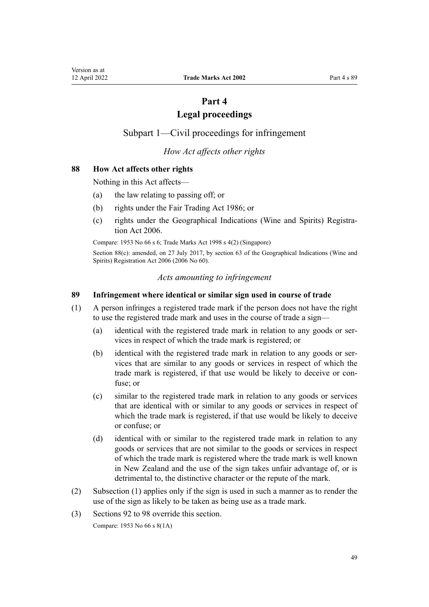# **Part 4**

# **Legal proceedings**

<span id="page-48-0"></span>Subpart 1—Civil proceedings for infringement

*How Act affects other rights*

# **88 How Act affects other rights**

Nothing in this Act affects—

- (a) the law relating to passing off; or
- (b) rights under the [Fair Trading Act 1986](http://legislation.govt.nz/pdflink.aspx?id=DLM96438); or
- (c) rights under the [Geographical Indications \(Wine and Spirits\) Registra‐](http://legislation.govt.nz/pdflink.aspx?id=DLM390755) [tion Act 2006](http://legislation.govt.nz/pdflink.aspx?id=DLM390755).

Compare: 1953 No 66 s 6; Trade Marks Act 1998 s 4(2) (Singapore)

Section 88(c): amended, on 27 July 2017, by [section 63](http://legislation.govt.nz/pdflink.aspx?id=DLM390893) of the Geographical Indications (Wine and Spirits) Registration Act 2006 (2006 No 60).

## *Acts amounting to infringement*

## **89 Infringement where identical or similar sign used in course of trade**

- (1) A person infringes a registered trade mark if the person does not have the right to use the registered trade mark and uses in the course of trade a sign—
	- (a) identical with the registered trade mark in relation to any goods or services in respect of which the trade mark is registered; or
	- (b) identical with the registered trade mark in relation to any goods or services that are similar to any goods or services in respect of which the trade mark is registered, if that use would be likely to deceive or con‐ fuse; or
	- (c) similar to the registered trade mark in relation to any goods or services that are identical with or similar to any goods or services in respect of which the trade mark is registered, if that use would be likely to deceive or confuse; or
	- (d) identical with or similar to the registered trade mark in relation to any goods or services that are not similar to the goods or services in respect of which the trade mark is registered where the trade mark is well known in New Zealand and the use of the sign takes unfair advantage of, or is detrimental to, the distinctive character or the repute of the mark.
- (2) Subsection (1) applies only if the sign is used in such a manner as to render the use of the sign as likely to be taken as being use as a trade mark.
- (3) [Sections 92 to 98](#page-50-0) override this section.

Compare: 1953 No 66 s 8(1A)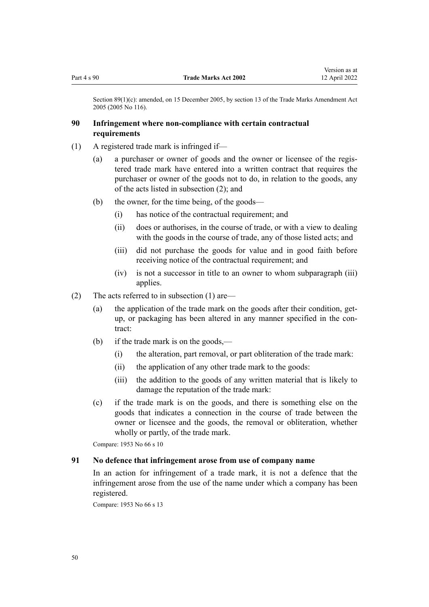Section 89(1)(c): amended, on 15 December 2005, by [section 13](http://legislation.govt.nz/pdflink.aspx?id=DLM362647) of the Trade Marks Amendment Act 2005 (2005 No 116).

# **90 Infringement where non-compliance with certain contractual requirements**

- (1) A registered trade mark is infringed if—
	- (a) a purchaser or owner of goods and the owner or licensee of the regis‐ tered trade mark have entered into a written contract that requires the purchaser or owner of the goods not to do, in relation to the goods, any of the acts listed in subsection (2); and
	- (b) the owner, for the time being, of the goods—
		- (i) has notice of the contractual requirement; and
		- (ii) does or authorises, in the course of trade, or with a view to dealing with the goods in the course of trade, any of those listed acts; and
		- (iii) did not purchase the goods for value and in good faith before receiving notice of the contractual requirement; and
		- (iv) is not a successor in title to an owner to whom subparagraph (iii) applies.
- (2) The acts referred to in subsection (1) are—
	- (a) the application of the trade mark on the goods after their condition, getup, or packaging has been altered in any manner specified in the contract:
	- (b) if the trade mark is on the goods,—
		- (i) the alteration, part removal, or part obliteration of the trade mark:
		- (ii) the application of any other trade mark to the goods:
		- (iii) the addition to the goods of any written material that is likely to damage the reputation of the trade mark:
	- (c) if the trade mark is on the goods, and there is something else on the goods that indicates a connection in the course of trade between the owner or licensee and the goods, the removal or obliteration, whether wholly or partly, of the trade mark.

Compare: 1953 No 66 s 10

## **91 No defence that infringement arose from use of company name**

In an action for infringement of a trade mark, it is not a defence that the infringement arose from the use of the name under which a company has been registered.

Compare: 1953 No 66 s 13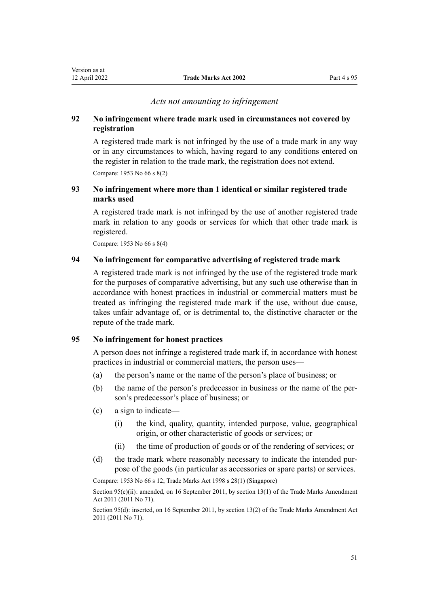# *Acts not amounting to infringement*

# <span id="page-50-0"></span>**92 No infringement where trade mark used in circumstances not covered by registration**

A registered trade mark is not infringed by the use of a trade mark in any way or in any circumstances to which, having regard to any conditions entered on the register in relation to the trade mark, the registration does not extend. Compare: 1953 No 66 s 8(2)

# **93 No infringement where more than 1 identical or similar registered trade marks used**

A registered trade mark is not infringed by the use of another registered trade mark in relation to any goods or services for which that other trade mark is registered.

Compare: 1953 No 66 s 8(4)

# **94 No infringement for comparative advertising of registered trade mark**

A registered trade mark is not infringed by the use of the registered trade mark for the purposes of comparative advertising, but any such use otherwise than in accordance with honest practices in industrial or commercial matters must be treated as infringing the registered trade mark if the use, without due cause, takes unfair advantage of, or is detrimental to, the distinctive character or the repute of the trade mark.

## **95 No infringement for honest practices**

A person does not infringe a registered trade mark if, in accordance with honest practices in industrial or commercial matters, the person uses—

- (a) the person's name or the name of the person's place of business; or
- (b) the name of the person's predecessor in business or the name of the per‐ son's predecessor's place of business; or
- (c) a sign to indicate—
	- (i) the kind, quality, quantity, intended purpose, value, geographical origin, or other characteristic of goods or services; or
	- (ii) the time of production of goods or of the rendering of services; or
- (d) the trade mark where reasonably necessary to indicate the intended purpose of the goods (in particular as accessories or spare parts) or services.

Compare: 1953 No 66 s 12; Trade Marks Act 1998 s 28(1) (Singapore)

Section 95(c)(ii): amended, on 16 September 2011, by [section 13\(1\)](http://legislation.govt.nz/pdflink.aspx?id=DLM2290047) of the Trade Marks Amendment Act 2011 (2011 No 71).

Section 95(d): inserted, on 16 September 2011, by [section 13\(2\)](http://legislation.govt.nz/pdflink.aspx?id=DLM2290047) of the Trade Marks Amendment Act 2011 (2011 No 71).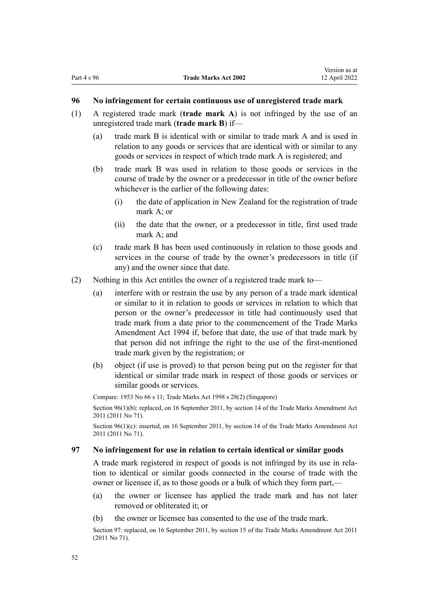## <span id="page-51-0"></span>**96 No infringement for certain continuous use of unregistered trade mark**

- (1) A registered trade mark (**trade mark A**) is not infringed by the use of an unregistered trade mark (**trade mark B**) if—
	- (a) trade mark B is identical with or similar to trade mark A and is used in relation to any goods or services that are identical with or similar to any goods or services in respect of which trade mark A is registered; and
	- (b) trade mark B was used in relation to those goods or services in the course of trade by the owner or a predecessor in title of the owner before whichever is the earlier of the following dates:
		- (i) the date of application in New Zealand for the registration of trade mark A; or
		- (ii) the date that the owner, or a predecessor in title, first used trade mark A; and
	- (c) trade mark B has been used continuously in relation to those goods and services in the course of trade by the owner's predecessors in title (if any) and the owner since that date.
- (2) Nothing in this Act entitles the owner of a registered trade mark to—
	- (a) interfere with or restrain the use by any person of a trade mark identical or similar to it in relation to goods or services in relation to which that person or the owner's predecessor in title had continuously used that trade mark from a date prior to the commencement of the Trade Marks Amendment Act 1994 if, before that date, the use of that trade mark by that person did not infringe the right to the use of the first-mentioned trade mark given by the registration; or
	- (b) object (if use is proved) to that person being put on the register for that identical or similar trade mark in respect of those goods or services or similar goods or services.

Compare: 1953 No 66 s 11; Trade Marks Act 1998 s 28(2) (Singapore)

Section 96(1)(b): replaced, on 16 September 2011, by [section 14](http://legislation.govt.nz/pdflink.aspx?id=DLM2353604) of the Trade Marks Amendment Act 2011 (2011 No 71).

Section 96(1)(c): inserted, on 16 September 2011, by [section 14](http://legislation.govt.nz/pdflink.aspx?id=DLM2353604) of the Trade Marks Amendment Act 2011 (2011 No 71).

#### **97 No infringement for use in relation to certain identical or similar goods**

A trade mark registered in respect of goods is not infringed by its use in rela‐ tion to identical or similar goods connected in the course of trade with the owner or licensee if, as to those goods or a bulk of which they form part,—

- (a) the owner or licensee has applied the trade mark and has not later removed or obliterated it; or
- (b) the owner or licensee has consented to the use of the trade mark.

Section 97: replaced, on 16 September 2011, by [section 15](http://legislation.govt.nz/pdflink.aspx?id=DLM2290048) of the Trade Marks Amendment Act 2011 (2011 No 71).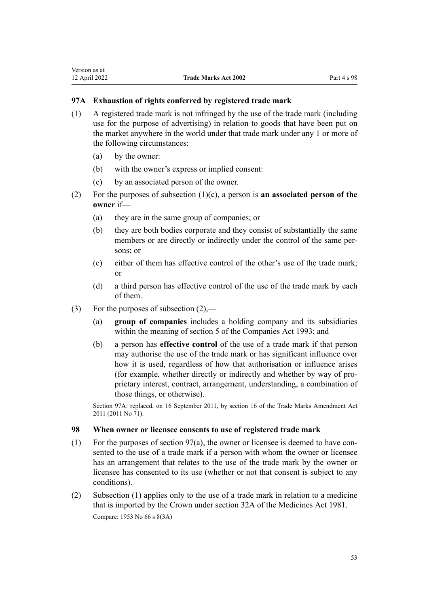# **97A Exhaustion of rights conferred by registered trade mark**

- (1) A registered trade mark is not infringed by the use of the trade mark (including use for the purpose of advertising) in relation to goods that have been put on the market anywhere in the world under that trade mark under any 1 or more of the following circumstances:
	- (a) by the owner:
	- (b) with the owner's express or implied consent:
	- (c) by an associated person of the owner.
- (2) For the purposes of subsection (1)(c), a person is **an associated person of the owner** if—
	- (a) they are in the same group of companies; or
	- (b) they are both bodies corporate and they consist of substantially the same members or are directly or indirectly under the control of the same persons; or
	- (c) either of them has effective control of the other's use of the trade mark; or
	- (d) a third person has effective control of the use of the trade mark by each of them.
- (3) For the purposes of subsection  $(2)$ ,—
	- (a) **group of companies** includes a holding company and its subsidiaries within the meaning of [section 5](http://legislation.govt.nz/pdflink.aspx?id=DLM319999) of the Companies Act 1993; and
	- (b) a person has **effective control** of the use of a trade mark if that person may authorise the use of the trade mark or has significant influence over how it is used, regardless of how that authorisation or influence arises (for example, whether directly or indirectly and whether by way of pro‐ prietary interest, contract, arrangement, understanding, a combination of those things, or otherwise).

Section 97A: replaced, on 16 September 2011, by [section 16](http://legislation.govt.nz/pdflink.aspx?id=DLM2290050) of the Trade Marks Amendment Act 2011 (2011 No 71).

# **98 When owner or licensee consents to use of registered trade mark**

- (1) For the purposes of section  $97(a)$ , the owner or licensee is deemed to have consented to the use of a trade mark if a person with whom the owner or licensee has an arrangement that relates to the use of the trade mark by the owner or licensee has consented to its use (whether or not that consent is subject to any conditions).
- (2) Subsection (1) applies only to the use of a trade mark in relation to a medicine that is imported by the Crown under [section 32A](http://legislation.govt.nz/pdflink.aspx?id=DLM55435) of the Medicines Act 1981. Compare: 1953 No 66 s 8(3A)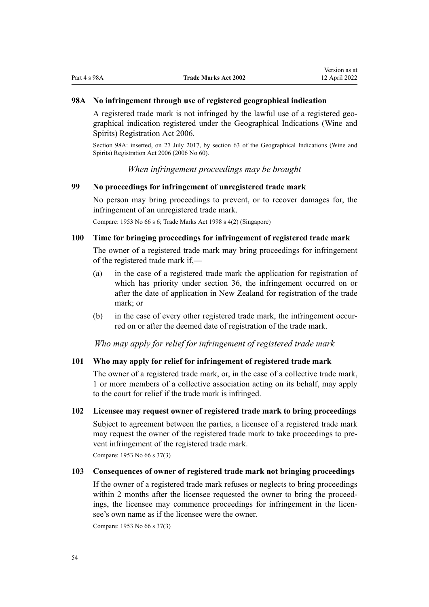# <span id="page-53-0"></span>**98A No infringement through use of registered geographical indication**

A registered trade mark is not infringed by the lawful use of a registered geo‐ graphical indication registered under the [Geographical Indications \(Wine and](http://legislation.govt.nz/pdflink.aspx?id=DLM390755) [Spirits\) Registration Act 2006.](http://legislation.govt.nz/pdflink.aspx?id=DLM390755)

Section 98A: inserted, on 27 July 2017, by [section 63](http://legislation.govt.nz/pdflink.aspx?id=DLM390893) of the Geographical Indications (Wine and Spirits) Registration Act 2006 (2006 No 60).

*When infringement proceedings may be brought*

# **99 No proceedings for infringement of unregistered trade mark**

No person may bring proceedings to prevent, or to recover damages for, the infringement of an unregistered trade mark.

Compare: 1953 No 66 s 6; Trade Marks Act 1998 s 4(2) (Singapore)

# **100 Time for bringing proceedings for infringement of registered trade mark**

The owner of a registered trade mark may bring proceedings for infringement of the registered trade mark if,—

- (a) in the case of a registered trade mark the application for registration of which has priority under [section 36,](#page-32-0) the infringement occurred on or after the date of application in New Zealand for registration of the trade mark; or
- (b) in the case of every other registered trade mark, the infringement occurred on or after the deemed date of registration of the trade mark.

*Who may apply for relief for infringement of registered trade mark*

#### **101 Who may apply for relief for infringement of registered trade mark**

The owner of a registered trade mark, or, in the case of a collective trade mark, 1 or more members of a collective association acting on its behalf, may apply to the court for relief if the trade mark is infringed.

#### **102 Licensee may request owner of registered trade mark to bring proceedings**

Subject to agreement between the parties, a licensee of a registered trade mark may request the owner of the registered trade mark to take proceedings to prevent infringement of the registered trade mark.

Compare: 1953 No 66 s 37(3)

# **103 Consequences of owner of registered trade mark not bringing proceedings**

If the owner of a registered trade mark refuses or neglects to bring proceedings within 2 months after the licensee requested the owner to bring the proceedings, the licensee may commence proceedings for infringement in the licensee's own name as if the licensee were the owner.

Compare: 1953 No 66 s 37(3)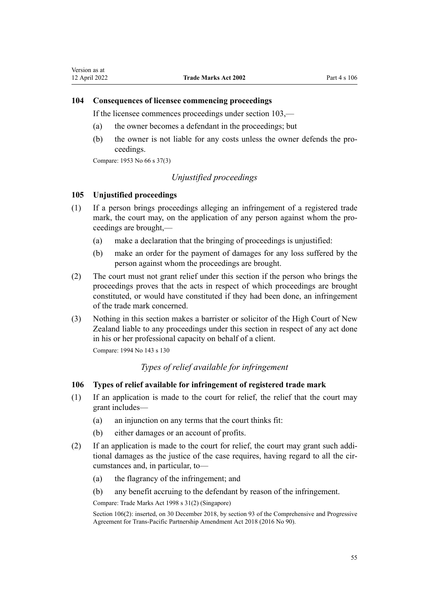# **104 Consequences of licensee commencing proceedings**

If the licensee commences proceedings under [section 103,](#page-53-0)—

- (a) the owner becomes a defendant in the proceedings; but
- (b) the owner is not liable for any costs unless the owner defends the proceedings.

Compare: 1953 No 66 s 37(3)

# *Unjustified proceedings*

# **105 Unjustified proceedings**

- (1) If a person brings proceedings alleging an infringement of a registered trade mark, the court may, on the application of any person against whom the proceedings are brought,—
	- (a) make a declaration that the bringing of proceedings is unjustified:
	- (b) make an order for the payment of damages for any loss suffered by the person against whom the proceedings are brought.
- (2) The court must not grant relief under this section if the person who brings the proceedings proves that the acts in respect of which proceedings are brought constituted, or would have constituted if they had been done, an infringement of the trade mark concerned.
- (3) Nothing in this section makes a barrister or solicitor of the High Court of New Zealand liable to any proceedings under this section in respect of any act done in his or her professional capacity on behalf of a client.

Compare: 1994 No 143 [s 130](http://legislation.govt.nz/pdflink.aspx?id=DLM346600)

# *Types of relief available for infringement*

# **106 Types of relief available for infringement of registered trade mark**

- (1) If an application is made to the court for relief, the relief that the court may grant includes—
	- (a) an injunction on any terms that the court thinks fit:
	- (b) either damages or an account of profits.
- (2) If an application is made to the court for relief, the court may grant such addi‐ tional damages as the justice of the case requires, having regard to all the circumstances and, in particular, to—
	- (a) the flagrancy of the infringement; and
	- (b) any benefit accruing to the defendant by reason of the infringement.

Compare: Trade Marks Act 1998 s 31(2) (Singapore)

Section 106(2): inserted, on 30 December 2018, by [section 93](http://legislation.govt.nz/pdflink.aspx?id=DLM6838428) of the Comprehensive and Progressive Agreement for Trans-Pacific Partnership Amendment Act 2018 (2016 No 90).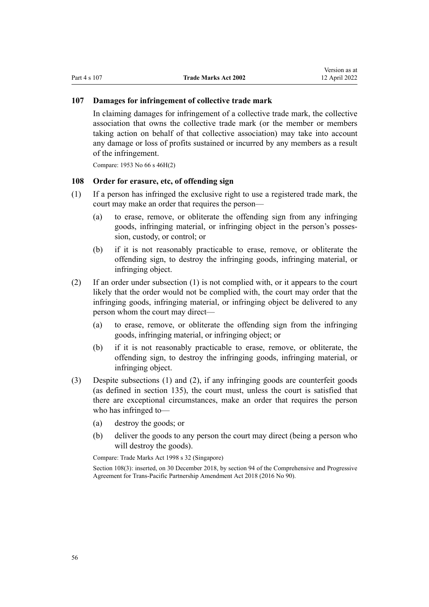# **107 Damages for infringement of collective trade mark**

In claiming damages for infringement of a collective trade mark, the collective association that owns the collective trade mark (or the member or members taking action on behalf of that collective association) may take into account any damage or loss of profits sustained or incurred by any members as a result of the infringement.

Compare: 1953 No 66 s 46H(2)

# **108 Order for erasure, etc, of offending sign**

- (1) If a person has infringed the exclusive right to use a registered trade mark, the court may make an order that requires the person—
	- (a) to erase, remove, or obliterate the offending sign from any infringing goods, infringing material, or infringing object in the person's posses‐ sion, custody, or control; or
	- (b) if it is not reasonably practicable to erase, remove, or obliterate the offending sign, to destroy the infringing goods, infringing material, or infringing object.
- (2) If an order under subsection (1) is not complied with, or it appears to the court likely that the order would not be complied with, the court may order that the infringing goods, infringing material, or infringing object be delivered to any person whom the court may direct—
	- (a) to erase, remove, or obliterate the offending sign from the infringing goods, infringing material, or infringing object; or
	- (b) if it is not reasonably practicable to erase, remove, or obliterate, the offending sign, to destroy the infringing goods, infringing material, or infringing object.
- (3) Despite subsections (1) and (2), if any infringing goods are counterfeit goods (as defined in [section 135\)](#page-81-0), the court must, unless the court is satisfied that there are exceptional circumstances, make an order that requires the person who has infringed to—
	- (a) destroy the goods; or
	- (b) deliver the goods to any person the court may direct (being a person who will destroy the goods).

Compare: Trade Marks Act 1998 s 32 (Singapore)

Section 108(3): inserted, on 30 December 2018, by [section 94](http://legislation.govt.nz/pdflink.aspx?id=DLM6838429) of the Comprehensive and Progressive Agreement for Trans-Pacific Partnership Amendment Act 2018 (2016 No 90).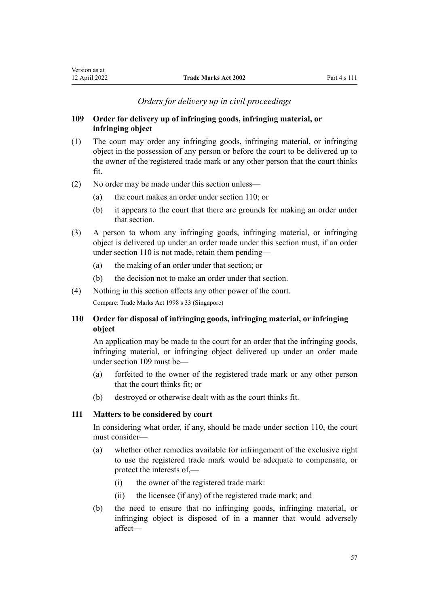# *Orders for delivery up in civil proceedings*

# <span id="page-56-0"></span>**109 Order for delivery up of infringing goods, infringing material, or infringing object**

- (1) The court may order any infringing goods, infringing material, or infringing object in the possession of any person or before the court to be delivered up to the owner of the registered trade mark or any other person that the court thinks fit.
- (2) No order may be made under this section unless—
	- (a) the court makes an order under section 110; or
	- (b) it appears to the court that there are grounds for making an order under that section.
- (3) A person to whom any infringing goods, infringing material, or infringing object is delivered up under an order made under this section must, if an order under section 110 is not made, retain them pending—
	- (a) the making of an order under that section; or
	- (b) the decision not to make an order under that section.
- (4) Nothing in this section affects any other power of the court. Compare: Trade Marks Act 1998 s 33 (Singapore)

# **110 Order for disposal of infringing goods, infringing material, or infringing object**

An application may be made to the court for an order that the infringing goods, infringing material, or infringing object delivered up under an order made under section 109 must be—

- (a) forfeited to the owner of the registered trade mark or any other person that the court thinks fit; or
- (b) destroyed or otherwise dealt with as the court thinks fit.

# **111 Matters to be considered by court**

In considering what order, if any, should be made under section 110, the court must consider—

- (a) whether other remedies available for infringement of the exclusive right to use the registered trade mark would be adequate to compensate, or protect the interests of,—
	- (i) the owner of the registered trade mark:
	- (ii) the licensee (if any) of the registered trade mark; and
- (b) the need to ensure that no infringing goods, infringing material, or infringing object is disposed of in a manner that would adversely affect—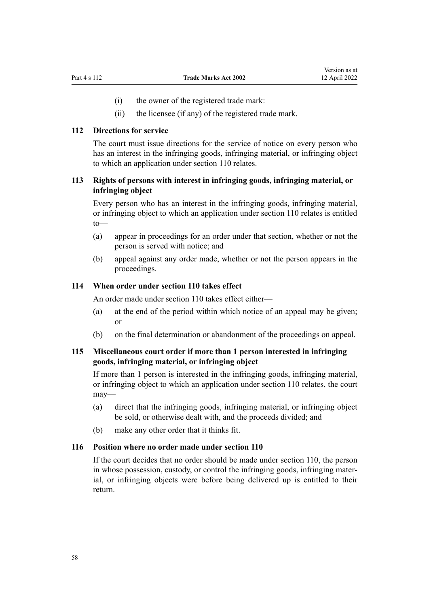- (i) the owner of the registered trade mark:
- (ii) the licensee (if any) of the registered trade mark.

# **112 Directions for service**

The court must issue directions for the service of notice on every person who has an interest in the infringing goods, infringing material, or infringing object to which an application under [section 110](#page-56-0) relates.

# **113 Rights of persons with interest in infringing goods, infringing material, or infringing object**

Every person who has an interest in the infringing goods, infringing material, or infringing object to which an application under [section 110](#page-56-0) relates is entitled to—

- (a) appear in proceedings for an order under that section, whether or not the person is served with notice; and
- (b) appeal against any order made, whether or not the person appears in the proceedings.

## **114 When order under section 110 takes effect**

An order made under [section 110](#page-56-0) takes effect either—

- (a) at the end of the period within which notice of an appeal may be given; or
- (b) on the final determination or abandonment of the proceedings on appeal.

# **115 Miscellaneous court order if more than 1 person interested in infringing goods, infringing material, or infringing object**

If more than 1 person is interested in the infringing goods, infringing material, or infringing object to which an application under [section 110](#page-56-0) relates, the court may—

- (a) direct that the infringing goods, infringing material, or infringing object be sold, or otherwise dealt with, and the proceeds divided; and
- (b) make any other order that it thinks fit.

## **116 Position where no order made under section 110**

If the court decides that no order should be made under [section 110](#page-56-0), the person in whose possession, custody, or control the infringing goods, infringing material, or infringing objects were before being delivered up is entitled to their return.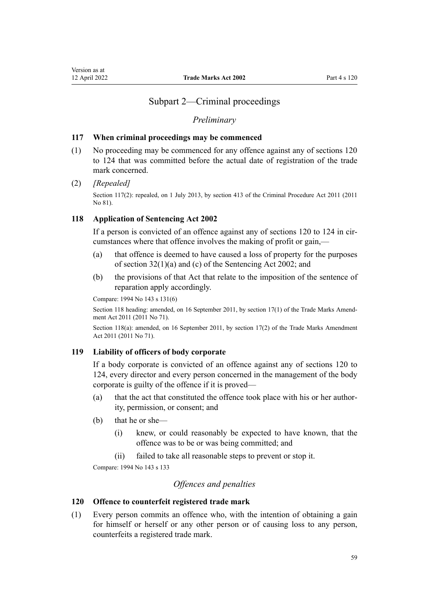# Subpart 2—Criminal proceedings

#### *Preliminary*

## <span id="page-58-0"></span>**117 When criminal proceedings may be commenced**

(1) No proceeding may be commenced for any offence against any of sections 120 to 124 that was committed before the actual date of registration of the trade mark concerned.

## (2) *[Repealed]*

Section 117(2): repealed, on 1 July 2013, by [section 413](http://legislation.govt.nz/pdflink.aspx?id=DLM3360714) of the Criminal Procedure Act 2011 (2011 No 81).

# **118 Application of Sentencing Act 2002**

If a person is convicted of an offence against any of sections 120 to 124 in circumstances where that offence involves the making of profit or gain,—

- (a) that offence is deemed to have caused a loss of property for the purposes of [section 32\(1\)\(a\) and \(c\)](http://legislation.govt.nz/pdflink.aspx?id=DLM135596) of the Sentencing Act 2002; and
- (b) the provisions of that Act that relate to the imposition of the sentence of reparation apply accordingly.

Compare: 1994 No 143 [s 131\(6\)](http://legislation.govt.nz/pdflink.aspx?id=DLM346602)

Section 118 heading: amended, on 16 September 2011, by [section 17\(1\)](http://legislation.govt.nz/pdflink.aspx?id=DLM2290054) of the Trade Marks Amendment Act 2011 (2011 No 71).

Section 118(a): amended, on 16 September 2011, by [section 17\(2\)](http://legislation.govt.nz/pdflink.aspx?id=DLM2290054) of the Trade Marks Amendment Act 2011 (2011 No 71).

## **119 Liability of officers of body corporate**

If a body corporate is convicted of an offence against any of sections 120 to 124, every director and every person concerned in the management of the body corporate is guilty of the offence if it is proved—

- (a) that the act that constituted the offence took place with his or her author‐ ity, permission, or consent; and
- (b) that he or she—
	- (i) knew, or could reasonably be expected to have known, that the offence was to be or was being committed; and
	- (ii) failed to take all reasonable steps to prevent or stop it.

Compare: 1994 No 143 [s 133](http://legislation.govt.nz/pdflink.aspx?id=DLM346611)

# *Offences and penalties*

# **120 Offence to counterfeit registered trade mark**

(1) Every person commits an offence who, with the intention of obtaining a gain for himself or herself or any other person or of causing loss to any person, counterfeits a registered trade mark.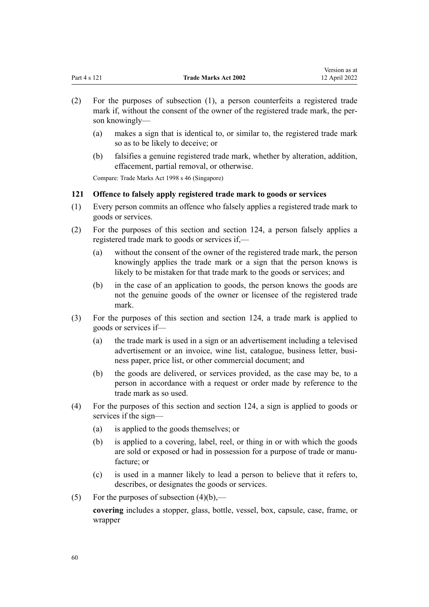<span id="page-59-0"></span>

|              |                             | -------------- |
|--------------|-----------------------------|----------------|
| Part 4 s 121 | <b>Trade Marks Act 2002</b> | 12 April 2022  |

Version as at

- (2) For the purposes of subsection (1), a person counterfeits a registered trade mark if, without the consent of the owner of the registered trade mark, the person knowingly—
	- (a) makes a sign that is identical to, or similar to, the registered trade mark so as to be likely to deceive; or
	- (b) falsifies a genuine registered trade mark, whether by alteration, addition, effacement, partial removal, or otherwise.

Compare: Trade Marks Act 1998 s 46 (Singapore)

# **121 Offence to falsely apply registered trade mark to goods or services**

- (1) Every person commits an offence who falsely applies a registered trade mark to goods or services.
- (2) For the purposes of this section and [section 124,](#page-60-0) a person falsely applies a registered trade mark to goods or services if,—
	- (a) without the consent of the owner of the registered trade mark, the person knowingly applies the trade mark or a sign that the person knows is likely to be mistaken for that trade mark to the goods or services; and
	- (b) in the case of an application to goods, the person knows the goods are not the genuine goods of the owner or licensee of the registered trade mark.
- (3) For the purposes of this section and [section 124,](#page-60-0) a trade mark is applied to goods or services if—
	- (a) the trade mark is used in a sign or an advertisement including a televised advertisement or an invoice, wine list, catalogue, business letter, business paper, price list, or other commercial document; and
	- (b) the goods are delivered, or services provided, as the case may be, to a person in accordance with a request or order made by reference to the trade mark as so used.
- (4) For the purposes of this section and [section 124](#page-60-0), a sign is applied to goods or services if the sign—
	- (a) is applied to the goods themselves; or
	- (b) is applied to a covering, label, reel, or thing in or with which the goods are sold or exposed or had in possession for a purpose of trade or manu‐ facture; or
	- (c) is used in a manner likely to lead a person to believe that it refers to, describes, or designates the goods or services.
- (5) For the purposes of subsection  $(4)(b)$ ,—

**covering** includes a stopper, glass, bottle, vessel, box, capsule, case, frame, or wrapper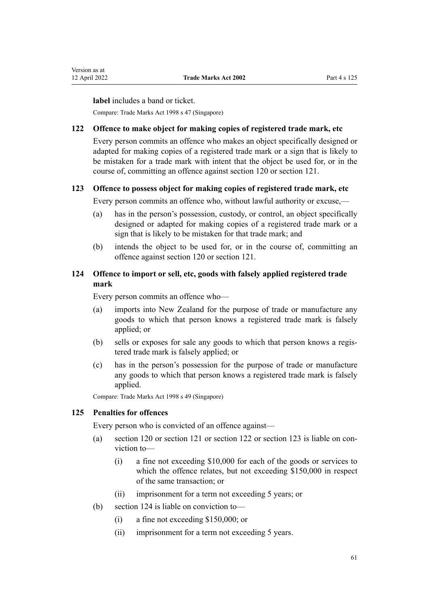<span id="page-60-0"></span>**label** includes a band or ticket.

Compare: Trade Marks Act 1998 s 47 (Singapore)

## **122 Offence to make object for making copies of registered trade mark, etc**

Every person commits an offence who makes an object specifically designed or adapted for making copies of a registered trade mark or a sign that is likely to be mistaken for a trade mark with intent that the object be used for, or in the course of, committing an offence against [section 120](#page-58-0) or [section 121](#page-59-0).

# **123 Offence to possess object for making copies of registered trade mark, etc**

Every person commits an offence who, without lawful authority or excuse,—

- (a) has in the person's possession, custody, or control, an object specifically designed or adapted for making copies of a registered trade mark or a sign that is likely to be mistaken for that trade mark; and
- (b) intends the object to be used for, or in the course of, committing an offence against [section 120](#page-58-0) or [section 121.](#page-59-0)

# **124 Offence to import or sell, etc, goods with falsely applied registered trade mark**

Every person commits an offence who—

- (a) imports into New Zealand for the purpose of trade or manufacture any goods to which that person knows a registered trade mark is falsely applied; or
- (b) sells or exposes for sale any goods to which that person knows a regis‐ tered trade mark is falsely applied; or
- (c) has in the person's possession for the purpose of trade or manufacture any goods to which that person knows a registered trade mark is falsely applied.

Compare: Trade Marks Act 1998 s 49 (Singapore)

#### **125 Penalties for offences**

Every person who is convicted of an offence against—

- (a) [section 120](#page-58-0) or [section 121](#page-59-0) or section 122 or section 123 is liable on con‐ viction to—
	- (i) a fine not exceeding \$10,000 for each of the goods or services to which the offence relates, but not exceeding \$150,000 in respect of the same transaction; or
	- (ii) imprisonment for a term not exceeding 5 years; or
- (b) section 124 is liable on conviction to—
	- (i) a fine not exceeding \$150,000; or
	- (ii) imprisonment for a term not exceeding 5 years.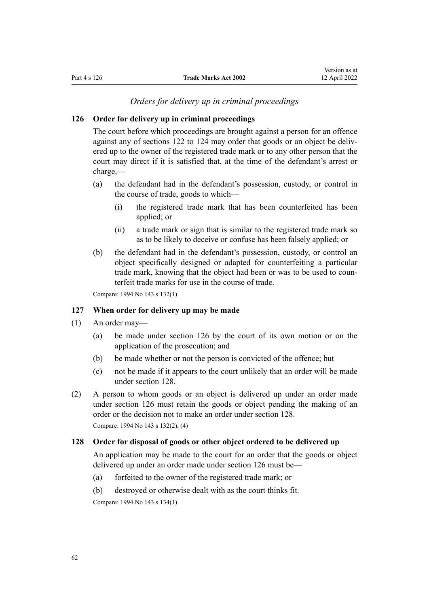## *Orders for delivery up in criminal proceedings*

## <span id="page-61-0"></span>**126 Order for delivery up in criminal proceedings**

The court before which proceedings are brought against a person for an offence against any of [sections 122 to 124](#page-60-0) may order that goods or an object be delivered up to the owner of the registered trade mark or to any other person that the court may direct if it is satisfied that, at the time of the defendant's arrest or charge,—

- (a) the defendant had in the defendant's possession, custody, or control in the course of trade, goods to which—
	- (i) the registered trade mark that has been counterfeited has been applied; or
	- (ii) a trade mark or sign that is similar to the registered trade mark so as to be likely to deceive or confuse has been falsely applied; or
- (b) the defendant had in the defendant's possession, custody, or control an object specifically designed or adapted for counterfeiting a particular trade mark, knowing that the object had been or was to be used to coun‐ terfeit trade marks for use in the course of trade.

Compare: 1994 No 143 [s 132\(1\)](http://legislation.govt.nz/pdflink.aspx?id=DLM346610)

#### **127 When order for delivery up may be made**

- (1) An order may—
	- (a) be made under section 126 by the court of its own motion or on the application of the prosecution; and
	- (b) be made whether or not the person is convicted of the offence; but
	- (c) not be made if it appears to the court unlikely that an order will be made under section 128.
- (2) A person to whom goods or an object is delivered up under an order made under section 126 must retain the goods or object pending the making of an order or the decision not to make an order under section 128.

Compare: 1994 No 143 [s 132\(2\), \(4\)](http://legislation.govt.nz/pdflink.aspx?id=DLM346610)

# **128 Order for disposal of goods or other object ordered to be delivered up**

An application may be made to the court for an order that the goods or object delivered up under an order made under section 126 must be—

- (a) forfeited to the owner of the registered trade mark; or
- (b) destroyed or otherwise dealt with as the court thinks fit.

Compare: 1994 No 143 [s 134\(1\)](http://legislation.govt.nz/pdflink.aspx?id=DLM346615)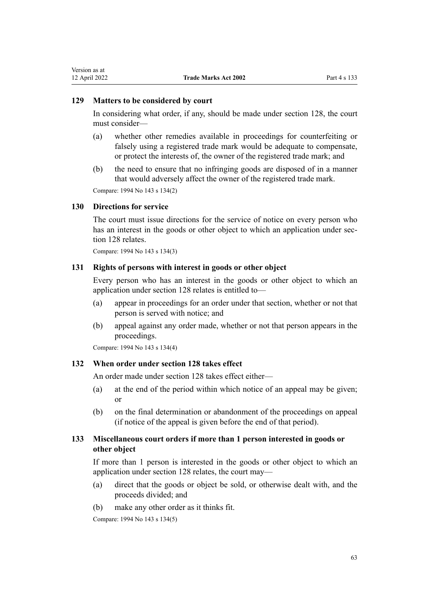## **129 Matters to be considered by court**

In considering what order, if any, should be made under [section 128](#page-61-0), the court must consider—

- (a) whether other remedies available in proceedings for counterfeiting or falsely using a registered trade mark would be adequate to compensate, or protect the interests of, the owner of the registered trade mark; and
- (b) the need to ensure that no infringing goods are disposed of in a manner that would adversely affect the owner of the registered trade mark.

Compare: 1994 No 143 [s 134\(2\)](http://legislation.govt.nz/pdflink.aspx?id=DLM346615)

## **130 Directions for service**

The court must issue directions for the service of notice on every person who has an interest in the goods or other object to which an application under sec[tion 128](#page-61-0) relates.

Compare: 1994 No 143 [s 134\(3\)](http://legislation.govt.nz/pdflink.aspx?id=DLM346615)

## **131 Rights of persons with interest in goods or other object**

Every person who has an interest in the goods or other object to which an application under [section 128](#page-61-0) relates is entitled to—

- (a) appear in proceedings for an order under that section, whether or not that person is served with notice; and
- (b) appeal against any order made, whether or not that person appears in the proceedings.

Compare: 1994 No 143 [s 134\(4\)](http://legislation.govt.nz/pdflink.aspx?id=DLM346615)

# **132 When order under section 128 takes effect**

An order made under [section 128](#page-61-0) takes effect either—

- (a) at the end of the period within which notice of an appeal may be given; or
- (b) on the final determination or abandonment of the proceedings on appeal (if notice of the appeal is given before the end of that period).

# **133 Miscellaneous court orders if more than 1 person interested in goods or other object**

If more than 1 person is interested in the goods or other object to which an application under [section 128](#page-61-0) relates, the court may—

- (a) direct that the goods or object be sold, or otherwise dealt with, and the proceeds divided; and
- (b) make any other order as it thinks fit.

Compare: 1994 No 143 [s 134\(5\)](http://legislation.govt.nz/pdflink.aspx?id=DLM346615)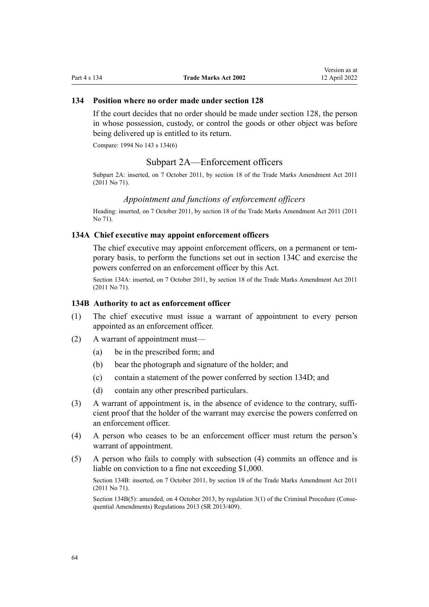# **134 Position where no order made under section 128**

If the court decides that no order should be made under [section 128](#page-61-0), the person in whose possession, custody, or control the goods or other object was before being delivered up is entitled to its return.

Compare: 1994 No 143 [s 134\(6\)](http://legislation.govt.nz/pdflink.aspx?id=DLM346615)

# Subpart 2A—Enforcement officers

Subpart 2A: inserted, on 7 October 2011, by [section 18](http://legislation.govt.nz/pdflink.aspx?id=DLM2290055) of the Trade Marks Amendment Act 2011 (2011 No 71).

### *Appointment and functions of enforcement officers*

Heading: inserted, on 7 October 2011, by [section 18](http://legislation.govt.nz/pdflink.aspx?id=DLM2290055) of the Trade Marks Amendment Act 2011 (2011 No 71).

## **134A Chief executive may appoint enforcement officers**

The chief executive may appoint enforcement officers, on a permanent or temporary basis, to perform the functions set out in [section 134C](#page-64-0) and exercise the powers conferred on an enforcement officer by this Act.

Section 134A: inserted, on 7 October 2011, by [section 18](http://legislation.govt.nz/pdflink.aspx?id=DLM2290055) of the Trade Marks Amendment Act 2011 (2011 No 71).

## **134B Authority to act as enforcement officer**

- (1) The chief executive must issue a warrant of appointment to every person appointed as an enforcement officer.
- (2) A warrant of appointment must—
	- (a) be in the prescribed form; and
	- (b) bear the photograph and signature of the holder; and
	- (c) contain a statement of the power conferred by [section 134D](#page-64-0); and
	- (d) contain any other prescribed particulars.
- (3) A warrant of appointment is, in the absence of evidence to the contrary, sufficient proof that the holder of the warrant may exercise the powers conferred on an enforcement officer.
- (4) A person who ceases to be an enforcement officer must return the person's warrant of appointment.
- (5) A person who fails to comply with subsection (4) commits an offence and is liable on conviction to a fine not exceeding \$1,000.

Section 134B: inserted, on 7 October 2011, by [section 18](http://legislation.govt.nz/pdflink.aspx?id=DLM2290055) of the Trade Marks Amendment Act 2011 (2011 No 71).

Section 134B(5): amended, on 4 October 2013, by [regulation 3\(1\)](http://legislation.govt.nz/pdflink.aspx?id=DLM5642106) of the Criminal Procedure (Consequential Amendments) Regulations 2013 (SR 2013/409).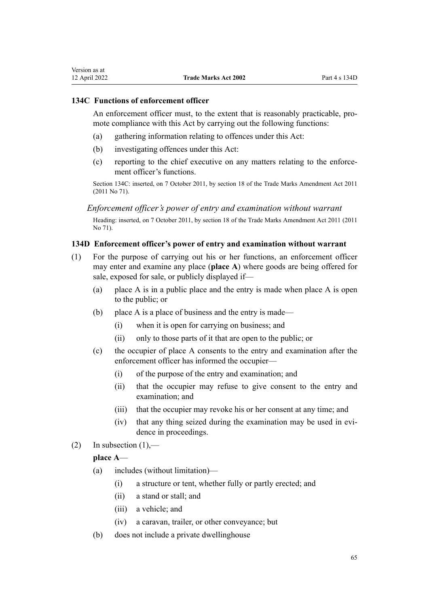# <span id="page-64-0"></span>**134C Functions of enforcement officer**

An enforcement officer must, to the extent that is reasonably practicable, promote compliance with this Act by carrying out the following functions:

- (a) gathering information relating to offences under this Act:
- (b) investigating offences under this Act:
- (c) reporting to the chief executive on any matters relating to the enforce‐ ment officer's functions.

Section 134C: inserted, on 7 October 2011, by [section 18](http://legislation.govt.nz/pdflink.aspx?id=DLM2290055) of the Trade Marks Amendment Act 2011 (2011 No 71).

*Enforcement officer's power of entry and examination without warrant*

Heading: inserted, on 7 October 2011, by [section 18](http://legislation.govt.nz/pdflink.aspx?id=DLM2290055) of the Trade Marks Amendment Act 2011 (2011 No 71).

# **134D Enforcement officer's power of entry and examination without warrant**

- (1) For the purpose of carrying out his or her functions, an enforcement officer may enter and examine any place (**place A**) where goods are being offered for sale, exposed for sale, or publicly displayed if—
	- (a) place A is in a public place and the entry is made when place A is open to the public; or
	- (b) place A is a place of business and the entry is made—
		- (i) when it is open for carrying on business; and
		- (ii) only to those parts of it that are open to the public; or
	- (c) the occupier of place A consents to the entry and examination after the enforcement officer has informed the occupier—
		- (i) of the purpose of the entry and examination; and
		- (ii) that the occupier may refuse to give consent to the entry and examination; and
		- (iii) that the occupier may revoke his or her consent at any time; and
		- (iv) that any thing seized during the examination may be used in evidence in proceedings.
- (2) In subsection  $(1)$ ,—

# **place A**—

- (a) includes (without limitation)—
	- (i) a structure or tent, whether fully or partly erected; and
	- (ii) a stand or stall; and
	- (iii) a vehicle; and
	- (iv) a caravan, trailer, or other conveyance; but
- (b) does not include a private dwellinghouse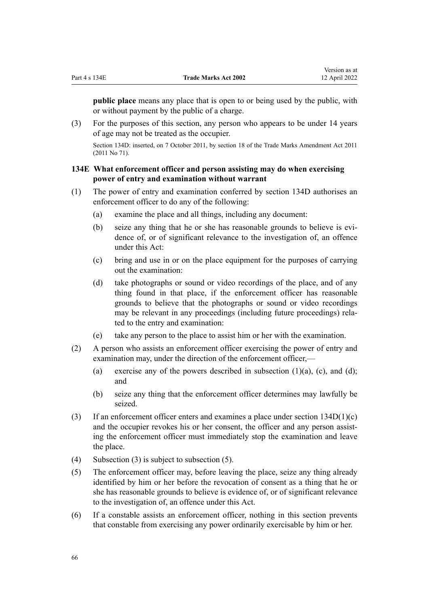**public place** means any place that is open to or being used by the public, with or without payment by the public of a charge.

(3) For the purposes of this section, any person who appears to be under 14 years of age may not be treated as the occupier.

Section 134D: inserted, on 7 October 2011, by [section 18](http://legislation.govt.nz/pdflink.aspx?id=DLM2290055) of the Trade Marks Amendment Act 2011 (2011 No 71).

# **134E What enforcement officer and person assisting may do when exercising power of entry and examination without warrant**

- (1) The power of entry and examination conferred by [section 134D](#page-64-0) authorises an enforcement officer to do any of the following:
	- (a) examine the place and all things, including any document:
	- (b) seize any thing that he or she has reasonable grounds to believe is evidence of, or of significant relevance to the investigation of, an offence under this Act:
	- (c) bring and use in or on the place equipment for the purposes of carrying out the examination:
	- (d) take photographs or sound or video recordings of the place, and of any thing found in that place, if the enforcement officer has reasonable grounds to believe that the photographs or sound or video recordings may be relevant in any proceedings (including future proceedings) rela‐ ted to the entry and examination:
	- (e) take any person to the place to assist him or her with the examination.
- (2) A person who assists an enforcement officer exercising the power of entry and examination may, under the direction of the enforcement officer,—
	- (a) exercise any of the powers described in subsection  $(1)(a)$ ,  $(c)$ , and  $(d)$ ; and
	- (b) seize any thing that the enforcement officer determines may lawfully be seized.
- (3) If an enforcement officer enters and examines a place under section  $134D(1)(c)$ and the occupier revokes his or her consent, the officer and any person assisting the enforcement officer must immediately stop the examination and leave the place.
- (4) Subsection (3) is subject to subsection (5).
- (5) The enforcement officer may, before leaving the place, seize any thing already identified by him or her before the revocation of consent as a thing that he or she has reasonable grounds to believe is evidence of, or of significant relevance to the investigation of, an offence under this Act.
- (6) If a constable assists an enforcement officer, nothing in this section prevents that constable from exercising any power ordinarily exercisable by him or her.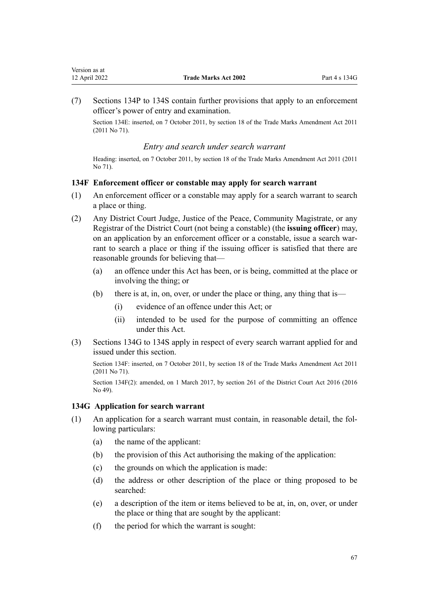<span id="page-66-0"></span>(7) [Sections 134P to 134S](#page-72-0) contain further provisions that apply to an enforcement officer's power of entry and examination.

Section 134E: inserted, on 7 October 2011, by [section 18](http://legislation.govt.nz/pdflink.aspx?id=DLM2290055) of the Trade Marks Amendment Act 2011 (2011 No 71).

# *Entry and search under search warrant*

Heading: inserted, on 7 October 2011, by [section 18](http://legislation.govt.nz/pdflink.aspx?id=DLM2290055) of the Trade Marks Amendment Act 2011 (2011 No 71).

# **134F Enforcement officer or constable may apply for search warrant**

- (1) An enforcement officer or a constable may apply for a search warrant to search a place or thing.
- (2) Any District Court Judge, Justice of the Peace, Community Magistrate, or any Registrar of the District Court (not being a constable) (the **issuing officer**) may, on an application by an enforcement officer or a constable, issue a search warrant to search a place or thing if the issuing officer is satisfied that there are reasonable grounds for believing that—
	- (a) an offence under this Act has been, or is being, committed at the place or involving the thing; or
	- (b) there is at, in, on, over, or under the place or thing, any thing that is—
		- (i) evidence of an offence under this Act; or
		- (ii) intended to be used for the purpose of committing an offence under this Act.
- (3) Sections 134G to 134S apply in respect of every search warrant applied for and issued under this section.

Section 134F: inserted, on 7 October 2011, by [section 18](http://legislation.govt.nz/pdflink.aspx?id=DLM2290055) of the Trade Marks Amendment Act 2011 (2011 No 71).

Section 134F(2): amended, on 1 March 2017, by [section 261](http://legislation.govt.nz/pdflink.aspx?id=DLM6942680) of the District Court Act 2016 (2016 No 49).

# **134G Application for search warrant**

- (1) An application for a search warrant must contain, in reasonable detail, the fol‐ lowing particulars:
	- (a) the name of the applicant:
	- (b) the provision of this Act authorising the making of the application:
	- (c) the grounds on which the application is made:
	- (d) the address or other description of the place or thing proposed to be searched:
	- (e) a description of the item or items believed to be at, in, on, over, or under the place or thing that are sought by the applicant:
	- (f) the period for which the warrant is sought: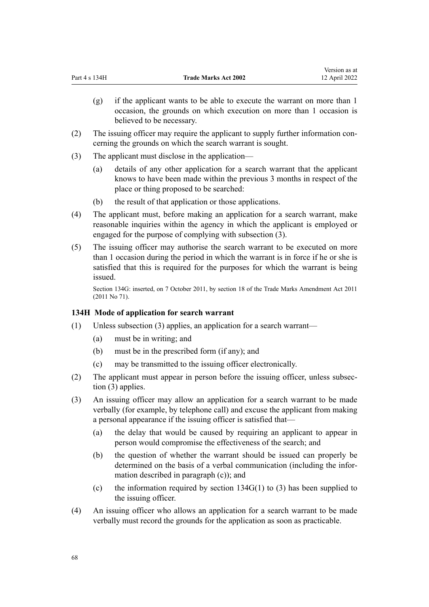(g) if the applicant wants to be able to execute the warrant on more than 1 occasion, the grounds on which execution on more than 1 occasion is believed to be necessary.

Version as at

- (2) The issuing officer may require the applicant to supply further information con‐ cerning the grounds on which the search warrant is sought.
- (3) The applicant must disclose in the application—
	- (a) details of any other application for a search warrant that the applicant knows to have been made within the previous 3 months in respect of the place or thing proposed to be searched:
	- (b) the result of that application or those applications.
- (4) The applicant must, before making an application for a search warrant, make reasonable inquiries within the agency in which the applicant is employed or engaged for the purpose of complying with subsection (3).
- (5) The issuing officer may authorise the search warrant to be executed on more than 1 occasion during the period in which the warrant is in force if he or she is satisfied that this is required for the purposes for which the warrant is being issued.

Section 134G: inserted, on 7 October 2011, by [section 18](http://legislation.govt.nz/pdflink.aspx?id=DLM2290055) of the Trade Marks Amendment Act 2011 (2011 No 71).

# **134H Mode of application for search warrant**

- (1) Unless subsection (3) applies, an application for a search warrant—
	- (a) must be in writing; and
	- (b) must be in the prescribed form (if any); and
	- (c) may be transmitted to the issuing officer electronically.
- (2) The applicant must appear in person before the issuing officer, unless subsec‐ tion (3) applies.
- (3) An issuing officer may allow an application for a search warrant to be made verbally (for example, by telephone call) and excuse the applicant from making a personal appearance if the issuing officer is satisfied that—
	- (a) the delay that would be caused by requiring an applicant to appear in person would compromise the effectiveness of the search; and
	- (b) the question of whether the warrant should be issued can properly be determined on the basis of a verbal communication (including the infor‐ mation described in paragraph (c)); and
	- (c) the information required by section  $134G(1)$  to (3) has been supplied to the issuing officer.
- (4) An issuing officer who allows an application for a search warrant to be made verbally must record the grounds for the application as soon as practicable.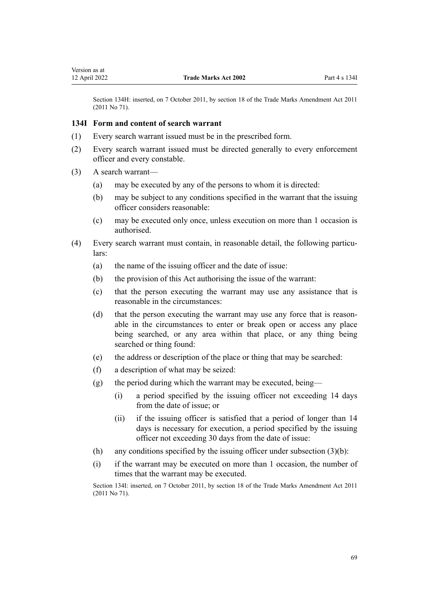<span id="page-68-0"></span>Section 134H: inserted, on 7 October 2011, by [section 18](http://legislation.govt.nz/pdflink.aspx?id=DLM2290055) of the Trade Marks Amendment Act 2011 (2011 No 71).

#### **134I Form and content of search warrant**

- (1) Every search warrant issued must be in the prescribed form.
- (2) Every search warrant issued must be directed generally to every enforcement officer and every constable.
- (3) A search warrant—
	- (a) may be executed by any of the persons to whom it is directed:
	- (b) may be subject to any conditions specified in the warrant that the issuing officer considers reasonable:
	- (c) may be executed only once, unless execution on more than 1 occasion is authorised.
- (4) Every search warrant must contain, in reasonable detail, the following particu‐ lars:
	- (a) the name of the issuing officer and the date of issue:
	- (b) the provision of this Act authorising the issue of the warrant:
	- (c) that the person executing the warrant may use any assistance that is reasonable in the circumstances:
	- (d) that the person executing the warrant may use any force that is reasonable in the circumstances to enter or break open or access any place being searched, or any area within that place, or any thing being searched or thing found:
	- (e) the address or description of the place or thing that may be searched:
	- (f) a description of what may be seized:
	- (g) the period during which the warrant may be executed, being—
		- (i) a period specified by the issuing officer not exceeding 14 days from the date of issue; or
		- (ii) if the issuing officer is satisfied that a period of longer than 14 days is necessary for execution, a period specified by the issuing officer not exceeding 30 days from the date of issue:
	- (h) any conditions specified by the issuing officer under subsection  $(3)(b)$ :
	- (i) if the warrant may be executed on more than 1 occasion, the number of times that the warrant may be executed.

Section 134I: inserted, on 7 October 2011, by [section 18](http://legislation.govt.nz/pdflink.aspx?id=DLM2290055) of the Trade Marks Amendment Act 2011 (2011 No 71).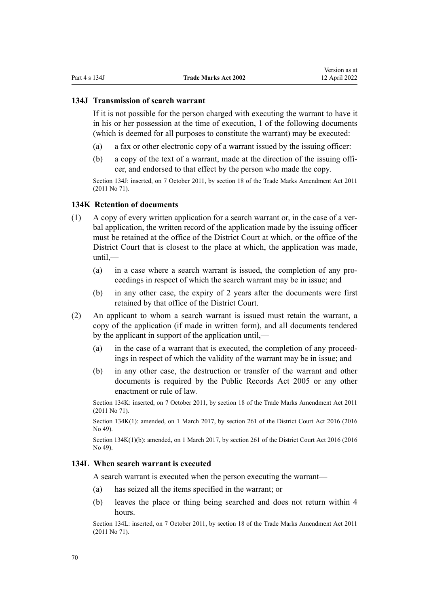## **134J Transmission of search warrant**

If it is not possible for the person charged with executing the warrant to have it in his or her possession at the time of execution, 1 of the following documents (which is deemed for all purposes to constitute the warrant) may be executed:

- (a) a fax or other electronic copy of a warrant issued by the issuing officer:
- (b) a copy of the text of a warrant, made at the direction of the issuing offi‐ cer, and endorsed to that effect by the person who made the copy.

Section 134J: inserted, on 7 October 2011, by [section 18](http://legislation.govt.nz/pdflink.aspx?id=DLM2290055) of the Trade Marks Amendment Act 2011 (2011 No 71).

## **134K Retention of documents**

- $(1)$  A copy of every written application for a search warrant or, in the case of a verbal application, the written record of the application made by the issuing officer must be retained at the office of the District Court at which, or the office of the District Court that is closest to the place at which, the application was made, until,—
	- (a) in a case where a search warrant is issued, the completion of any pro‐ ceedings in respect of which the search warrant may be in issue; and
	- (b) in any other case, the expiry of 2 years after the documents were first retained by that office of the District Court.
- (2) An applicant to whom a search warrant is issued must retain the warrant, a copy of the application (if made in written form), and all documents tendered by the applicant in support of the application until,—
	- (a) in the case of a warrant that is executed, the completion of any proceed‐ ings in respect of which the validity of the warrant may be in issue; and
	- (b) in any other case, the destruction or transfer of the warrant and other documents is required by the [Public Records Act 2005](http://legislation.govt.nz/pdflink.aspx?id=DLM345528) or any other enactment or rule of law.

Section 134K: inserted, on 7 October 2011, by [section 18](http://legislation.govt.nz/pdflink.aspx?id=DLM2290055) of the Trade Marks Amendment Act 2011 (2011 No 71).

Section 134K(1): amended, on 1 March 2017, by [section 261](http://legislation.govt.nz/pdflink.aspx?id=DLM6942680) of the District Court Act 2016 (2016 No 49).

Section 134K(1)(b): amended, on 1 March 2017, by [section 261](http://legislation.govt.nz/pdflink.aspx?id=DLM6942680) of the District Court Act 2016 (2016 No 49).

## **134L When search warrant is executed**

A search warrant is executed when the person executing the warrant—

- (a) has seized all the items specified in the warrant; or
- (b) leaves the place or thing being searched and does not return within 4 hours.

Section 134L: inserted, on 7 October 2011, by [section 18](http://legislation.govt.nz/pdflink.aspx?id=DLM2290055) of the Trade Marks Amendment Act 2011 (2011 No 71).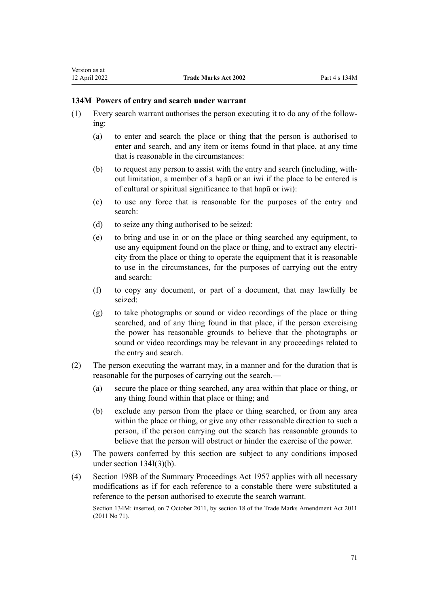# **134M Powers of entry and search under warrant**

- (1) Every search warrant authorises the person executing it to do any of the follow‐ ing:
	- (a) to enter and search the place or thing that the person is authorised to enter and search, and any item or items found in that place, at any time that is reasonable in the circumstances:
	- (b) to request any person to assist with the entry and search (including, with‐ out limitation, a member of a hapū or an iwi if the place to be entered is of cultural or spiritual significance to that hapū or iwi):
	- (c) to use any force that is reasonable for the purposes of the entry and search:
	- (d) to seize any thing authorised to be seized:
	- (e) to bring and use in or on the place or thing searched any equipment, to use any equipment found on the place or thing, and to extract any electricity from the place or thing to operate the equipment that it is reasonable to use in the circumstances, for the purposes of carrying out the entry and search:
	- (f) to copy any document, or part of a document, that may lawfully be seized:
	- (g) to take photographs or sound or video recordings of the place or thing searched, and of any thing found in that place, if the person exercising the power has reasonable grounds to believe that the photographs or sound or video recordings may be relevant in any proceedings related to the entry and search.
- (2) The person executing the warrant may, in a manner and for the duration that is reasonable for the purposes of carrying out the search,—
	- (a) secure the place or thing searched, any area within that place or thing, or any thing found within that place or thing; and
	- (b) exclude any person from the place or thing searched, or from any area within the place or thing, or give any other reasonable direction to such a person, if the person carrying out the search has reasonable grounds to believe that the person will obstruct or hinder the exercise of the power.
- (3) The powers conferred by this section are subject to any conditions imposed under [section 134I\(3\)\(b\).](#page-68-0)
- (4) [Section 198B](http://legislation.govt.nz/pdflink.aspx?id=DLM314016) of the Summary Proceedings Act 1957 applies with all necessary modifications as if for each reference to a constable there were substituted a reference to the person authorised to execute the search warrant.

Section 134M: inserted, on 7 October 2011, by [section 18](http://legislation.govt.nz/pdflink.aspx?id=DLM2290055) of the Trade Marks Amendment Act 2011 (2011 No 71).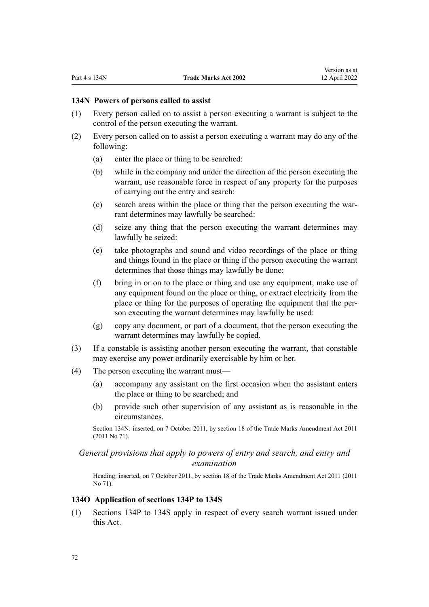## **134N Powers of persons called to assist**

- (1) Every person called on to assist a person executing a warrant is subject to the control of the person executing the warrant.
- (2) Every person called on to assist a person executing a warrant may do any of the following:
	- (a) enter the place or thing to be searched:
	- (b) while in the company and under the direction of the person executing the warrant, use reasonable force in respect of any property for the purposes of carrying out the entry and search:
	- (c) search areas within the place or thing that the person executing the war‐ rant determines may lawfully be searched:
	- (d) seize any thing that the person executing the warrant determines may lawfully be seized:
	- (e) take photographs and sound and video recordings of the place or thing and things found in the place or thing if the person executing the warrant determines that those things may lawfully be done:
	- (f) bring in or on to the place or thing and use any equipment, make use of any equipment found on the place or thing, or extract electricity from the place or thing for the purposes of operating the equipment that the per‐ son executing the warrant determines may lawfully be used:
	- (g) copy any document, or part of a document, that the person executing the warrant determines may lawfully be copied.
- (3) If a constable is assisting another person executing the warrant, that constable may exercise any power ordinarily exercisable by him or her.
- (4) The person executing the warrant must—
	- (a) accompany any assistant on the first occasion when the assistant enters the place or thing to be searched; and
	- (b) provide such other supervision of any assistant as is reasonable in the circumstances.

Section 134N: inserted, on 7 October 2011, by [section 18](http://legislation.govt.nz/pdflink.aspx?id=DLM2290055) of the Trade Marks Amendment Act 2011 (2011 No 71).

# *General provisions that apply to powers of entry and search, and entry and examination*

Heading: inserted, on 7 October 2011, by [section 18](http://legislation.govt.nz/pdflink.aspx?id=DLM2290055) of the Trade Marks Amendment Act 2011 (2011 No 71).

### **134O Application of sections 134P to 134S**

(1) [Sections 134P to 134S](#page-72-0) apply in respect of every search warrant issued under this Act.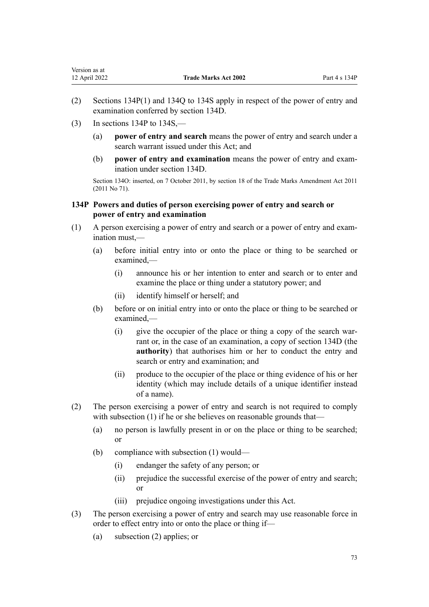- <span id="page-72-0"></span>(2) Sections 134P(1) and [134Q to 134S](#page-73-0) apply in respect of the power of entry and examination conferred by [section 134D](#page-64-0).
- $(3)$  In sections 134P to 134S,—
	- (a) **power of entry and search** means the power of entry and search under a search warrant issued under this Act; and
	- (b) **power of entry and examination** means the power of entry and exam‐ ination under [section 134D](#page-64-0).

Section 134O: inserted, on 7 October 2011, by [section 18](http://legislation.govt.nz/pdflink.aspx?id=DLM2290055) of the Trade Marks Amendment Act 2011 (2011 No 71).

# **134P Powers and duties of person exercising power of entry and search or power of entry and examination**

- (1) A person exercising a power of entry and search or a power of entry and exam‐ ination must,—
	- (a) before initial entry into or onto the place or thing to be searched or examined,—
		- (i) announce his or her intention to enter and search or to enter and examine the place or thing under a statutory power; and
		- (ii) identify himself or herself; and
	- (b) before or on initial entry into or onto the place or thing to be searched or examined,—
		- (i) give the occupier of the place or thing a copy of the search warrant or, in the case of an examination, a copy of [section 134D](#page-64-0) (the **authority**) that authorises him or her to conduct the entry and search or entry and examination; and
		- (ii) produce to the occupier of the place or thing evidence of his or her identity (which may include details of a unique identifier instead of a name).
- (2) The person exercising a power of entry and search is not required to comply with subsection (1) if he or she believes on reasonable grounds that—
	- (a) no person is lawfully present in or on the place or thing to be searched; or
	- (b) compliance with subsection (1) would—
		- (i) endanger the safety of any person; or
		- (ii) prejudice the successful exercise of the power of entry and search; or
		- (iii) prejudice ongoing investigations under this Act.
- (3) The person exercising a power of entry and search may use reasonable force in order to effect entry into or onto the place or thing if—
	- (a) subsection (2) applies; or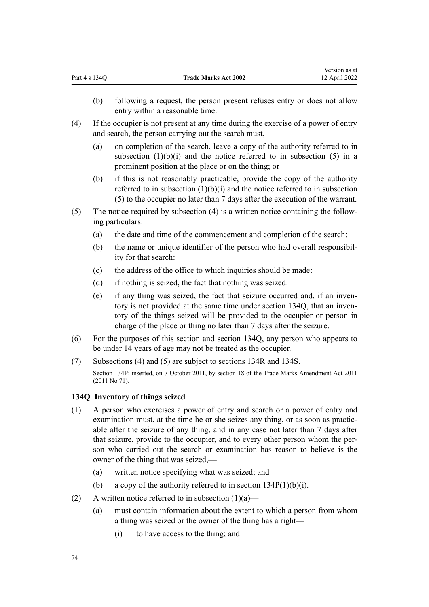- <span id="page-73-0"></span>(b) following a request, the person present refuses entry or does not allow entry within a reasonable time.
- (4) If the occupier is not present at any time during the exercise of a power of entry and search, the person carrying out the search must,—
	- (a) on completion of the search, leave a copy of the authority referred to in subsection  $(1)(b)(i)$  and the notice referred to in subsection  $(5)$  in a prominent position at the place or on the thing; or
	- (b) if this is not reasonably practicable, provide the copy of the authority referred to in subsection  $(1)(b)(i)$  and the notice referred to in subsection (5) to the occupier no later than 7 days after the execution of the warrant.
- (5) The notice required by subsection (4) is a written notice containing the follow‐ ing particulars:
	- (a) the date and time of the commencement and completion of the search:
	- (b) the name or unique identifier of the person who had overall responsibil‐ ity for that search:
	- (c) the address of the office to which inquiries should be made:
	- (d) if nothing is seized, the fact that nothing was seized:
	- (e) if any thing was seized, the fact that seizure occurred and, if an inven‐ tory is not provided at the same time under section 134Q, that an inventory of the things seized will be provided to the occupier or person in charge of the place or thing no later than 7 days after the seizure.
- (6) For the purposes of this section and section 134Q, any person who appears to be under 14 years of age may not be treated as the occupier.
- (7) Subsections (4) and (5) are subject to [sections 134R](#page-74-0) and [134S](#page-75-0).

Section 134P: inserted, on 7 October 2011, by [section 18](http://legislation.govt.nz/pdflink.aspx?id=DLM2290055) of the Trade Marks Amendment Act 2011 (2011 No 71).

## **134Q Inventory of things seized**

- (1) A person who exercises a power of entry and search or a power of entry and examination must, at the time he or she seizes any thing, or as soon as practicable after the seizure of any thing, and in any case not later than 7 days after that seizure, provide to the occupier, and to every other person whom the per‐ son who carried out the search or examination has reason to believe is the owner of the thing that was seized,—
	- (a) written notice specifying what was seized; and
	- (b) a copy of the authority referred to in section  $134P(1)(b)(i)$ .
- (2) A written notice referred to in subsection  $(1)(a)$ 
	- (a) must contain information about the extent to which a person from whom a thing was seized or the owner of the thing has a right—
		- (i) to have access to the thing; and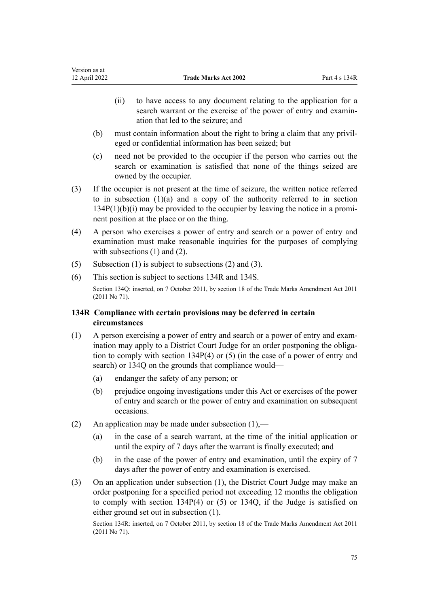- <span id="page-74-0"></span>(ii) to have access to any document relating to the application for a search warrant or the exercise of the power of entry and examination that led to the seizure; and
- (b) must contain information about the right to bring a claim that any privil‐ eged or confidential information has been seized; but
- (c) need not be provided to the occupier if the person who carries out the search or examination is satisfied that none of the things seized are owned by the occupier.
- (3) If the occupier is not present at the time of seizure, the written notice referred to in sub[section](#page-72-0)  $(1)(a)$  and a copy of the authority referred to in section  $134P(1)(b)(i)$  may be provided to the occupier by leaving the notice in a prominent position at the place or on the thing.
- (4) A person who exercises a power of entry and search or a power of entry and examination must make reasonable inquiries for the purposes of complying with subsections (1) and (2).
- (5) Subsection (1) is subject to subsections (2) and (3).
- (6) This section is subject to sections 134R and [134S.](#page-75-0)

Section 134Q: inserted, on 7 October 2011, by [section 18](http://legislation.govt.nz/pdflink.aspx?id=DLM2290055) of the Trade Marks Amendment Act 2011 (2011 No 71).

# **134R Compliance with certain provisions may be deferred in certain circumstances**

- (1) A person exercising a power of entry and search or a power of entry and exam‐ ination may apply to a District Court Judge for an order postponing the obligation to comply with [section 134P\(4\) or \(5\)](#page-72-0) (in the case of a power of entry and search) or [134Q](#page-73-0) on the grounds that compliance would—
	- (a) endanger the safety of any person; or
	- (b) prejudice ongoing investigations under this Act or exercises of the power of entry and search or the power of entry and examination on subsequent occasions.
- (2) An application may be made under subsection  $(1)$ ,—
	- (a) in the case of a search warrant, at the time of the initial application or until the expiry of 7 days after the warrant is finally executed; and
	- (b) in the case of the power of entry and examination, until the expiry of 7 days after the power of entry and examination is exercised.
- (3) On an application under subsection (1), the District Court Judge may make an order postponing for a specified period not exceeding 12 months the obligation to comply with [section 134P\(4\) or \(5\)](#page-72-0) or [134Q](#page-73-0), if the Judge is satisfied on either ground set out in subsection (1).

Section 134R: inserted, on 7 October 2011, by [section 18](http://legislation.govt.nz/pdflink.aspx?id=DLM2290055) of the Trade Marks Amendment Act 2011 (2011 No 71).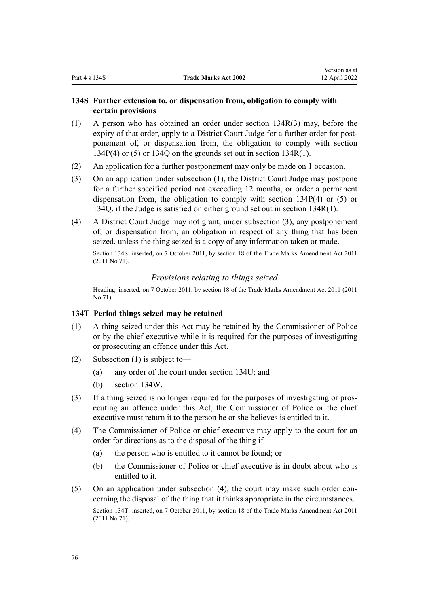# <span id="page-75-0"></span>**134S Further extension to, or dispensation from, obligation to comply with certain provisions**

- (1) A person who has obtained an order under [section 134R\(3\)](#page-74-0) may, before the expiry of that order, apply to a District Court Judge for a further order for postponement of, or dispensation from, the obligation to comply with [section](#page-72-0) [134P\(4\) or \(5\)](#page-72-0) or [134Q](#page-73-0) on the grounds set out i[n section 134R\(1\).](#page-74-0)
- (2) An application for a further postponement may only be made on 1 occasion.
- (3) On an application under subsection (1), the District Court Judge may postpone for a further specified period not exceeding 12 months, or order a permanent dispensation from, the obligation to comply with [section 134P\(4\) or \(5\)](#page-72-0) or [134Q,](#page-73-0) if the Judge is satisfied on either ground set out in [section 134R\(1\)](#page-74-0).
- (4) A District Court Judge may not grant, under subsection (3), any postponement of, or dispensation from, an obligation in respect of any thing that has been seized, unless the thing seized is a copy of any information taken or made.

Section 134S: inserted, on 7 October 2011, by [section 18](http://legislation.govt.nz/pdflink.aspx?id=DLM2290055) of the Trade Marks Amendment Act 2011 (2011 No 71).

## *Provisions relating to things seized*

Heading: inserted, on 7 October 2011, by [section 18](http://legislation.govt.nz/pdflink.aspx?id=DLM2290055) of the Trade Marks Amendment Act 2011 (2011 No 71).

## **134T Period things seized may be retained**

- (1) A thing seized under this Act may be retained by the Commissioner of Police or by the chief executive while it is required for the purposes of investigating or prosecuting an offence under this Act.
- (2) Subsection (1) is subject to—
	- (a) any order of the court under [section 134U;](#page-76-0) and
	- (b) [section 134W.](#page-77-0)
- (3) If a thing seized is no longer required for the purposes of investigating or pros‐ ecuting an offence under this Act, the Commissioner of Police or the chief executive must return it to the person he or she believes is entitled to it.
- (4) The Commissioner of Police or chief executive may apply to the court for an order for directions as to the disposal of the thing if—
	- (a) the person who is entitled to it cannot be found; or
	- (b) the Commissioner of Police or chief executive is in doubt about who is entitled to it.
- (5) On an application under subsection (4), the court may make such order con‐ cerning the disposal of the thing that it thinks appropriate in the circumstances. Section 134T: inserted, on 7 October 2011, by [section 18](http://legislation.govt.nz/pdflink.aspx?id=DLM2290055) of the Trade Marks Amendment Act 2011 (2011 No 71).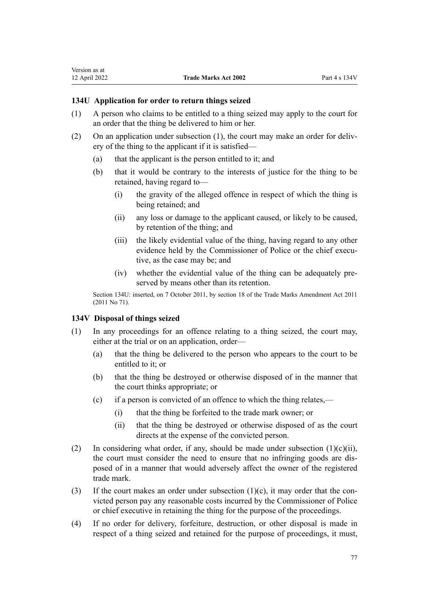# <span id="page-76-0"></span>**134U Application for order to return things seized**

- (1) A person who claims to be entitled to a thing seized may apply to the court for an order that the thing be delivered to him or her.
- (2) On an application under subsection (1), the court may make an order for deliv‐ ery of the thing to the applicant if it is satisfied—
	- (a) that the applicant is the person entitled to it; and
	- (b) that it would be contrary to the interests of justice for the thing to be retained, having regard to—
		- (i) the gravity of the alleged offence in respect of which the thing is being retained; and
		- (ii) any loss or damage to the applicant caused, or likely to be caused, by retention of the thing; and
		- (iii) the likely evidential value of the thing, having regard to any other evidence held by the Commissioner of Police or the chief executive, as the case may be; and
		- (iv) whether the evidential value of the thing can be adequately preserved by means other than its retention.

Section 134U: inserted, on 7 October 2011, by [section 18](http://legislation.govt.nz/pdflink.aspx?id=DLM2290055) of the Trade Marks Amendment Act 2011 (2011 No 71).

#### **134V Disposal of things seized**

- (1) In any proceedings for an offence relating to a thing seized, the court may, either at the trial or on an application, order—
	- (a) that the thing be delivered to the person who appears to the court to be entitled to it; or
	- (b) that the thing be destroyed or otherwise disposed of in the manner that the court thinks appropriate; or
	- (c) if a person is convicted of an offence to which the thing relates,—
		- (i) that the thing be forfeited to the trade mark owner; or
		- (ii) that the thing be destroyed or otherwise disposed of as the court directs at the expense of the convicted person.
- (2) In considering what order, if any, should be made under subsection  $(1)(c)(ii)$ , the court must consider the need to ensure that no infringing goods are dis‐ posed of in a manner that would adversely affect the owner of the registered trade mark.
- (3) If the court makes an order under subsection  $(1)(c)$ , it may order that the convicted person pay any reasonable costs incurred by the Commissioner of Police or chief executive in retaining the thing for the purpose of the proceedings.
- (4) If no order for delivery, forfeiture, destruction, or other disposal is made in respect of a thing seized and retained for the purpose of proceedings, it must,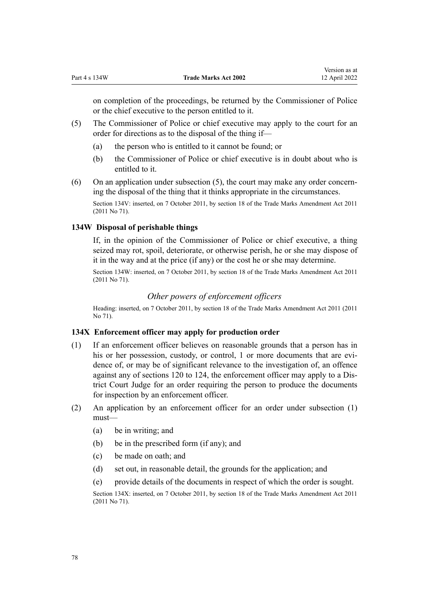<span id="page-77-0"></span>on completion of the proceedings, be returned by the Commissioner of Police or the chief executive to the person entitled to it.

- (5) The Commissioner of Police or chief executive may apply to the court for an order for directions as to the disposal of the thing if—
	- (a) the person who is entitled to it cannot be found; or
	- (b) the Commissioner of Police or chief executive is in doubt about who is entitled to it.
- (6) On an application under subsection  $(5)$ , the court may make any order concerning the disposal of the thing that it thinks appropriate in the circumstances.

Section 134V: inserted, on 7 October 2011, by [section 18](http://legislation.govt.nz/pdflink.aspx?id=DLM2290055) of the Trade Marks Amendment Act 2011 (2011 No 71).

## **134W Disposal of perishable things**

If, in the opinion of the Commissioner of Police or chief executive, a thing seized may rot, spoil, deteriorate, or otherwise perish, he or she may dispose of it in the way and at the price (if any) or the cost he or she may determine.

Section 134W: inserted, on 7 October 2011, by [section 18](http://legislation.govt.nz/pdflink.aspx?id=DLM2290055) of the Trade Marks Amendment Act 2011 (2011 No 71).

# *Other powers of enforcement officers*

Heading: inserted, on 7 October 2011, by [section 18](http://legislation.govt.nz/pdflink.aspx?id=DLM2290055) of the Trade Marks Amendment Act 2011 (2011 No 71).

# **134X Enforcement officer may apply for production order**

- (1) If an enforcement officer believes on reasonable grounds that a person has in his or her possession, custody, or control, 1 or more documents that are evidence of, or may be of significant relevance to the investigation of, an offence against any of [sections 120 to 124](#page-58-0), the enforcement officer may apply to a Dis‐ trict Court Judge for an order requiring the person to produce the documents for inspection by an enforcement officer.
- (2) An application by an enforcement officer for an order under subsection (1) must—
	- (a) be in writing; and
	- (b) be in the prescribed form (if any); and
	- (c) be made on oath; and
	- (d) set out, in reasonable detail, the grounds for the application; and
	- (e) provide details of the documents in respect of which the order is sought.

Section 134X: inserted, on 7 October 2011, by [section 18](http://legislation.govt.nz/pdflink.aspx?id=DLM2290055) of the Trade Marks Amendment Act 2011 (2011 No 71).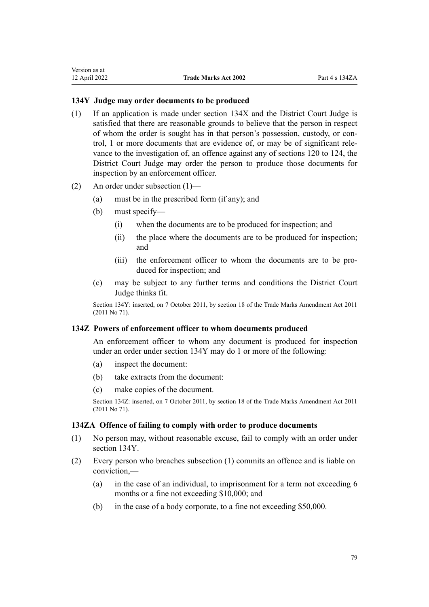# <span id="page-78-0"></span>**134Y Judge may order documents to be produced**

- (1) If an application is made under [section 134X](#page-77-0) and the District Court Judge is satisfied that there are reasonable grounds to believe that the person in respect of whom the order is sought has in that person's possession, custody, or con‐ trol, 1 or more documents that are evidence of, or may be of significant rele‐ vance to the investigation of, an offence against any of [sections 120 to 124](#page-58-0), the District Court Judge may order the person to produce those documents for inspection by an enforcement officer.
- (2) An order under subsection (1)—
	- (a) must be in the prescribed form (if any); and
	- (b) must specify—
		- (i) when the documents are to be produced for inspection; and
		- (ii) the place where the documents are to be produced for inspection; and
		- (iii) the enforcement officer to whom the documents are to be produced for inspection; and
	- (c) may be subject to any further terms and conditions the District Court Judge thinks fit.

Section 134Y: inserted, on 7 October 2011, by [section 18](http://legislation.govt.nz/pdflink.aspx?id=DLM2290055) of the Trade Marks Amendment Act 2011 (2011 No 71).

## **134Z Powers of enforcement officer to whom documents produced**

An enforcement officer to whom any document is produced for inspection under an order under section 134Y may do 1 or more of the following:

- (a) inspect the document:
- (b) take extracts from the document:
- (c) make copies of the document.

Section 134Z: inserted, on 7 October 2011, by [section 18](http://legislation.govt.nz/pdflink.aspx?id=DLM2290055) of the Trade Marks Amendment Act 2011 (2011 No 71).

# **134ZA Offence of failing to comply with order to produce documents**

- (1) No person may, without reasonable excuse, fail to comply with an order under section 134Y.
- (2) Every person who breaches subsection (1) commits an offence and is liable on conviction,—
	- (a) in the case of an individual, to imprisonment for a term not exceeding 6 months or a fine not exceeding \$10,000; and
	- (b) in the case of a body corporate, to a fine not exceeding \$50,000.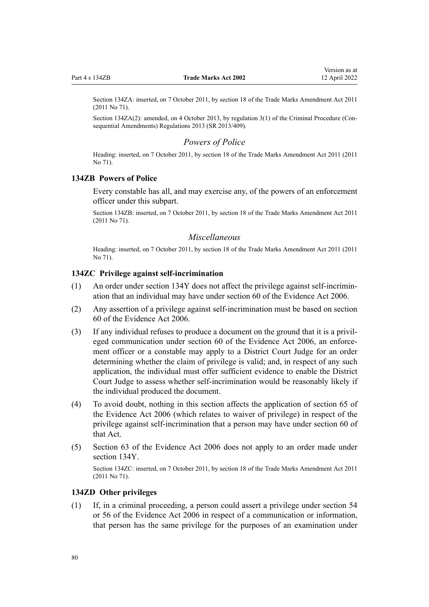Section 134ZA: inserted, on 7 October 2011, by [section 18](http://legislation.govt.nz/pdflink.aspx?id=DLM2290055) of the Trade Marks Amendment Act 2011 (2011 No 71).

Section 134ZA(2): amended, on 4 October 2013, by [regulation 3\(1\)](http://legislation.govt.nz/pdflink.aspx?id=DLM5642106) of the Criminal Procedure (Consequential Amendments) Regulations 2013 (SR 2013/409).

## *Powers of Police*

Heading: inserted, on 7 October 2011, by [section 18](http://legislation.govt.nz/pdflink.aspx?id=DLM2290055) of the Trade Marks Amendment Act 2011 (2011 No 71).

## **134ZB Powers of Police**

Every constable has all, and may exercise any, of the powers of an enforcement officer under this subpart.

Section 134ZB: inserted, on 7 October 2011, by [section 18](http://legislation.govt.nz/pdflink.aspx?id=DLM2290055) of the Trade Marks Amendment Act 2011 (2011 No 71).

## *Miscellaneous*

Heading: inserted, on 7 October 2011, by [section 18](http://legislation.govt.nz/pdflink.aspx?id=DLM2290055) of the Trade Marks Amendment Act 2011 (2011 No 71).

# **134ZC Privilege against self-incrimination**

- (1) An order under [section 134Y](#page-78-0) does not affect the privilege against self-incrimin‐ ation that an individual may have under [section 60](http://legislation.govt.nz/pdflink.aspx?id=DLM393672) of the Evidence Act 2006.
- (2) Any assertion of a privilege against self-incrimination must be based on [section](http://legislation.govt.nz/pdflink.aspx?id=DLM393672) [60](http://legislation.govt.nz/pdflink.aspx?id=DLM393672) of the Evidence Act 2006.
- (3) If any individual refuses to produce a document on the ground that it is a privil‐ eged communication under [section 60](http://legislation.govt.nz/pdflink.aspx?id=DLM393672) of the Evidence Act 2006, an enforcement officer or a constable may apply to a District Court Judge for an order determining whether the claim of privilege is valid; and, in respect of any such application, the individual must offer sufficient evidence to enable the District Court Judge to assess whether self-incrimination would be reasonably likely if the individual produced the document.
- (4) To avoid doubt, nothing in this section affects the application of [section 65](http://legislation.govt.nz/pdflink.aspx?id=DLM393677) of the Evidence Act 2006 (which relates to waiver of privilege) in respect of the privilege against self-incrimination that a person may have under [section 60](http://legislation.govt.nz/pdflink.aspx?id=DLM393672) of that Act.
- (5) [Section 63](http://legislation.govt.nz/pdflink.aspx?id=DLM393675) of the Evidence Act 2006 does not apply to an order made under [section 134Y](#page-78-0).

Section 134ZC: inserted, on 7 October 2011, by [section 18](http://legislation.govt.nz/pdflink.aspx?id=DLM2290055) of the Trade Marks Amendment Act 2011 (2011 No 71).

# **134ZD Other privileges**

(1) If, in a criminal proceeding, a person could assert a privilege under [section 54](http://legislation.govt.nz/pdflink.aspx?id=DLM393659) or [56](http://legislation.govt.nz/pdflink.aspx?id=DLM393663) of the Evidence Act 2006 in respect of a communication or information, that person has the same privilege for the purposes of an examination under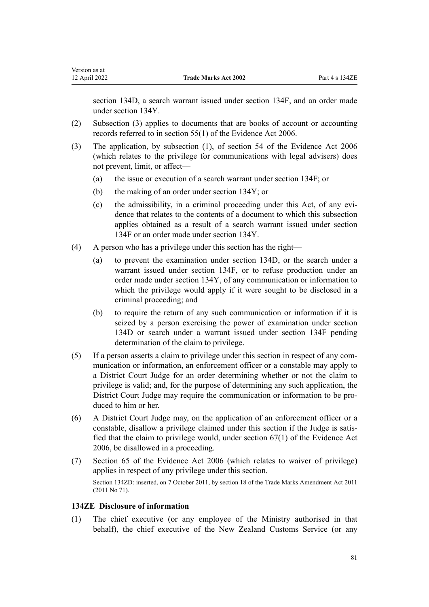[section 134D](#page-64-0), a search warrant issued under [section 134F](#page-66-0), and an order made under [section 134Y](#page-78-0).

- (2) Subsection (3) applies to documents that are books of account or accounting records referred to in [section 55\(1\)](http://legislation.govt.nz/pdflink.aspx?id=DLM393662) of the Evidence Act 2006.
- (3) The application, by subsection (1), of [section 54](http://legislation.govt.nz/pdflink.aspx?id=DLM393659) of the Evidence Act 2006 (which relates to the privilege for communications with legal advisers) does not prevent, limit, or affect—
	- (a) the issue or execution of a search warrant under [section 134F;](#page-66-0) or
	- (b) the making of an order under [section 134Y;](#page-78-0) or
	- (c) the admissibility, in a criminal proceeding under this Act, of any evidence that relates to the contents of a document to which this subsection applies obtained as a result of a search warrant issued under [section](#page-66-0) [134F](#page-66-0) or an order made under [section 134Y.](#page-78-0)
- (4) A person who has a privilege under this section has the right—
	- (a) to prevent the examination under [section 134D,](#page-64-0) or the search under a warrant issued under [section 134F](#page-66-0), or to refuse production under an order made under [section 134Y,](#page-78-0) of any communication or information to which the privilege would apply if it were sought to be disclosed in a criminal proceeding; and
	- (b) to require the return of any such communication or information if it is seized by a person exercising the power of examination under [section](#page-64-0) [134D](#page-64-0) or search under a warrant issued under [section 134F](#page-66-0) pending determination of the claim to privilege.
- $(5)$  If a person asserts a claim to privilege under this section in respect of any communication or information, an enforcement officer or a constable may apply to a District Court Judge for an order determining whether or not the claim to privilege is valid; and, for the purpose of determining any such application, the District Court Judge may require the communication or information to be pro‐ duced to him or her.
- (6) A District Court Judge may, on the application of an enforcement officer or a constable, disallow a privilege claimed under this section if the Judge is satisfied that the claim to privilege would, under [section 67\(1\)](http://legislation.govt.nz/pdflink.aspx?id=DLM393679) of the Evidence Act 2006, be disallowed in a proceeding.
- (7) [Section 65](http://legislation.govt.nz/pdflink.aspx?id=DLM393677) of the Evidence Act 2006 (which relates to waiver of privilege) applies in respect of any privilege under this section. Section 134ZD: inserted, on 7 October 2011, by [section 18](http://legislation.govt.nz/pdflink.aspx?id=DLM2290055) of the Trade Marks Amendment Act 2011 (2011 No 71).

## **134ZE Disclosure of information**

(1) The chief executive (or any employee of the Ministry authorised in that behalf), the chief executive of the New Zealand Customs Service (or any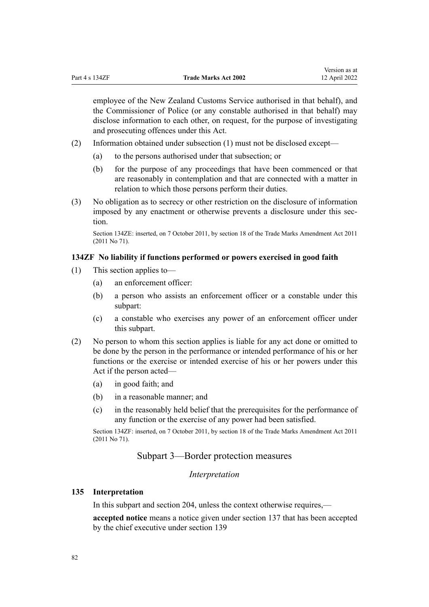employee of the New Zealand Customs Service authorised in that behalf), and the Commissioner of Police (or any constable authorised in that behalf) may disclose information to each other, on request, for the purpose of investigating and prosecuting offences under this Act.

- (2) Information obtained under subsection (1) must not be disclosed except—
	- (a) to the persons authorised under that subsection; or
	- (b) for the purpose of any proceedings that have been commenced or that are reasonably in contemplation and that are connected with a matter in relation to which those persons perform their duties.
- (3) No obligation as to secrecy or other restriction on the disclosure of information imposed by any enactment or otherwise prevents a disclosure under this section.

Section 134ZE: inserted, on 7 October 2011, by [section 18](http://legislation.govt.nz/pdflink.aspx?id=DLM2290055) of the Trade Marks Amendment Act 2011 (2011 No 71).

# **134ZF No liability if functions performed or powers exercised in good faith**

- (1) This section applies to—
	- (a) an enforcement officer:
	- (b) a person who assists an enforcement officer or a constable under this subpart:
	- (c) a constable who exercises any power of an enforcement officer under this subpart.
- (2) No person to whom this section applies is liable for any act done or omitted to be done by the person in the performance or intended performance of his or her functions or the exercise or intended exercise of his or her powers under this Act if the person acted—
	- (a) in good faith; and
	- (b) in a reasonable manner; and
	- (c) in the reasonably held belief that the prerequisites for the performance of any function or the exercise of any power had been satisfied.

Section 134ZF: inserted, on 7 October 2011, by [section 18](http://legislation.govt.nz/pdflink.aspx?id=DLM2290055) of the Trade Marks Amendment Act 2011 (2011 No 71).

# Subpart 3—Border protection measures

#### *Interpretation*

# **135 Interpretation**

In this subpart and [section 204](#page-118-0), unless the context otherwise requires,—

**accepted notice** means a notice given under [section 137](#page-84-0) that has been accepted by the chief executive under [section 139](#page-85-0)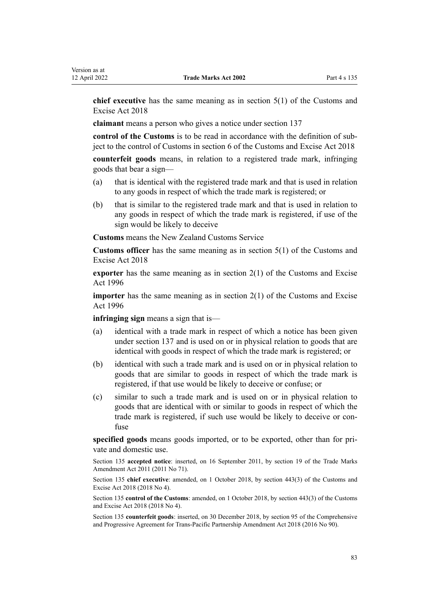**chief executive** has the same meaning as in [section 5\(1\)](http://legislation.govt.nz/pdflink.aspx?id=DLM7038971) of the Customs and Excise Act 2018

**claimant** means a person who gives a notice under [section 137](#page-84-0)

**control of the Customs** is to be read in accordance with the definition of sub‐ ject to the control of Customs in [section 6](http://legislation.govt.nz/pdflink.aspx?id=DLM7039191) of the Customs and Excise Act 2018

**counterfeit goods** means, in relation to a registered trade mark, infringing goods that bear a sign—

- (a) that is identical with the registered trade mark and that is used in relation to any goods in respect of which the trade mark is registered; or
- (b) that is similar to the registered trade mark and that is used in relation to any goods in respect of which the trade mark is registered, if use of the sign would be likely to deceive

**Customs** means the New Zealand Customs Service

**Customs officer** has the same meaning as in [section 5\(1\)](http://legislation.govt.nz/pdflink.aspx?id=DLM7038971) of the Customs and Excise Act 2018

**exporter** has the same meaning as in [section 2\(1\)](http://legislation.govt.nz/pdflink.aspx?id=DLM377342) of the Customs and Excise Act 1996

**importer** has the same meaning as in [section 2\(1\)](http://legislation.govt.nz/pdflink.aspx?id=DLM377342) of the Customs and Excise Act 1996

**infringing sign** means a sign that is—

- (a) identical with a trade mark in respect of which a notice has been given under [section 137](#page-84-0) and is used on or in physical relation to goods that are identical with goods in respect of which the trade mark is registered; or
- (b) identical with such a trade mark and is used on or in physical relation to goods that are similar to goods in respect of which the trade mark is registered, if that use would be likely to deceive or confuse; or
- (c) similar to such a trade mark and is used on or in physical relation to goods that are identical with or similar to goods in respect of which the trade mark is registered, if such use would be likely to deceive or con‐ fuse

specified goods means goods imported, or to be exported, other than for private and domestic use.

Section 135 **accepted notice**: inserted, on 16 September 2011, by [section 19](http://legislation.govt.nz/pdflink.aspx?id=DLM2290099) of the Trade Marks Amendment Act 2011 (2011 No 71).

Section 135 **chief executive**: amended, on 1 October 2018, by [section 443\(3\)](http://legislation.govt.nz/pdflink.aspx?id=DLM7039957) of the Customs and Excise Act 2018 (2018 No 4).

Section 135 **control of the Customs**: amended, on 1 October 2018, by [section 443\(3\)](http://legislation.govt.nz/pdflink.aspx?id=DLM7039957) of the Customs and Excise Act 2018 (2018 No 4).

Section 135 **counterfeit goods**: inserted, on 30 December 2018, by [section 95](http://legislation.govt.nz/pdflink.aspx?id=DLM6838430) of the Comprehensive and Progressive Agreement for Trans-Pacific Partnership Amendment Act 2018 (2016 No 90).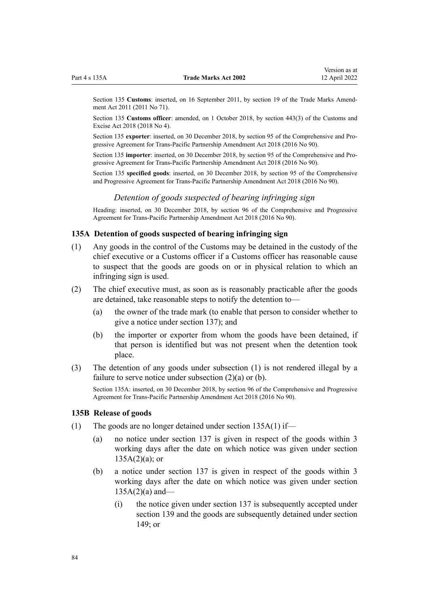<span id="page-83-0"></span>Section 135 **Customs**: inserted, on 16 September 2011, by [section 19](http://legislation.govt.nz/pdflink.aspx?id=DLM2290099) of the Trade Marks Amendment Act 2011 (2011 No 71).

Section 135 **Customs officer**: amended, on 1 October 2018, by [section 443\(3\)](http://legislation.govt.nz/pdflink.aspx?id=DLM7039957) of the Customs and Excise Act 2018 (2018 No 4).

Section 135 **exporter**: inserted, on 30 December 2018, by [section 95](http://legislation.govt.nz/pdflink.aspx?id=DLM6838430) of the Comprehensive and Progressive Agreement for Trans-Pacific Partnership Amendment Act 2018 (2016 No 90).

Section 135 **importer**: inserted, on 30 December 2018, by [section 95](http://legislation.govt.nz/pdflink.aspx?id=DLM6838430) of the Comprehensive and Progressive Agreement for Trans-Pacific Partnership Amendment Act 2018 (2016 No 90).

Section 135 **specified goods**: inserted, on 30 December 2018, by [section 95](http://legislation.govt.nz/pdflink.aspx?id=DLM6838430) of the Comprehensive and Progressive Agreement for Trans-Pacific Partnership Amendment Act 2018 (2016 No 90).

# *Detention of goods suspected of bearing infringing sign*

Heading: inserted, on 30 December 2018, by [section 96](http://legislation.govt.nz/pdflink.aspx?id=DLM6838439) of the Comprehensive and Progressive Agreement for Trans-Pacific Partnership Amendment Act 2018 (2016 No 90).

# **135A Detention of goods suspected of bearing infringing sign**

- (1) Any goods in the control of the Customs may be detained in the custody of the chief executive or a Customs officer if a Customs officer has reasonable cause to suspect that the goods are goods on or in physical relation to which an infringing sign is used.
- (2) The chief executive must, as soon as is reasonably practicable after the goods are detained, take reasonable steps to notify the detention to—
	- (a) the owner of the trade mark (to enable that person to consider whether to give a notice under [section 137\)](#page-84-0); and
	- (b) the importer or exporter from whom the goods have been detained, if that person is identified but was not present when the detention took place.
- (3) The detention of any goods under subsection (1) is not rendered illegal by a failure to serve notice under subsection (2)(a) or (b).

Section 135A: inserted, on 30 December 2018, by [section 96](http://legislation.govt.nz/pdflink.aspx?id=DLM6838439) of the Comprehensive and Progressive Agreement for Trans-Pacific Partnership Amendment Act 2018 (2016 No 90).

#### **135B Release of goods**

- (1) The goods are no longer detained under section  $135A(1)$  if—
	- (a) no notice under [section 137](#page-84-0) is given in respect of the goods within 3 working days after the date on which notice was given under section  $135A(2)(a)$ ; or
	- (b) a notice under [section 137](#page-84-0) is given in respect of the goods within 3 working days after the date on which notice was given under section  $135A(2)(a)$  and—
		- (i) the notice given under [section 137](#page-84-0) is subsequently accepted under [section 139](#page-85-0) and the goods are subsequently detained under [section](#page-89-0) [149](#page-89-0); or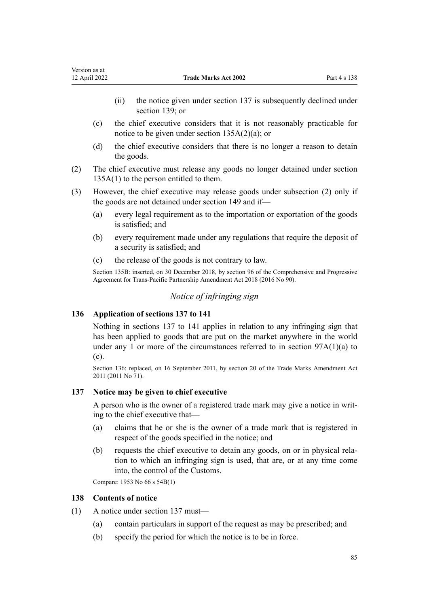- <span id="page-84-0"></span>(ii) the notice given under section 137 is subsequently declined under [section 139;](#page-85-0) or
- (c) the chief executive considers that it is not reasonably practicable for notice to be given under [section 135A\(2\)\(a\)](#page-83-0); or
- (d) the chief executive considers that there is no longer a reason to detain the goods.
- (2) The chief executive must release any goods no longer detained under [section](#page-83-0) [135A\(1\)](#page-83-0) to the person entitled to them.
- (3) However, the chief executive may release goods under subsection (2) only if the goods are not detained under [section 149](#page-89-0) and if—
	- (a) every legal requirement as to the importation or exportation of the goods is satisfied; and
	- (b) every requirement made under any regulations that require the deposit of a security is satisfied; and
	- (c) the release of the goods is not contrary to law.

Section 135B: inserted, on 30 December 2018, by [section 96](http://legislation.govt.nz/pdflink.aspx?id=DLM6838439) of the Comprehensive and Progressive Agreement for Trans-Pacific Partnership Amendment Act 2018 (2016 No 90).

# *Notice of infringing sign*

# **136 Application of sections 137 to 141**

Nothing in sections 137 to 141 applies in relation to any infringing sign that has been applied to goods that are put on the market anywhere in the world under any 1 or more of the circumstances referred to in section  $97A(1)(a)$  to [\(c\).](#page-52-0)

Section 136: replaced, on 16 September 2011, by [section 20](http://legislation.govt.nz/pdflink.aspx?id=DLM2353611) of the Trade Marks Amendment Act 2011 (2011 No 71).

#### **137 Notice may be given to chief executive**

A person who is the owner of a registered trade mark may give a notice in writ‐ ing to the chief executive that—

- (a) claims that he or she is the owner of a trade mark that is registered in respect of the goods specified in the notice; and
- (b) requests the chief executive to detain any goods, on or in physical rela‐ tion to which an infringing sign is used, that are, or at any time come into, the control of the Customs.

Compare: 1953 No 66 s 54B(1)

#### **138 Contents of notice**

- (1) A notice under section 137 must—
	- (a) contain particulars in support of the request as may be prescribed; and
	- (b) specify the period for which the notice is to be in force.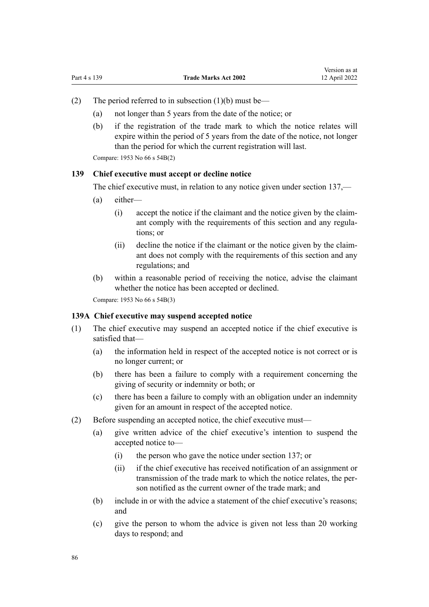- <span id="page-85-0"></span>(2) The period referred to in subsection  $(1)(b)$  must be—
	- (a) not longer than 5 years from the date of the notice; or
	- (b) if the registration of the trade mark to which the notice relates will expire within the period of 5 years from the date of the notice, not longer than the period for which the current registration will last.

Compare: 1953 No 66 s 54B(2)

### **139 Chief executive must accept or decline notice**

The chief executive must, in relation to any notice given under [section 137](#page-84-0),—

- (a) either—
	- (i) accept the notice if the claimant and the notice given by the claim‐ ant comply with the requirements of this section and any regulations; or
	- (ii) decline the notice if the claimant or the notice given by the claim‐ ant does not comply with the requirements of this section and any regulations; and
- (b) within a reasonable period of receiving the notice, advise the claimant whether the notice has been accepted or declined.

Compare: 1953 No 66 s 54B(3)

## **139A Chief executive may suspend accepted notice**

- (1) The chief executive may suspend an accepted notice if the chief executive is satisfied that—
	- (a) the information held in respect of the accepted notice is not correct or is no longer current; or
	- (b) there has been a failure to comply with a requirement concerning the giving of security or indemnity or both; or
	- (c) there has been a failure to comply with an obligation under an indemnity given for an amount in respect of the accepted notice.
- (2) Before suspending an accepted notice, the chief executive must—
	- (a) give written advice of the chief executive's intention to suspend the accepted notice to—
		- (i) the person who gave the notice under [section 137;](#page-84-0) or
		- (ii) if the chief executive has received notification of an assignment or transmission of the trade mark to which the notice relates, the per‐ son notified as the current owner of the trade mark; and
	- (b) include in or with the advice a statement of the chief executive's reasons; and
	- (c) give the person to whom the advice is given not less than 20 working days to respond; and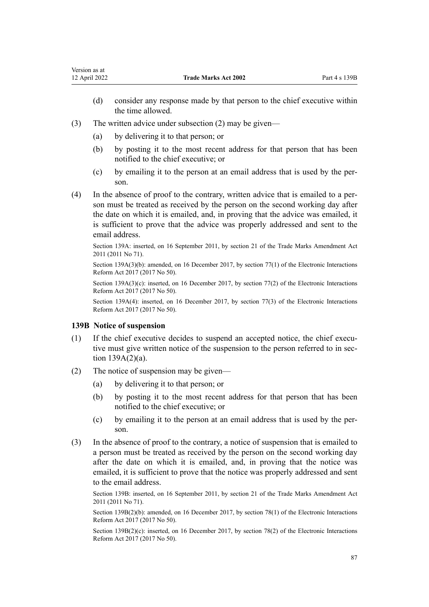- (d) consider any response made by that person to the chief executive within the time allowed.
- (3) The written advice under subsection (2) may be given—
	- (a) by delivering it to that person; or
	- (b) by posting it to the most recent address for that person that has been notified to the chief executive; or
	- (c) by emailing it to the person at an email address that is used by the per‐ son.
- (4) In the absence of proof to the contrary, written advice that is emailed to a per‐ son must be treated as received by the person on the second working day after the date on which it is emailed, and, in proving that the advice was emailed, it is sufficient to prove that the advice was properly addressed and sent to the email address.

Section 139A: inserted, on 16 September 2011, by [section 21](http://legislation.govt.nz/pdflink.aspx?id=DLM2290104) of the Trade Marks Amendment Act 2011 (2011 No 71).

Section 139A(3)(b): amended, on 16 December 2017, by [section 77\(1\)](http://legislation.govt.nz/pdflink.aspx?id=DLM6962240) of the Electronic Interactions Reform Act 2017 (2017 No 50).

Section 139A(3)(c): inserted, on 16 December 2017, by [section 77\(2\)](http://legislation.govt.nz/pdflink.aspx?id=DLM6962240) of the Electronic Interactions Reform Act 2017 (2017 No 50).

Section 139A(4): inserted, on 16 December 2017, by [section 77\(3\)](http://legislation.govt.nz/pdflink.aspx?id=DLM6962240) of the Electronic Interactions Reform Act 2017 (2017 No 50).

#### **139B Notice of suspension**

- $(1)$  If the chief executive decides to suspend an accepted notice, the chief executive must give written notice of the suspension to the person referred to in sec[tion 139A\(2\)\(a\).](#page-85-0)
- (2) The notice of suspension may be given—
	- (a) by delivering it to that person; or
	- (b) by posting it to the most recent address for that person that has been notified to the chief executive; or
	- (c) by emailing it to the person at an email address that is used by the per‐ son.
- (3) In the absence of proof to the contrary, a notice of suspension that is emailed to a person must be treated as received by the person on the second working day after the date on which it is emailed, and, in proving that the notice was emailed, it is sufficient to prove that the notice was properly addressed and sent to the email address.

Section 139B: inserted, on 16 September 2011, by [section 21](http://legislation.govt.nz/pdflink.aspx?id=DLM2290104) of the Trade Marks Amendment Act 2011 (2011 No 71).

Section 139B(2)(b): amended, on 16 December 2017, by [section 78\(1\)](http://legislation.govt.nz/pdflink.aspx?id=DLM6962241) of the Electronic Interactions Reform Act 2017 (2017 No 50).

Section 139B(2)(c): inserted, on 16 December 2017, by [section 78\(2\)](http://legislation.govt.nz/pdflink.aspx?id=DLM6962241) of the Electronic Interactions Reform Act 2017 (2017 No 50).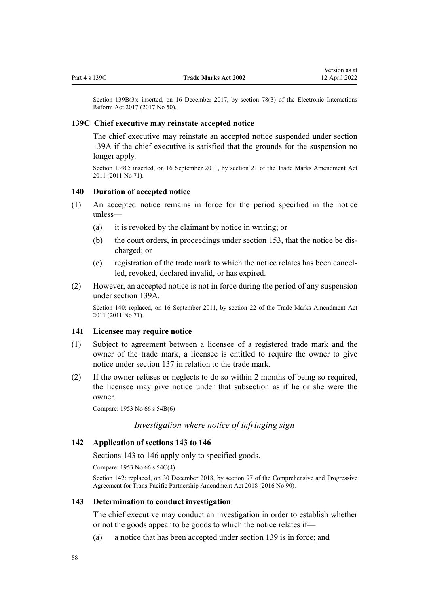<span id="page-87-0"></span>Section 139B(3): inserted, on 16 December 2017, by [section 78\(3\)](http://legislation.govt.nz/pdflink.aspx?id=DLM6962241) of the Electronic Interactions Reform Act 2017 (2017 No 50).

## **139C Chief executive may reinstate accepted notice**

The chief executive may reinstate an accepted notice suspended under [section](#page-85-0) [139A](#page-85-0) if the chief executive is satisfied that the grounds for the suspension no longer apply.

Section 139C: inserted, on 16 September 2011, by [section 21](http://legislation.govt.nz/pdflink.aspx?id=DLM2290104) of the Trade Marks Amendment Act 2011 (2011 No 71).

#### **140 Duration of accepted notice**

- (1) An accepted notice remains in force for the period specified in the notice unless—
	- (a) it is revoked by the claimant by notice in writing; or
	- (b) the court orders, in proceedings under [section 153](#page-90-0), that the notice be dis‐ charged; or
	- (c) registration of the trade mark to which the notice relates has been cancel‐ led, revoked, declared invalid, or has expired.
- (2) However, an accepted notice is not in force during the period of any suspension under [section 139A](#page-85-0).

Section 140: replaced, on 16 September 2011, by [section 22](http://legislation.govt.nz/pdflink.aspx?id=DLM2290108) of the Trade Marks Amendment Act 2011 (2011 No 71).

#### **141 Licensee may require notice**

- (1) Subject to agreement between a licensee of a registered trade mark and the owner of the trade mark, a licensee is entitled to require the owner to give notice under [section 137](#page-84-0) in relation to the trade mark.
- (2) If the owner refuses or neglects to do so within 2 months of being so required, the licensee may give notice under that subsection as if he or she were the owner.

Compare: 1953 No 66 s 54B(6)

# *Investigation where notice of infringing sign*

# **142 Application of sections 143 to 146**

Sections 143 to 146 apply only to specified goods.

Compare: 1953 No 66 s 54C(4)

Section 142: replaced, on 30 December 2018, by [section 97](http://legislation.govt.nz/pdflink.aspx?id=DLM6838443) of the Comprehensive and Progressive Agreement for Trans-Pacific Partnership Amendment Act 2018 (2016 No 90).

#### **143 Determination to conduct investigation**

The chief executive may conduct an investigation in order to establish whether or not the goods appear to be goods to which the notice relates if—

(a) a notice that has been accepted under [section 139](#page-85-0) is in force; and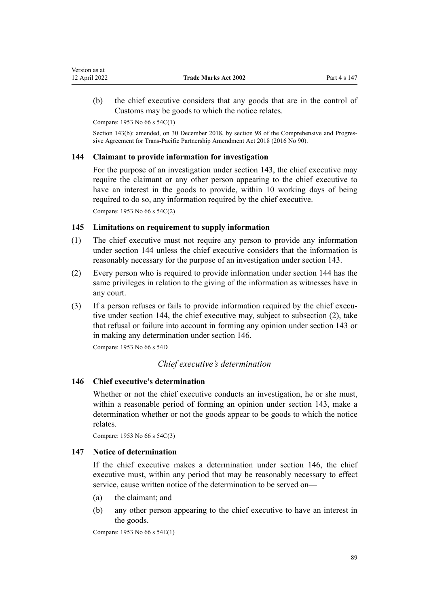<span id="page-88-0"></span>(b) the chief executive considers that any goods that are in the control of Customs may be goods to which the notice relates.

Compare: 1953 No 66 s 54C(1)

Section 143(b): amended, on 30 December 2018, by [section 98](http://legislation.govt.nz/pdflink.aspx?id=DLM6838445) of the Comprehensive and Progressive Agreement for Trans-Pacific Partnership Amendment Act 2018 (2016 No 90).

# **144 Claimant to provide information for investigation**

For the purpose of an investigation under [section 143,](#page-87-0) the chief executive may require the claimant or any other person appearing to the chief executive to have an interest in the goods to provide, within 10 working days of being required to do so, any information required by the chief executive. Compare: 1953 No 66 s 54C(2)

# **145 Limitations on requirement to supply information**

- (1) The chief executive must not require any person to provide any information under section 144 unless the chief executive considers that the information is reasonably necessary for the purpose of an investigation under [section 143](#page-87-0).
- (2) Every person who is required to provide information under section 144 has the same privileges in relation to the giving of the information as witnesses have in any court.
- (3) If a person refuses or fails to provide information required by the chief executive under section 144, the chief executive may, subject to subsection (2), take that refusal or failure into account in forming any opinion under [section 143](#page-87-0) or in making any determination under section 146.

Compare: 1953 No 66 s 54D

# *Chief executive's determination*

# **146 Chief executive's determination**

Whether or not the chief executive conducts an investigation, he or she must, within a reasonable period of forming an opinion under [section 143](#page-87-0), make a determination whether or not the goods appear to be goods to which the notice relates.

Compare: 1953 No 66 s 54C(3)

# **147 Notice of determination**

If the chief executive makes a determination under section 146, the chief executive must, within any period that may be reasonably necessary to effect service, cause written notice of the determination to be served on—

- (a) the claimant; and
- (b) any other person appearing to the chief executive to have an interest in the goods.

Compare: 1953 No 66 s 54E(1)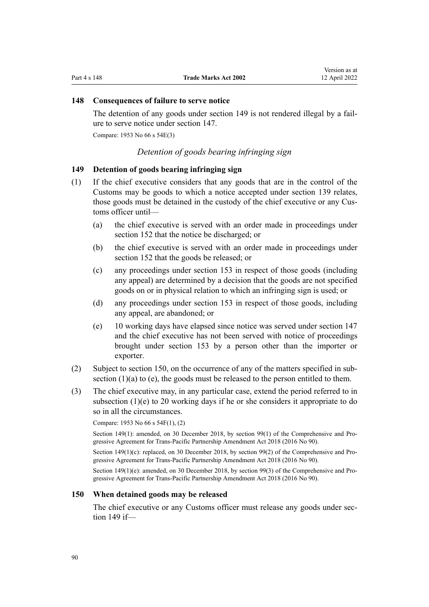# <span id="page-89-0"></span>**148 Consequences of failure to serve notice**

The detention of any goods under section 149 is not rendered illegal by a failure to serve notice under [section 147](#page-88-0).

Compare: 1953 No 66 s 54E(3)

# *Detention of goods bearing infringing sign*

# **149 Detention of goods bearing infringing sign**

- (1) If the chief executive considers that any goods that are in the control of the Customs may be goods to which a notice accepted under [section 139](#page-85-0) relates, those goods must be detained in the custody of the chief executive or any Customs officer until—
	- (a) the chief executive is served with an order made in proceedings under [section 152](#page-90-0) that the notice be discharged; or
	- (b) the chief executive is served with an order made in proceedings under [section 152](#page-90-0) that the goods be released; or
	- (c) any proceedings under [section 153](#page-90-0) in respect of those goods (including any appeal) are determined by a decision that the goods are not specified goods on or in physical relation to which an infringing sign is used; or
	- (d) any proceedings under [section 153](#page-90-0) in respect of those goods, including any appeal, are abandoned; or
	- (e) 10 working days have elapsed since notice was served under [section 147](#page-88-0) and the chief executive has not been served with notice of proceedings brought under [section 153](#page-90-0) by a person other than the importer or exporter.
- (2) Subject to section 150, on the occurrence of any of the matters specified in sub‐ section  $(1)(a)$  to  $(e)$ , the goods must be released to the person entitled to them.
- (3) The chief executive may, in any particular case, extend the period referred to in subsection (1)(e) to 20 working days if he or she considers it appropriate to do so in all the circumstances.

Compare: 1953 No 66 s 54F(1), (2)

Section 149(1): amended, on 30 December 2018, by [section 99\(1\)](http://legislation.govt.nz/pdflink.aspx?id=DLM6838446) of the Comprehensive and Progressive Agreement for Trans-Pacific Partnership Amendment Act 2018 (2016 No 90).

Section 149(1)(c): replaced, on 30 December 2018, by [section 99\(2\)](http://legislation.govt.nz/pdflink.aspx?id=DLM6838446) of the Comprehensive and Progressive Agreement for Trans-Pacific Partnership Amendment Act 2018 (2016 No 90).

Section 149(1)(e): amended, on 30 December 2018, by [section 99\(3\)](http://legislation.govt.nz/pdflink.aspx?id=DLM6838446) of the Comprehensive and Progressive Agreement for Trans-Pacific Partnership Amendment Act 2018 (2016 No 90).

#### **150 When detained goods may be released**

The chief executive or any Customs officer must release any goods under section 149 if—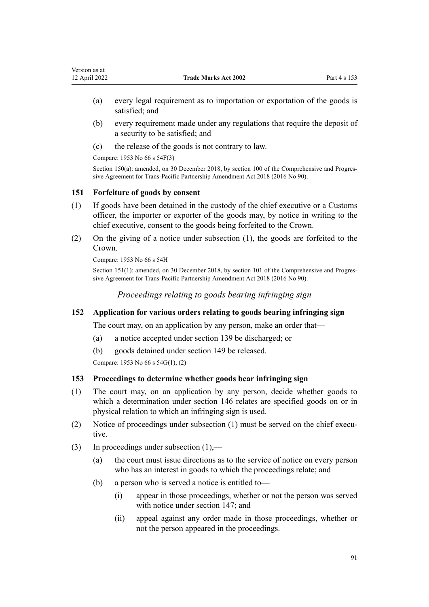- <span id="page-90-0"></span>(a) every legal requirement as to importation or exportation of the goods is satisfied; and
- (b) every requirement made under any regulations that require the deposit of a security to be satisfied; and
- (c) the release of the goods is not contrary to law.

Compare: 1953 No 66 s 54F(3)

Section 150(a): amended, on 30 December 2018, by [section 100](http://legislation.govt.nz/pdflink.aspx?id=DLM6838447) of the Comprehensive and Progressive Agreement for Trans-Pacific Partnership Amendment Act 2018 (2016 No 90).

# **151 Forfeiture of goods by consent**

- (1) If goods have been detained in the custody of the chief executive or a Customs officer, the importer or exporter of the goods may, by notice in writing to the chief executive, consent to the goods being forfeited to the Crown.
- (2) On the giving of a notice under subsection (1), the goods are forfeited to the Crown.

Compare: 1953 No 66 s 54H

Section 151(1): amended, on 30 December 2018, by [section 101](http://legislation.govt.nz/pdflink.aspx?id=DLM6838448) of the Comprehensive and Progressive Agreement for Trans-Pacific Partnership Amendment Act 2018 (2016 No 90).

*Proceedings relating to goods bearing infringing sign*

# **152 Application for various orders relating to goods bearing infringing sign**

The court may, on an application by any person, make an order that—

- (a) a notice accepted under [section 139](#page-85-0) be discharged; or
- (b) goods detained under [section 149](#page-89-0) be released.

Compare: 1953 No 66 s 54G(1), (2)

# **153 Proceedings to determine whether goods bear infringing sign**

- (1) The court may, on an application by any person, decide whether goods to which a determination under [section 146](#page-88-0) relates are specified goods on or in physical relation to which an infringing sign is used.
- (2) Notice of proceedings under subsection  $(1)$  must be served on the chief executive.
- (3) In proceedings under subsection (1),—
	- (a) the court must issue directions as to the service of notice on every person who has an interest in goods to which the proceedings relate; and
	- (b) a person who is served a notice is entitled to—
		- (i) appear in those proceedings, whether or not the person was served with notice under [section 147](#page-88-0); and
		- (ii) appeal against any order made in those proceedings, whether or not the person appeared in the proceedings.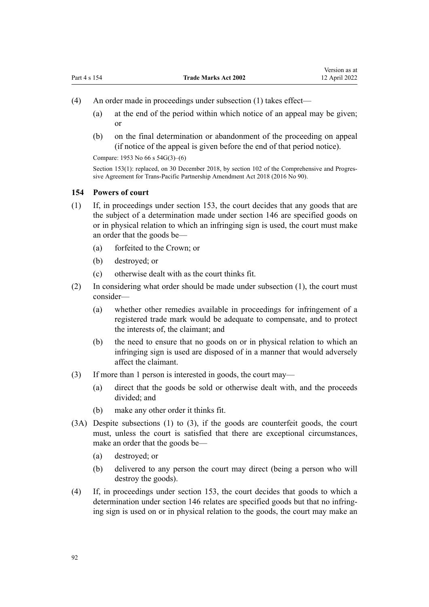- (4) An order made in proceedings under subsection (1) takes effect—
	- (a) at the end of the period within which notice of an appeal may be given; or
	- (b) on the final determination or abandonment of the proceeding on appeal (if notice of the appeal is given before the end of that period notice).

Compare: 1953 No 66 s 54G(3)–(6)

Section 153(1): replaced, on 30 December 2018, by [section 102](http://legislation.govt.nz/pdflink.aspx?id=DLM6838449) of the Comprehensive and Progressive Agreement for Trans-Pacific Partnership Amendment Act 2018 (2016 No 90).

#### **154 Powers of court**

- (1) If, in proceedings under [section 153,](#page-90-0) the court decides that any goods that are the subject of a determination made under [section 146](#page-88-0) are specified goods on or in physical relation to which an infringing sign is used, the court must make an order that the goods be—
	- (a) forfeited to the Crown; or
	- (b) destroyed; or
	- (c) otherwise dealt with as the court thinks fit.
- (2) In considering what order should be made under subsection (1), the court must consider—
	- (a) whether other remedies available in proceedings for infringement of a registered trade mark would be adequate to compensate, and to protect the interests of, the claimant; and
	- (b) the need to ensure that no goods on or in physical relation to which an infringing sign is used are disposed of in a manner that would adversely affect the claimant.
- (3) If more than 1 person is interested in goods, the court may—
	- (a) direct that the goods be sold or otherwise dealt with, and the proceeds divided; and
	- (b) make any other order it thinks fit.
- (3A) Despite subsections (1) to (3), if the goods are counterfeit goods, the court must, unless the court is satisfied that there are exceptional circumstances, make an order that the goods be—
	- (a) destroyed; or
	- (b) delivered to any person the court may direct (being a person who will destroy the goods).
- (4) If, in proceedings under [section 153,](#page-90-0) the court decides that goods to which a determination under [section 146](#page-88-0) relates are specified goods but that no infringing sign is used on or in physical relation to the goods, the court may make an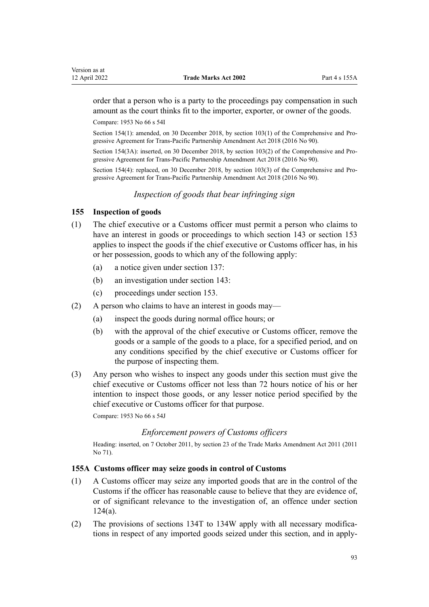<span id="page-92-0"></span>order that a person who is a party to the proceedings pay compensation in such amount as the court thinks fit to the importer, exporter, or owner of the goods.

Compare: 1953 No 66 s 54I

Section 154(1): amended, on 30 December 2018, by [section 103\(1\)](http://legislation.govt.nz/pdflink.aspx?id=DLM6838450) of the Comprehensive and Progressive Agreement for Trans-Pacific Partnership Amendment Act 2018 (2016 No 90).

Section 154(3A): inserted, on 30 December 2018, by [section 103\(2\)](http://legislation.govt.nz/pdflink.aspx?id=DLM6838450) of the Comprehensive and Progressive Agreement for Trans-Pacific Partnership Amendment Act 2018 (2016 No 90).

Section 154(4): replaced, on 30 December 2018, by [section 103\(3\)](http://legislation.govt.nz/pdflink.aspx?id=DLM6838450) of the Comprehensive and Progressive Agreement for Trans-Pacific Partnership Amendment Act 2018 (2016 No 90).

*Inspection of goods that bear infringing sign*

# **155 Inspection of goods**

- (1) The chief executive or a Customs officer must permit a person who claims to have an interest in goods or proceedings to which [section 143](#page-87-0) or [section 153](#page-90-0) applies to inspect the goods if the chief executive or Customs officer has, in his or her possession, goods to which any of the following apply:
	- (a) a notice given under [section 137](#page-84-0):
	- (b) an investigation under [section 143:](#page-87-0)
	- (c) proceedings under [section 153](#page-90-0).
- (2) A person who claims to have an interest in goods may—
	- (a) inspect the goods during normal office hours; or
	- (b) with the approval of the chief executive or Customs officer, remove the goods or a sample of the goods to a place, for a specified period, and on any conditions specified by the chief executive or Customs officer for the purpose of inspecting them.
- (3) Any person who wishes to inspect any goods under this section must give the chief executive or Customs officer not less than 72 hours notice of his or her intention to inspect those goods, or any lesser notice period specified by the chief executive or Customs officer for that purpose.

Compare: 1953 No 66 s 54J

# *Enforcement powers of Customs officers*

Heading: inserted, on 7 October 2011, by [section 23](http://legislation.govt.nz/pdflink.aspx?id=DLM2290110) of the Trade Marks Amendment Act 2011 (2011 No 71).

# **155A Customs officer may seize goods in control of Customs**

- (1) A Customs officer may seize any imported goods that are in the control of the Customs if the officer has reasonable cause to believe that they are evidence of, or of significant relevance to the investigation of, an offence under [section](#page-60-0) [124\(a\)](#page-60-0).
- (2) The provisions of [sections 134T to 134W](#page-75-0) apply with all necessary modifications in respect of any imported goods seized under this section, and in apply‐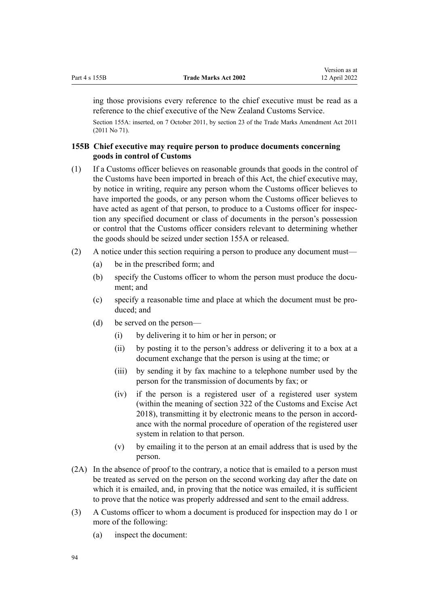<span id="page-93-0"></span>ing those provisions every reference to the chief executive must be read as a reference to the chief executive of the New Zealand Customs Service.

Section 155A: inserted, on 7 October 2011, by [section 23](http://legislation.govt.nz/pdflink.aspx?id=DLM2290110) of the Trade Marks Amendment Act 2011 (2011 No 71).

# **155B Chief executive may require person to produce documents concerning goods in control of Customs**

- (1) If a Customs officer believes on reasonable grounds that goods in the control of the Customs have been imported in breach of this Act, the chief executive may, by notice in writing, require any person whom the Customs officer believes to have imported the goods, or any person whom the Customs officer believes to have acted as agent of that person, to produce to a Customs officer for inspection any specified document or class of documents in the person's possession or control that the Customs officer considers relevant to determining whether the goods should be seized under [section 155A](#page-92-0) or released.
- (2) A notice under this section requiring a person to produce any document must—
	- (a) be in the prescribed form; and
	- (b) specify the Customs officer to whom the person must produce the document; and
	- (c) specify a reasonable time and place at which the document must be pro‐ duced; and
	- (d) be served on the person—
		- (i) by delivering it to him or her in person; or
		- (ii) by posting it to the person's address or delivering it to a box at a document exchange that the person is using at the time; or
		- (iii) by sending it by fax machine to a telephone number used by the person for the transmission of documents by fax; or
		- (iv) if the person is a registered user of a registered user system (within the meaning of [section 322](http://legislation.govt.nz/pdflink.aspx?id=DLM7039763) of the Customs and Excise Act 2018), transmitting it by electronic means to the person in accord‐ ance with the normal procedure of operation of the registered user system in relation to that person.
		- (v) by emailing it to the person at an email address that is used by the person.
- (2A) In the absence of proof to the contrary, a notice that is emailed to a person must be treated as served on the person on the second working day after the date on which it is emailed, and, in proving that the notice was emailed, it is sufficient to prove that the notice was properly addressed and sent to the email address.
- (3) A Customs officer to whom a document is produced for inspection may do 1 or more of the following:
	- (a) inspect the document: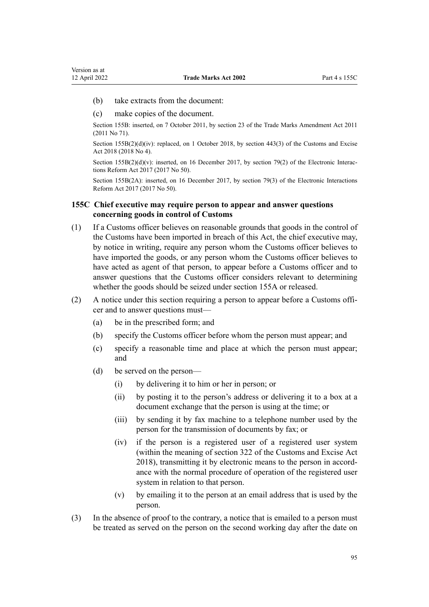- <span id="page-94-0"></span>(b) take extracts from the document:
- (c) make copies of the document.

Section 155B: inserted, on 7 October 2011, by [section 23](http://legislation.govt.nz/pdflink.aspx?id=DLM2290110) of the Trade Marks Amendment Act 2011 (2011 No 71).

Section 155B(2)(d)(iv): replaced, on 1 October 2018, by [section 443\(3\)](http://legislation.govt.nz/pdflink.aspx?id=DLM7039957) of the Customs and Excise Act 2018 (2018 No 4).

Section  $155B(2)(d)(v)$ : inserted, on 16 December 2017, by [section 79\(2\)](http://legislation.govt.nz/pdflink.aspx?id=DLM6962242) of the Electronic Interactions Reform Act 2017 (2017 No 50).

Section 155B(2A): inserted, on 16 December 2017, by [section 79\(3\)](http://legislation.govt.nz/pdflink.aspx?id=DLM6962242) of the Electronic Interactions Reform Act 2017 (2017 No 50).

# **155C Chief executive may require person to appear and answer questions concerning goods in control of Customs**

- (1) If a Customs officer believes on reasonable grounds that goods in the control of the Customs have been imported in breach of this Act, the chief executive may, by notice in writing, require any person whom the Customs officer believes to have imported the goods, or any person whom the Customs officer believes to have acted as agent of that person, to appear before a Customs officer and to answer questions that the Customs officer considers relevant to determining whether the goods should be seized under [section 155A](#page-92-0) or released.
- (2) A notice under this section requiring a person to appear before a Customs offi‐ cer and to answer questions must-
	- (a) be in the prescribed form; and
	- (b) specify the Customs officer before whom the person must appear; and
	- (c) specify a reasonable time and place at which the person must appear; and
	- (d) be served on the person—
		- (i) by delivering it to him or her in person; or
		- (ii) by posting it to the person's address or delivering it to a box at a document exchange that the person is using at the time; or
		- (iii) by sending it by fax machine to a telephone number used by the person for the transmission of documents by fax; or
		- (iv) if the person is a registered user of a registered user system (within the meaning of [section 322](http://legislation.govt.nz/pdflink.aspx?id=DLM7039763) of the Customs and Excise Act 2018), transmitting it by electronic means to the person in accord‐ ance with the normal procedure of operation of the registered user system in relation to that person.
		- (v) by emailing it to the person at an email address that is used by the person.
- (3) In the absence of proof to the contrary, a notice that is emailed to a person must be treated as served on the person on the second working day after the date on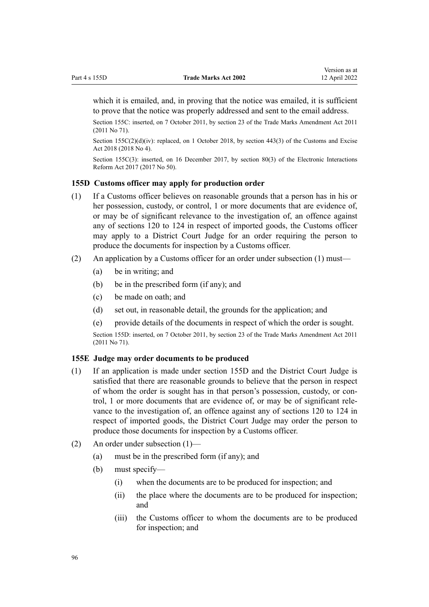<span id="page-95-0"></span>which it is emailed, and, in proving that the notice was emailed, it is sufficient to prove that the notice was properly addressed and sent to the email address.

Section 155C: inserted, on 7 October 2011, by [section 23](http://legislation.govt.nz/pdflink.aspx?id=DLM2290110) of the Trade Marks Amendment Act 2011 (2011 No 71).

Section 155C(2)(d)(iv): replaced, on 1 October 2018, by [section 443\(3\)](http://legislation.govt.nz/pdflink.aspx?id=DLM7039957) of the Customs and Excise Act 2018 (2018 No 4).

Section 155C(3): inserted, on 16 December 2017, by [section 80\(3\)](http://legislation.govt.nz/pdflink.aspx?id=DLM6962243) of the Electronic Interactions Reform Act 2017 (2017 No 50).

#### **155D Customs officer may apply for production order**

- (1) If a Customs officer believes on reasonable grounds that a person has in his or her possession, custody, or control, 1 or more documents that are evidence of, or may be of significant relevance to the investigation of, an offence against any of [sections 120 to 124](#page-58-0) in respect of imported goods, the Customs officer may apply to a District Court Judge for an order requiring the person to produce the documents for inspection by a Customs officer.
- (2) An application by a Customs officer for an order under subsection (1) must—
	- (a) be in writing; and
	- (b) be in the prescribed form (if any); and
	- (c) be made on oath; and
	- (d) set out, in reasonable detail, the grounds for the application; and
	- (e) provide details of the documents in respect of which the order is sought.

Section 155D: inserted, on 7 October 2011, by [section 23](http://legislation.govt.nz/pdflink.aspx?id=DLM2290110) of the Trade Marks Amendment Act 2011 (2011 No 71).

## **155E Judge may order documents to be produced**

- (1) If an application is made under section 155D and the District Court Judge is satisfied that there are reasonable grounds to believe that the person in respect of whom the order is sought has in that person's possession, custody, or con‐ trol, 1 or more documents that are evidence of, or may be of significant rele‐ vance to the investigation of, an offence against any of [sections 120 to 124](#page-58-0) in respect of imported goods, the District Court Judge may order the person to produce those documents for inspection by a Customs officer.
- (2) An order under subsection (1)—
	- (a) must be in the prescribed form (if any); and
	- (b) must specify—
		- (i) when the documents are to be produced for inspection; and
		- (ii) the place where the documents are to be produced for inspection; and
		- (iii) the Customs officer to whom the documents are to be produced for inspection; and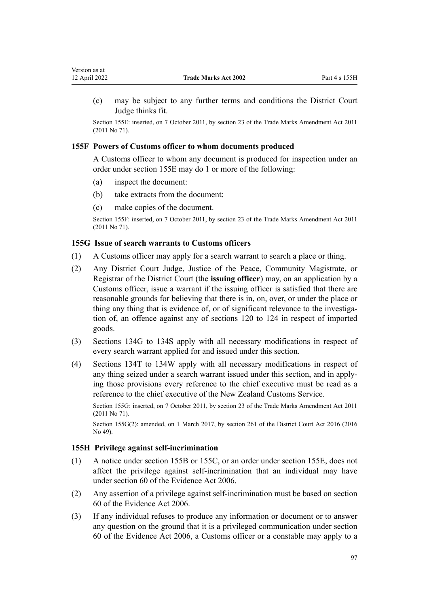<span id="page-96-0"></span>(c) may be subject to any further terms and conditions the District Court Judge thinks fit.

Section 155E: inserted, on 7 October 2011, by [section 23](http://legislation.govt.nz/pdflink.aspx?id=DLM2290110) of the Trade Marks Amendment Act 2011 (2011 No 71).

# **155F Powers of Customs officer to whom documents produced**

A Customs officer to whom any document is produced for inspection under an order under [section 155E](#page-95-0) may do 1 or more of the following:

- (a) inspect the document:
- (b) take extracts from the document:
- (c) make copies of the document.

Section 155F: inserted, on 7 October 2011, by [section 23](http://legislation.govt.nz/pdflink.aspx?id=DLM2290110) of the Trade Marks Amendment Act 2011 (2011 No 71).

# **155G Issue of search warrants to Customs officers**

- (1) A Customs officer may apply for a search warrant to search a place or thing.
- (2) Any District Court Judge, Justice of the Peace, Community Magistrate, or Registrar of the District Court (the **issuing officer**) may, on an application by a Customs officer, issue a warrant if the issuing officer is satisfied that there are reasonable grounds for believing that there is in, on, over, or under the place or thing any thing that is evidence of, or of significant relevance to the investigation of, an offence against any of [sections 120 to 124](#page-58-0) in respect of imported goods.
- (3) [Sections 134G to 134S](#page-66-0) apply with all necessary modifications in respect of every search warrant applied for and issued under this section.
- (4) [Sections 134T to 134W](#page-75-0) apply with all necessary modifications in respect of any thing seized under a search warrant issued under this section, and in apply‐ ing those provisions every reference to the chief executive must be read as a reference to the chief executive of the New Zealand Customs Service.

Section 155G: inserted, on 7 October 2011, by [section 23](http://legislation.govt.nz/pdflink.aspx?id=DLM2290110) of the Trade Marks Amendment Act 2011 (2011 No 71).

Section 155G(2): amended, on 1 March 2017, by [section 261](http://legislation.govt.nz/pdflink.aspx?id=DLM6942680) of the District Court Act 2016 (2016 No 49).

# **155H Privilege against self-incrimination**

- (1) A notice under [section 155B](#page-93-0) or [155C](#page-94-0), or an order under [section 155E](#page-95-0), does not affect the privilege against self-incrimination that an individual may have under [section 60](http://legislation.govt.nz/pdflink.aspx?id=DLM393672) of the Evidence Act 2006.
- (2) Any assertion of a privilege against self-incrimination must be based on [section](http://legislation.govt.nz/pdflink.aspx?id=DLM393672) [60](http://legislation.govt.nz/pdflink.aspx?id=DLM393672) of the Evidence Act 2006.
- (3) If any individual refuses to produce any information or document or to answer any question on the ground that it is a privileged communication under [section](http://legislation.govt.nz/pdflink.aspx?id=DLM393672) [60](http://legislation.govt.nz/pdflink.aspx?id=DLM393672) of the Evidence Act 2006, a Customs officer or a constable may apply to a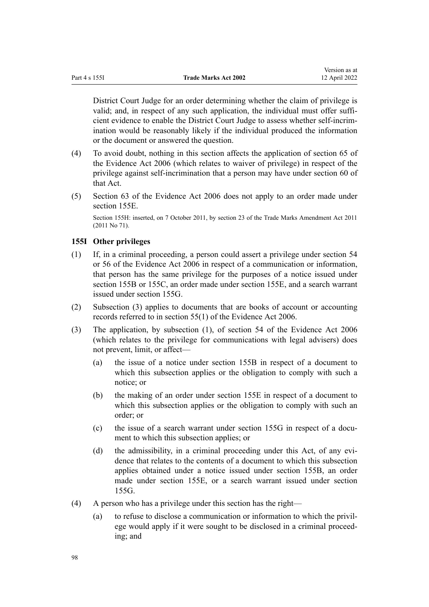District Court Judge for an order determining whether the claim of privilege is valid; and, in respect of any such application, the individual must offer sufficient evidence to enable the District Court Judge to assess whether self-incrim‐ ination would be reasonably likely if the individual produced the information or the document or answered the question.

- (4) To avoid doubt, nothing in this section affects the application of [section 65](http://legislation.govt.nz/pdflink.aspx?id=DLM393677) of the Evidence Act 2006 (which relates to waiver of privilege) in respect of the privilege against self-incrimination that a person may have under [section 60](http://legislation.govt.nz/pdflink.aspx?id=DLM393672) of that Act.
- (5) [Section 63](http://legislation.govt.nz/pdflink.aspx?id=DLM393675) of the Evidence Act 2006 does not apply to an order made under [section 155E.](#page-95-0)

Section 155H: inserted, on 7 October 2011, by [section 23](http://legislation.govt.nz/pdflink.aspx?id=DLM2290110) of the Trade Marks Amendment Act 2011 (2011 No 71).

# **155I Other privileges**

- (1) If, in a criminal proceeding, a person could assert a privilege under [section 54](http://legislation.govt.nz/pdflink.aspx?id=DLM393659) or [56](http://legislation.govt.nz/pdflink.aspx?id=DLM393663) of the Evidence Act 2006 in respect of a communication or information, that person has the same privilege for the purposes of a notice issued under [section 155B](#page-93-0) or [155C](#page-94-0), an order made under [section 155E,](#page-95-0) and a search warrant issued under [section 155G.](#page-96-0)
- (2) Subsection (3) applies to documents that are books of account or accounting records referred to in [section 55\(1\)](http://legislation.govt.nz/pdflink.aspx?id=DLM393662) of the Evidence Act 2006.
- (3) The application, by subsection (1), of section 54 of the Evidence Act 2006 (which relates to the privilege for communications with legal advisers) does not prevent, limit, or affect—
	- (a) the issue of a notice under [section 155B](#page-93-0) in respect of a document to which this subsection applies or the obligation to comply with such a notice; or
	- (b) the making of an order under [section 155E](#page-95-0) in respect of a document to which this subsection applies or the obligation to comply with such an order; or
	- (c) the issue of a search warrant under section  $155G$  in respect of a document to which this subsection applies; or
	- (d) the admissibility, in a criminal proceeding under this Act, of any evidence that relates to the contents of a document to which this subsection applies obtained under a notice issued under [section 155B](#page-93-0), an order made under [section 155E,](#page-95-0) or a search warrant issued under [section](#page-96-0) [155G.](#page-96-0)
- (4) A person who has a privilege under this section has the right—
	- (a) to refuse to disclose a communication or information to which the privil‐ ege would apply if it were sought to be disclosed in a criminal proceed‐ ing; and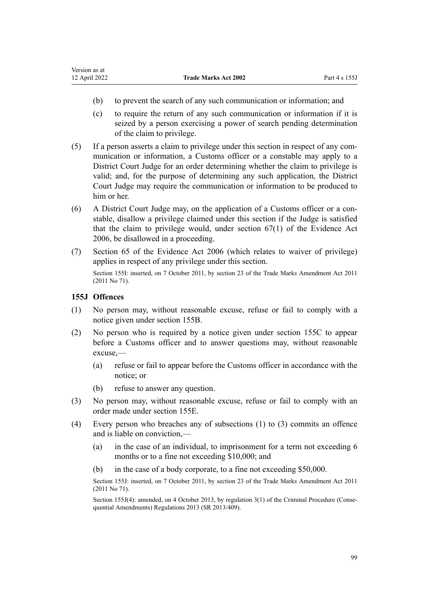- (b) to prevent the search of any such communication or information; and
- (c) to require the return of any such communication or information if it is seized by a person exercising a power of search pending determination of the claim to privilege.
- $(5)$  If a person asserts a claim to privilege under this section in respect of any communication or information, a Customs officer or a constable may apply to a District Court Judge for an order determining whether the claim to privilege is valid; and, for the purpose of determining any such application, the District Court Judge may require the communication or information to be produced to him or her.
- (6) A District Court Judge may, on the application of a Customs officer or a con‐ stable, disallow a privilege claimed under this section if the Judge is satisfied that the claim to privilege would, under [section 67\(1\)](http://legislation.govt.nz/pdflink.aspx?id=DLM393679) of the Evidence Act 2006, be disallowed in a proceeding.
- (7) [Section 65](http://legislation.govt.nz/pdflink.aspx?id=DLM393677) of the Evidence Act 2006 (which relates to waiver of privilege) applies in respect of any privilege under this section. Section 155I: inserted, on 7 October 2011, by [section 23](http://legislation.govt.nz/pdflink.aspx?id=DLM2290110) of the Trade Marks Amendment Act 2011 (2011 No 71).

# **155J Offences**

- (1) No person may, without reasonable excuse, refuse or fail to comply with a notice given under [section 155B](#page-93-0).
- (2) No person who is required by a notice given under [section 155C](#page-94-0) to appear before a Customs officer and to answer questions may, without reasonable excuse,—
	- (a) refuse or fail to appear before the Customs officer in accordance with the notice; or
	- (b) refuse to answer any question.
- (3) No person may, without reasonable excuse, refuse or fail to comply with an order made under [section 155E.](#page-95-0)
- (4) Every person who breaches any of subsections (1) to (3) commits an offence and is liable on conviction,—
	- (a) in the case of an individual, to imprisonment for a term not exceeding 6 months or to a fine not exceeding \$10,000; and
	- (b) in the case of a body corporate, to a fine not exceeding \$50,000.

Section 155J: inserted, on 7 October 2011, by [section 23](http://legislation.govt.nz/pdflink.aspx?id=DLM2290110) of the Trade Marks Amendment Act 2011 (2011 No 71).

Section 155J(4): amended, on 4 October 2013, by [regulation 3\(1\)](http://legislation.govt.nz/pdflink.aspx?id=DLM5642106) of the Criminal Procedure (Consequential Amendments) Regulations 2013 (SR 2013/409).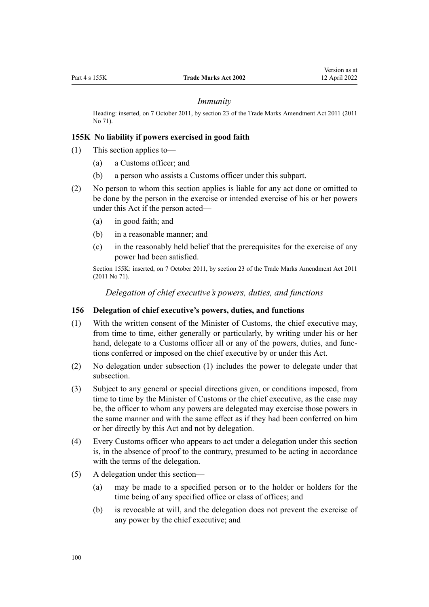#### *Immunity*

Heading: inserted, on 7 October 2011, by [section 23](http://legislation.govt.nz/pdflink.aspx?id=DLM2290110) of the Trade Marks Amendment Act 2011 (2011 No 71).

## **155K No liability if powers exercised in good faith**

- (1) This section applies to—
	- (a) a Customs officer; and
	- (b) a person who assists a Customs officer under this subpart.
- (2) No person to whom this section applies is liable for any act done or omitted to be done by the person in the exercise or intended exercise of his or her powers under this Act if the person acted—
	- (a) in good faith; and
	- (b) in a reasonable manner; and
	- (c) in the reasonably held belief that the prerequisites for the exercise of any power had been satisfied.

Section 155K: inserted, on 7 October 2011, by [section 23](http://legislation.govt.nz/pdflink.aspx?id=DLM2290110) of the Trade Marks Amendment Act 2011 (2011 No 71).

*Delegation of chief executive's powers, duties, and functions*

#### **156 Delegation of chief executive's powers, duties, and functions**

- (1) With the written consent of the Minister of Customs, the chief executive may, from time to time, either generally or particularly, by writing under his or her hand, delegate to a Customs officer all or any of the powers, duties, and functions conferred or imposed on the chief executive by or under this Act.
- (2) No delegation under subsection (1) includes the power to delegate under that subsection.
- (3) Subject to any general or special directions given, or conditions imposed, from time to time by the Minister of Customs or the chief executive, as the case may be, the officer to whom any powers are delegated may exercise those powers in the same manner and with the same effect as if they had been conferred on him or her directly by this Act and not by delegation.
- (4) Every Customs officer who appears to act under a delegation under this section is, in the absence of proof to the contrary, presumed to be acting in accordance with the terms of the delegation.
- (5) A delegation under this section—
	- (a) may be made to a specified person or to the holder or holders for the time being of any specified office or class of offices; and
	- (b) is revocable at will, and the delegation does not prevent the exercise of any power by the chief executive; and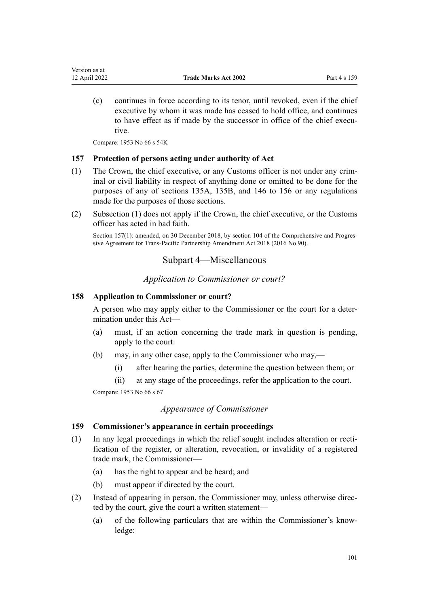(c) continues in force according to its tenor, until revoked, even if the chief executive by whom it was made has ceased to hold office, and continues to have effect as if made by the successor in office of the chief executive.

Compare: 1953 No 66 s 54K

## **157 Protection of persons acting under authority of Act**

- (1) The Crown, the chief executive, or any Customs officer is not under any crim‐ inal or civil liability in respect of anything done or omitted to be done for the purposes of any of [sections 135A](#page-83-0), [135B,](#page-83-0) and [146 to 156](#page-88-0) or any regulations made for the purposes of those sections.
- (2) Subsection (1) does not apply if the Crown, the chief executive, or the Customs officer has acted in bad faith.

Section 157(1): amended, on 30 December 2018, by [section 104](http://legislation.govt.nz/pdflink.aspx?id=DLM6838451) of the Comprehensive and Progressive Agreement for Trans-Pacific Partnership Amendment Act 2018 (2016 No 90).

# Subpart 4—Miscellaneous

*Application to Commissioner or court?*

## **158 Application to Commissioner or court?**

A person who may apply either to the Commissioner or the court for a deter‐ mination under this Act—

- (a) must, if an action concerning the trade mark in question is pending, apply to the court:
- (b) may, in any other case, apply to the Commissioner who may,—
	- (i) after hearing the parties, determine the question between them; or
	- (ii) at any stage of the proceedings, refer the application to the court.

Compare: 1953 No 66 s 67

# *Appearance of Commissioner*

#### **159 Commissioner's appearance in certain proceedings**

- $(1)$  In any legal proceedings in which the relief sought includes alteration or rectification of the register, or alteration, revocation, or invalidity of a registered trade mark, the Commissioner—
	- (a) has the right to appear and be heard; and
	- (b) must appear if directed by the court.
- (2) Instead of appearing in person, the Commissioner may, unless otherwise direc‐ ted by the court, give the court a written statement—
	- (a) of the following particulars that are within the Commissioner's know‐ ledge: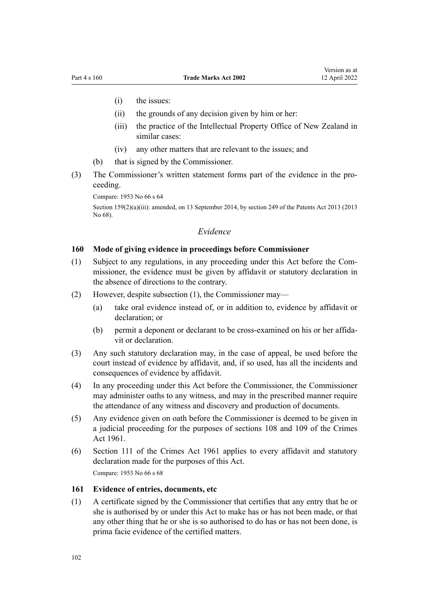- (i) the issues:
- (ii) the grounds of any decision given by him or her:
- (iii) the practice of the Intellectual Property Office of New Zealand in similar cases:
- (iv) any other matters that are relevant to the issues; and
- (b) that is signed by the Commissioner.
- (3) The Commissioner's written statement forms part of the evidence in the pro‐ ceeding.

Compare: 1953 No 66 s 64

Section 159(2)(a)(iii): amended, on 13 September 2014, by [section 249](http://legislation.govt.nz/pdflink.aspx?id=DLM1419624) of the Patents Act 2013 (2013 No 68).

# *Evidence*

## **160 Mode of giving evidence in proceedings before Commissioner**

- (1) Subject to any regulations, in any proceeding under this Act before the Com‐ missioner, the evidence must be given by affidavit or statutory declaration in the absence of directions to the contrary.
- (2) However, despite subsection (1), the Commissioner may—
	- (a) take oral evidence instead of, or in addition to, evidence by affidavit or declaration; or
	- (b) permit a deponent or declarant to be cross-examined on his or her affida‐ vit or declaration.
- (3) Any such statutory declaration may, in the case of appeal, be used before the court instead of evidence by affidavit, and, if so used, has all the incidents and consequences of evidence by affidavit.
- (4) In any proceeding under this Act before the Commissioner, the Commissioner may administer oaths to any witness, and may in the prescribed manner require the attendance of any witness and discovery and production of documents.
- (5) Any evidence given on oath before the Commissioner is deemed to be given in a judicial proceeding for the purposes of [sections 108](http://legislation.govt.nz/pdflink.aspx?id=DLM328793) and [109](http://legislation.govt.nz/pdflink.aspx?id=DLM328796) of the Crimes Act 1961.
- (6) [Section 111](http://legislation.govt.nz/pdflink.aspx?id=DLM328799) of the Crimes Act 1961 applies to every affidavit and statutory declaration made for the purposes of this Act. Compare: 1953 No 66 s 68

#### **161 Evidence of entries, documents, etc**

(1) A certificate signed by the Commissioner that certifies that any entry that he or she is authorised by or under this Act to make has or has not been made, or that any other thing that he or she is so authorised to do has or has not been done, is prima facie evidence of the certified matters.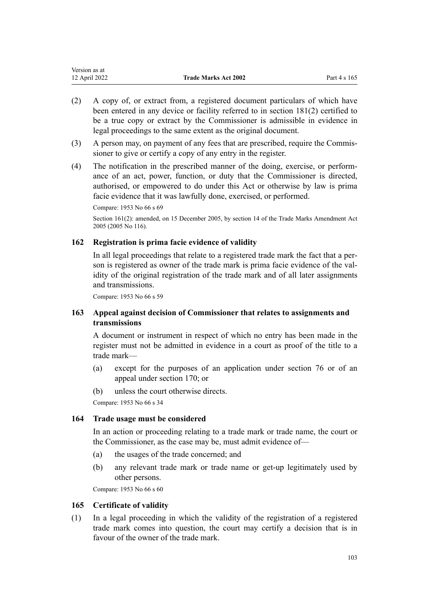| Version as at |                             |              |
|---------------|-----------------------------|--------------|
| 12 April 2022 | <b>Trade Marks Act 2002</b> | Part 4 s 165 |

- (2) A copy of, or extract from, a registered document particulars of which have been entered in any device or facility referred to in [section 181\(2\)](#page-107-0) certified to be a true copy or extract by the Commissioner is admissible in evidence in legal proceedings to the same extent as the original document.
- (3) A person may, on payment of any fees that are prescribed, require the Commis‐ sioner to give or certify a copy of any entry in the register.
- (4) The notification in the prescribed manner of the doing, exercise, or perform‐ ance of an act, power, function, or duty that the Commissioner is directed, authorised, or empowered to do under this Act or otherwise by law is prima facie evidence that it was lawfully done, exercised, or performed.

Compare: 1953 No 66 s 69

Section 161(2): amended, on 15 December 2005, by [section 14](http://legislation.govt.nz/pdflink.aspx?id=DLM362648) of the Trade Marks Amendment Act 2005 (2005 No 116).

# **162 Registration is prima facie evidence of validity**

In all legal proceedings that relate to a registered trade mark the fact that a person is registered as owner of the trade mark is prima facie evidence of the validity of the original registration of the trade mark and of all later assignments and transmissions.

Compare: 1953 No 66 s 59

# **163 Appeal against decision of Commissioner that relates to assignments and transmissions**

A document or instrument in respect of which no entry has been made in the register must not be admitted in evidence in a court as proof of the title to a trade mark—

- (a) except for the purposes of an application under [section 76](#page-44-0) or of an appeal under [section 170;](#page-104-0) or
- (b) unless the court otherwise directs.

Compare: 1953 No 66 s 34

#### **164 Trade usage must be considered**

In an action or proceeding relating to a trade mark or trade name, the court or the Commissioner, as the case may be, must admit evidence of—

- (a) the usages of the trade concerned; and
- (b) any relevant trade mark or trade name or get-up legitimately used by other persons.

Compare: 1953 No 66 s 60

#### **165 Certificate of validity**

(1) In a legal proceeding in which the validity of the registration of a registered trade mark comes into question, the court may certify a decision that is in favour of the owner of the trade mark.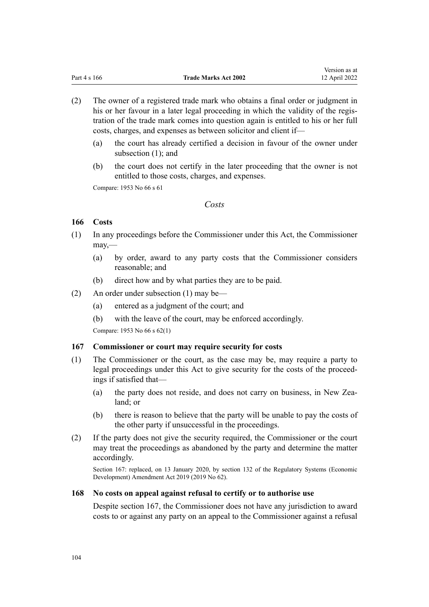Version as at

- (2) The owner of a registered trade mark who obtains a final order or judgment in his or her favour in a later legal proceeding in which the validity of the registration of the trade mark comes into question again is entitled to his or her full costs, charges, and expenses as between solicitor and client if—
	- (a) the court has already certified a decision in favour of the owner under subsection (1); and
	- (b) the court does not certify in the later proceeding that the owner is not entitled to those costs, charges, and expenses.

Compare: 1953 No 66 s 61

# *Costs*

# **166 Costs**

- (1) In any proceedings before the Commissioner under this Act, the Commissioner may,—
	- (a) by order, award to any party costs that the Commissioner considers reasonable; and
	- (b) direct how and by what parties they are to be paid.
- (2) An order under subsection (1) may be—
	- (a) entered as a judgment of the court; and
	- (b) with the leave of the court, may be enforced accordingly.

Compare: 1953 No 66 s 62(1)

# **167 Commissioner or court may require security for costs**

- (1) The Commissioner or the court, as the case may be, may require a party to legal proceedings under this Act to give security for the costs of the proceed‐ ings if satisfied that—
	- (a) the party does not reside, and does not carry on business, in New Zealand; or
	- (b) there is reason to believe that the party will be unable to pay the costs of the other party if unsuccessful in the proceedings.
- (2) If the party does not give the security required, the Commissioner or the court may treat the proceedings as abandoned by the party and determine the matter accordingly.

Section 167: replaced, on 13 January 2020, by [section 132](http://legislation.govt.nz/pdflink.aspx?id=LMS85765) of the Regulatory Systems (Economic Development) Amendment Act 2019 (2019 No 62).

# **168 No costs on appeal against refusal to certify or to authorise use**

Despite section 167, the Commissioner does not have any jurisdiction to award costs to or against any party on an appeal to the Commissioner against a refusal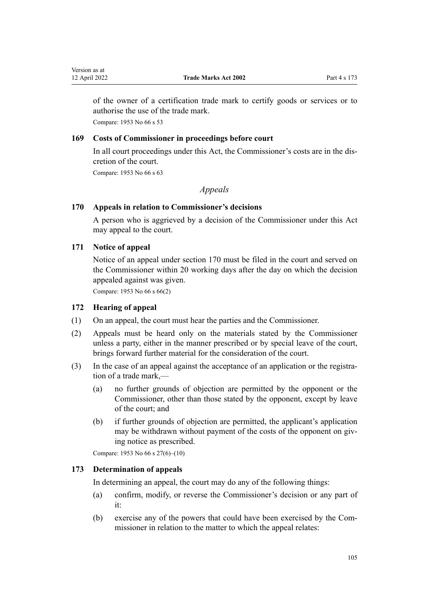<span id="page-104-0"></span>of the owner of a certification trade mark to certify goods or services or to authorise the use of the trade mark.

Compare: 1953 No 66 s 53

# **169 Costs of Commissioner in proceedings before court**

In all court proceedings under this Act, the Commissioner's costs are in the dis‐ cretion of the court.

Compare: 1953 No 66 s 63

# *Appeals*

# **170 Appeals in relation to Commissioner's decisions**

A person who is aggrieved by a decision of the Commissioner under this Act may appeal to the court.

# **171 Notice of appeal**

Notice of an appeal under section 170 must be filed in the court and served on the Commissioner within 20 working days after the day on which the decision appealed against was given.

Compare: 1953 No 66 s 66(2)

# **172 Hearing of appeal**

- (1) On an appeal, the court must hear the parties and the Commissioner.
- (2) Appeals must be heard only on the materials stated by the Commissioner unless a party, either in the manner prescribed or by special leave of the court, brings forward further material for the consideration of the court.
- (3) In the case of an appeal against the acceptance of an application or the registration of a trade mark,—
	- (a) no further grounds of objection are permitted by the opponent or the Commissioner, other than those stated by the opponent, except by leave of the court; and
	- (b) if further grounds of objection are permitted, the applicant's application may be withdrawn without payment of the costs of the opponent on giving notice as prescribed.

Compare: 1953 No 66 s 27(6)–(10)

# **173 Determination of appeals**

In determining an appeal, the court may do any of the following things:

- (a) confirm, modify, or reverse the Commissioner's decision or any part of it:
- (b) exercise any of the powers that could have been exercised by the Com‐ missioner in relation to the matter to which the appeal relates: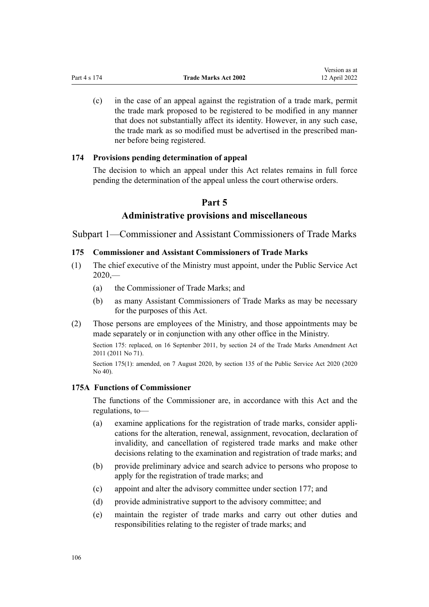(c) in the case of an appeal against the registration of a trade mark, permit the trade mark proposed to be registered to be modified in any manner that does not substantially affect its identity. However, in any such case, the trade mark as so modified must be advertised in the prescribed man‐ ner before being registered.

Version as at

# **174 Provisions pending determination of appeal**

The decision to which an appeal under this Act relates remains in full force pending the determination of the appeal unless the court otherwise orders.

# **Part 5**

# **Administrative provisions and miscellaneous**

Subpart 1—Commissioner and Assistant Commissioners of Trade Marks

# **175 Commissioner and Assistant Commissioners of Trade Marks**

- (1) The chief executive of the Ministry must appoint, under the [Public Service Act](http://legislation.govt.nz/pdflink.aspx?id=LMS106157)  $2020 2020 -$ 
	- (a) the Commissioner of Trade Marks; and
	- (b) as many Assistant Commissioners of Trade Marks as may be necessary for the purposes of this Act.
- (2) Those persons are employees of the Ministry, and those appointments may be made separately or in conjunction with any other office in the Ministry.

Section 175: replaced, on 16 September 2011, by [section 24](http://legislation.govt.nz/pdflink.aspx?id=DLM2353613) of the Trade Marks Amendment Act 2011 (2011 No 71).

Section 175(1): amended, on 7 August 2020, by [section 135](http://legislation.govt.nz/pdflink.aspx?id=LMS176959) of the Public Service Act 2020 (2020 No 40).

# **175A Functions of Commissioner**

The functions of the Commissioner are, in accordance with this Act and the regulations, to—

- (a) examine applications for the registration of trade marks, consider appli‐ cations for the alteration, renewal, assignment, revocation, declaration of invalidity, and cancellation of registered trade marks and make other decisions relating to the examination and registration of trade marks; and
- (b) provide preliminary advice and search advice to persons who propose to apply for the registration of trade marks; and
- (c) appoint and alter the advisory committee under [section 177;](#page-107-0) and
- (d) provide administrative support to the advisory committee; and
- (e) maintain the register of trade marks and carry out other duties and responsibilities relating to the register of trade marks; and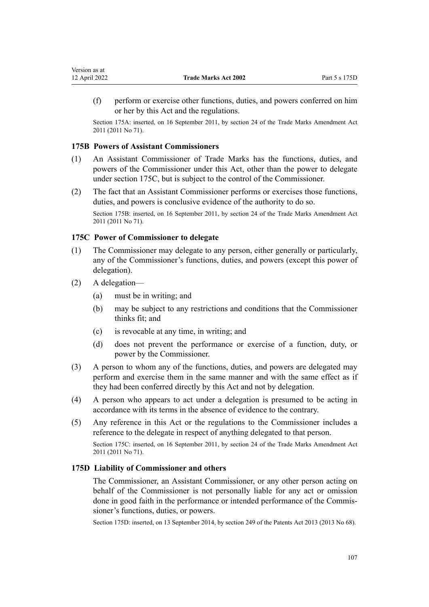(f) perform or exercise other functions, duties, and powers conferred on him or her by this Act and the regulations.

Section 175A: inserted, on 16 September 2011, by [section 24](http://legislation.govt.nz/pdflink.aspx?id=DLM2353613) of the Trade Marks Amendment Act 2011 (2011 No 71).

# **175B Powers of Assistant Commissioners**

- (1) An Assistant Commissioner of Trade Marks has the functions, duties, and powers of the Commissioner under this Act, other than the power to delegate under section 175C, but is subject to the control of the Commissioner.
- (2) The fact that an Assistant Commissioner performs or exercises those functions, duties, and powers is conclusive evidence of the authority to do so.

Section 175B: inserted, on 16 September 2011, by [section 24](http://legislation.govt.nz/pdflink.aspx?id=DLM2353613) of the Trade Marks Amendment Act 2011 (2011 No 71).

## **175C Power of Commissioner to delegate**

- (1) The Commissioner may delegate to any person, either generally or particularly, any of the Commissioner's functions, duties, and powers (except this power of delegation).
- (2) A delegation—
	- (a) must be in writing; and
	- (b) may be subject to any restrictions and conditions that the Commissioner thinks fit; and
	- (c) is revocable at any time, in writing; and
	- (d) does not prevent the performance or exercise of a function, duty, or power by the Commissioner.
- (3) A person to whom any of the functions, duties, and powers are delegated may perform and exercise them in the same manner and with the same effect as if they had been conferred directly by this Act and not by delegation.
- (4) A person who appears to act under a delegation is presumed to be acting in accordance with its terms in the absence of evidence to the contrary.
- (5) Any reference in this Act or the regulations to the Commissioner includes a reference to the delegate in respect of anything delegated to that person.

Section 175C: inserted, on 16 September 2011, by [section 24](http://legislation.govt.nz/pdflink.aspx?id=DLM2353613) of the Trade Marks Amendment Act 2011 (2011 No 71).

#### **175D Liability of Commissioner and others**

The Commissioner, an Assistant Commissioner, or any other person acting on behalf of the Commissioner is not personally liable for any act or omission done in good faith in the performance or intended performance of the Commis‐ sioner's functions, duties, or powers.

Section 175D: inserted, on 13 September 2014, by [section 249](http://legislation.govt.nz/pdflink.aspx?id=DLM1419624) of the Patents Act 2013 (2013 No 68).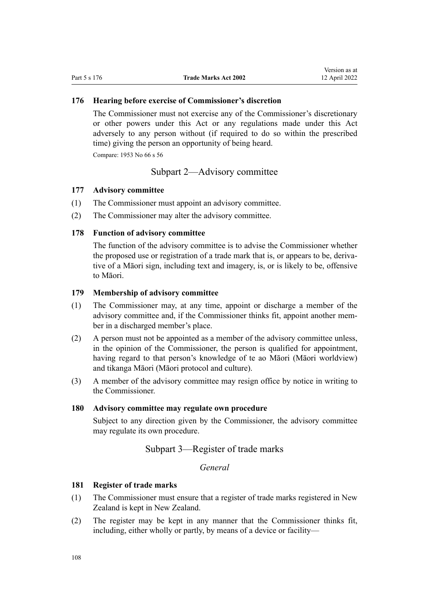## <span id="page-107-0"></span>**176 Hearing before exercise of Commissioner's discretion**

The Commissioner must not exercise any of the Commissioner's discretionary or other powers under this Act or any regulations made under this Act adversely to any person without (if required to do so within the prescribed time) giving the person an opportunity of being heard.

Compare: 1953 No 66 s 56

# Subpart 2—Advisory committee

#### **177 Advisory committee**

- (1) The Commissioner must appoint an advisory committee.
- (2) The Commissioner may alter the advisory committee.

# **178 Function of advisory committee**

The function of the advisory committee is to advise the Commissioner whether the proposed use or registration of a trade mark that is, or appears to be, derivative of a Māori sign, including text and imagery, is, or is likely to be, offensive to Māori.

## **179 Membership of advisory committee**

- (1) The Commissioner may, at any time, appoint or discharge a member of the advisory committee and, if the Commissioner thinks fit, appoint another mem‐ ber in a discharged member's place.
- (2) A person must not be appointed as a member of the advisory committee unless, in the opinion of the Commissioner, the person is qualified for appointment, having regard to that person's knowledge of te ao Māori (Māori worldview) and tikanga Māori (Māori protocol and culture).
- (3) A member of the advisory committee may resign office by notice in writing to the Commissioner.

## **180 Advisory committee may regulate own procedure**

Subject to any direction given by the Commissioner, the advisory committee may regulate its own procedure.

# Subpart 3—Register of trade marks

*General*

# **181 Register of trade marks**

- (1) The Commissioner must ensure that a register of trade marks registered in New Zealand is kept in New Zealand.
- (2) The register may be kept in any manner that the Commissioner thinks fit, including, either wholly or partly, by means of a device or facility—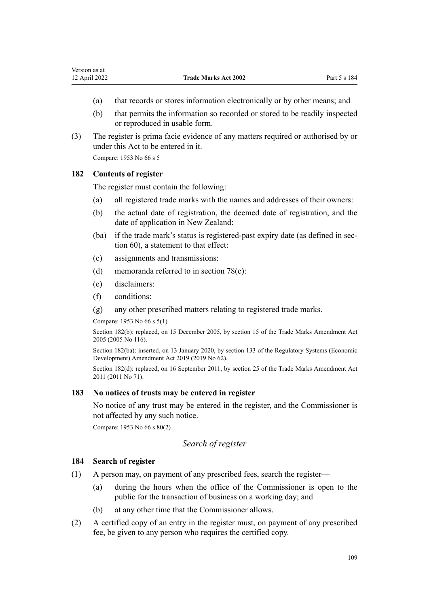- (a) that records or stores information electronically or by other means; and
- (b) that permits the information so recorded or stored to be readily inspected or reproduced in usable form.
- (3) The register is prima facie evidence of any matters required or authorised by or under this Act to be entered in it.

Compare: 1953 No 66 s 5

## **182 Contents of register**

The register must contain the following:

- (a) all registered trade marks with the names and addresses of their owners:
- (b) the actual date of registration, the deemed date of registration, and the date of application in New Zealand:
- (ba) if the trade mark's status is registered-past expiry date (as defined in sec[tion 60](#page-39-0)), a statement to that effect:
- (c) assignments and transmissions:
- (d) memoranda referred to in [section 78\(c\):](#page-44-0)
- (e) disclaimers:
- (f) conditions:
- (g) any other prescribed matters relating to registered trade marks.

Compare: 1953 No 66 s 5(1)

Section 182(b): replaced, on 15 December 2005, by [section 15](http://legislation.govt.nz/pdflink.aspx?id=DLM362649) of the Trade Marks Amendment Act 2005 (2005 No 116).

Section 182(ba): inserted, on 13 January 2020, by [section 133](http://legislation.govt.nz/pdflink.aspx?id=LMS85766) of the Regulatory Systems (Economic Development) Amendment Act 2019 (2019 No 62).

Section 182(d): replaced, on 16 September 2011, by [section 25](http://legislation.govt.nz/pdflink.aspx?id=DLM2290126) of the Trade Marks Amendment Act 2011 (2011 No 71).

## **183 No notices of trusts may be entered in register**

No notice of any trust may be entered in the register, and the Commissioner is not affected by any such notice.

Compare: 1953 No 66 s 80(2)

## *Search of register*

### **184 Search of register**

- (1) A person may, on payment of any prescribed fees, search the register—
	- (a) during the hours when the office of the Commissioner is open to the public for the transaction of business on a working day; and
	- (b) at any other time that the Commissioner allows.
- (2) A certified copy of an entry in the register must, on payment of any prescribed fee, be given to any person who requires the certified copy.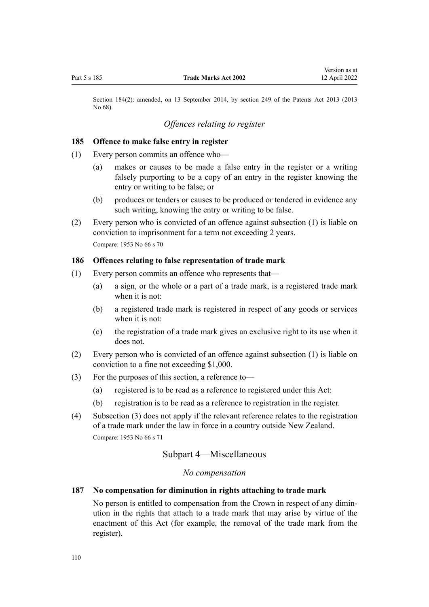Section 184(2): amended, on 13 September 2014, by [section 249](http://legislation.govt.nz/pdflink.aspx?id=DLM1419624) of the Patents Act 2013 (2013 No 68).

## *Offences relating to register*

#### **185 Offence to make false entry in register**

- (1) Every person commits an offence who—
	- (a) makes or causes to be made a false entry in the register or a writing falsely purporting to be a copy of an entry in the register knowing the entry or writing to be false; or
	- (b) produces or tenders or causes to be produced or tendered in evidence any such writing, knowing the entry or writing to be false.
- (2) Every person who is convicted of an offence against subsection (1) is liable on conviction to imprisonment for a term not exceeding 2 years. Compare: 1953 No 66 s 70

#### **186 Offences relating to false representation of trade mark**

- (1) Every person commits an offence who represents that—
	- (a) a sign, or the whole or a part of a trade mark, is a registered trade mark when it is not:
	- (b) a registered trade mark is registered in respect of any goods or services when it is not:
	- (c) the registration of a trade mark gives an exclusive right to its use when it does not.
- (2) Every person who is convicted of an offence against subsection (1) is liable on conviction to a fine not exceeding \$1,000.
- (3) For the purposes of this section, a reference to—
	- (a) registered is to be read as a reference to registered under this Act:
	- (b) registration is to be read as a reference to registration in the register.
- (4) Subsection (3) does not apply if the relevant reference relates to the registration of a trade mark under the law in force in a country outside New Zealand. Compare: 1953 No 66 s 71

## Subpart 4—Miscellaneous

### *No compensation*

#### **187 No compensation for diminution in rights attaching to trade mark**

No person is entitled to compensation from the Crown in respect of any dimin‐ ution in the rights that attach to a trade mark that may arise by virtue of the enactment of this Act (for example, the removal of the trade mark from the register).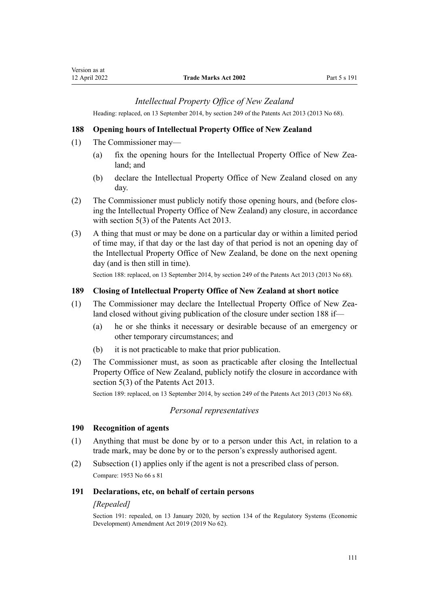## *Intellectual Property Office of New Zealand*

Heading: replaced, on 13 September 2014, by [section 249](http://legislation.govt.nz/pdflink.aspx?id=DLM1419624) of the Patents Act 2013 (2013 No 68).

### **188 Opening hours of Intellectual Property Office of New Zealand**

- (1) The Commissioner may—
	- (a) fix the opening hours for the Intellectual Property Office of New Zealand; and
	- (b) declare the Intellectual Property Office of New Zealand closed on any day.
- (2) The Commissioner must publicly notify those opening hours, and (before clos‐ ing the Intellectual Property Office of New Zealand) any closure, in accordance with [section 5\(3\)](http://legislation.govt.nz/pdflink.aspx?id=DLM1419053) of the Patents Act 2013.
- (3) A thing that must or may be done on a particular day or within a limited period of time may, if that day or the last day of that period is not an opening day of the Intellectual Property Office of New Zealand, be done on the next opening day (and is then still in time).

Section 188: replaced, on 13 September 2014, by [section 249](http://legislation.govt.nz/pdflink.aspx?id=DLM1419624) of the Patents Act 2013 (2013 No 68).

#### **189 Closing of Intellectual Property Office of New Zealand at short notice**

- (1) The Commissioner may declare the Intellectual Property Office of New Zealand closed without giving publication of the closure under section 188 if—
	- (a) he or she thinks it necessary or desirable because of an emergency or other temporary circumstances; and
	- (b) it is not practicable to make that prior publication.
- (2) The Commissioner must, as soon as practicable after closing the Intellectual Property Office of New Zealand, publicly notify the closure in accordance with [section 5\(3\)](http://legislation.govt.nz/pdflink.aspx?id=DLM1419053) of the Patents Act 2013.

Section 189: replaced, on 13 September 2014, by [section 249](http://legislation.govt.nz/pdflink.aspx?id=DLM1419624) of the Patents Act 2013 (2013 No 68).

#### *Personal representatives*

#### **190 Recognition of agents**

- (1) Anything that must be done by or to a person under this Act, in relation to a trade mark, may be done by or to the person's expressly authorised agent.
- (2) Subsection (1) applies only if the agent is not a prescribed class of person. Compare: 1953 No 66 s 81

#### **191 Declarations, etc, on behalf of certain persons**

#### *[Repealed]*

Section 191: repealed, on 13 January 2020, by [section 134](http://legislation.govt.nz/pdflink.aspx?id=LMS85767) of the Regulatory Systems (Economic Development) Amendment Act 2019 (2019 No 62).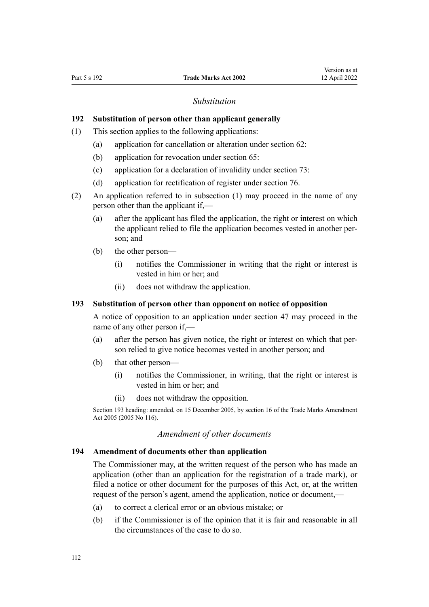#### *Substitution*

#### **192 Substitution of person other than applicant generally**

- (1) This section applies to the following applications:
	- (a) application for cancellation or alteration under [section 62:](#page-39-0)
	- (b) application for revocation under [section 65:](#page-40-0)
	- (c) application for a declaration of invalidity under [section 73:](#page-43-0)
	- (d) application for rectification of register under [section 76.](#page-44-0)
- (2) An application referred to in subsection (1) may proceed in the name of any person other than the applicant if,—
	- (a) after the applicant has filed the application, the right or interest on which the applicant relied to file the application becomes vested in another per‐ son; and
	- (b) the other person—
		- (i) notifies the Commissioner in writing that the right or interest is vested in him or her; and
		- (ii) does not withdraw the application.

#### **193 Substitution of person other than opponent on notice of opposition**

A notice of opposition to an application under [section 47](#page-34-0) may proceed in the name of any other person if,—

- (a) after the person has given notice, the right or interest on which that per‐ son relied to give notice becomes vested in another person; and
- (b) that other person—
	- (i) notifies the Commissioner, in writing, that the right or interest is vested in him or her; and
	- (ii) does not withdraw the opposition.

Section 193 heading: amended, on 15 December 2005, by [section 16](http://legislation.govt.nz/pdflink.aspx?id=DLM362650) of the Trade Marks Amendment Act 2005 (2005 No 116).

#### *Amendment of other documents*

#### **194 Amendment of documents other than application**

The Commissioner may, at the written request of the person who has made an application (other than an application for the registration of a trade mark), or filed a notice or other document for the purposes of this Act, or, at the written request of the person's agent, amend the application, notice or document,—

- (a) to correct a clerical error or an obvious mistake; or
- (b) if the Commissioner is of the opinion that it is fair and reasonable in all the circumstances of the case to do so.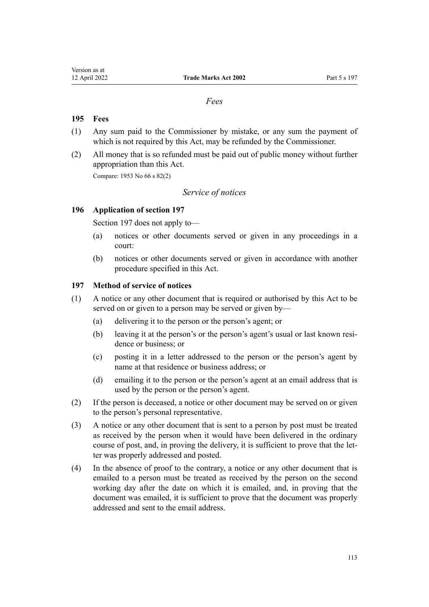### *Fees*

## **195 Fees**

- (1) Any sum paid to the Commissioner by mistake, or any sum the payment of which is not required by this Act, may be refunded by the Commissioner.
- (2) All money that is so refunded must be paid out of public money without further appropriation than this Act.

Compare: 1953 No 66 s 82(2)

## *Service of notices*

#### **196 Application of section 197**

Section 197 does not apply to—

- (a) notices or other documents served or given in any proceedings in a court:
- (b) notices or other documents served or given in accordance with another procedure specified in this Act.

#### **197 Method of service of notices**

- (1) A notice or any other document that is required or authorised by this Act to be served on or given to a person may be served or given by—
	- (a) delivering it to the person or the person's agent; or
	- (b) leaving it at the person's or the person's agent's usual or last known residence or business; or
	- (c) posting it in a letter addressed to the person or the person's agent by name at that residence or business address; or
	- (d) emailing it to the person or the person's agent at an email address that is used by the person or the person's agent.
- (2) If the person is deceased, a notice or other document may be served on or given to the person's personal representative.
- (3) A notice or any other document that is sent to a person by post must be treated as received by the person when it would have been delivered in the ordinary course of post, and, in proving the delivery, it is sufficient to prove that the letter was properly addressed and posted.
- (4) In the absence of proof to the contrary, a notice or any other document that is emailed to a person must be treated as received by the person on the second working day after the date on which it is emailed, and, in proving that the document was emailed, it is sufficient to prove that the document was properly addressed and sent to the email address.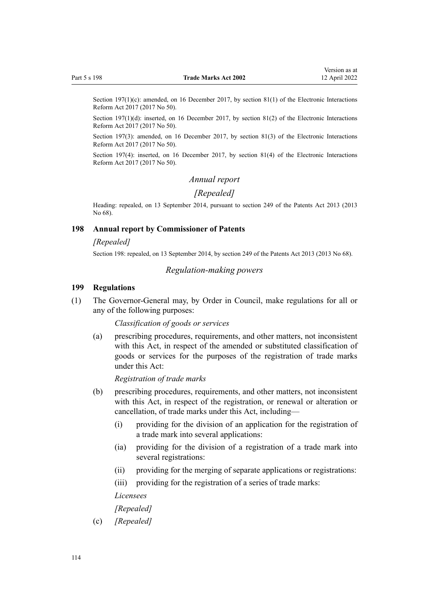Section 197(1)(c): amended, on 16 December 2017, by [section 81\(1\)](http://legislation.govt.nz/pdflink.aspx?id=DLM6962244) of the Electronic Interactions Reform Act 2017 (2017 No 50).

Section 197(1)(d): inserted, on 16 December 2017, by [section 81\(2\)](http://legislation.govt.nz/pdflink.aspx?id=DLM6962244) of the Electronic Interactions Reform Act 2017 (2017 No 50).

Section 197(3): amended, on 16 December 2017, by [section 81\(3\)](http://legislation.govt.nz/pdflink.aspx?id=DLM6962244) of the Electronic Interactions Reform Act 2017 (2017 No 50).

Section 197(4): inserted, on 16 December 2017, by [section 81\(4\)](http://legislation.govt.nz/pdflink.aspx?id=DLM6962244) of the Electronic Interactions Reform Act 2017 (2017 No 50).

#### *Annual report*

## *[Repealed]*

Heading: repealed, on 13 September 2014, pursuant to [section 249](http://legislation.govt.nz/pdflink.aspx?id=DLM1419624) of the Patents Act 2013 (2013 No 68).

#### **198 Annual report by Commissioner of Patents**

#### *[Repealed]*

Section 198: repealed, on 13 September 2014, by [section 249](http://legislation.govt.nz/pdflink.aspx?id=DLM1419624) of the Patents Act 2013 (2013 No 68).

#### *Regulation-making powers*

#### **199 Regulations**

(1) The Governor-General may, by Order in Council, make regulations for all or any of the following purposes:

*Classification of goods or services*

(a) prescribing procedures, requirements, and other matters, not inconsistent with this Act, in respect of the amended or substituted classification of goods or services for the purposes of the registration of trade marks under this Act:

*Registration of trade marks*

- (b) prescribing procedures, requirements, and other matters, not inconsistent with this Act, in respect of the registration, or renewal or alteration or cancellation, of trade marks under this Act, including—
	- (i) providing for the division of an application for the registration of a trade mark into several applications:
	- (ia) providing for the division of a registration of a trade mark into several registrations:
	- (ii) providing for the merging of separate applications or registrations:
	- (iii) providing for the registration of a series of trade marks:

*Licensees*

#### *[Repealed]*

(c) *[Repealed]*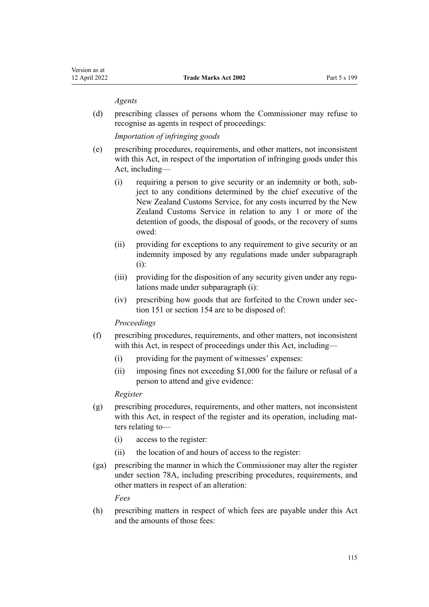#### *Agents*

(d) prescribing classes of persons whom the Commissioner may refuse to recognise as agents in respect of proceedings:

*Importation of infringing goods*

- (e) prescribing procedures, requirements, and other matters, not inconsistent with this Act, in respect of the importation of infringing goods under this Act, including—
	- (i) requiring a person to give security or an indemnity or both, sub‐ ject to any conditions determined by the chief executive of the New Zealand Customs Service, for any costs incurred by the New Zealand Customs Service in relation to any 1 or more of the detention of goods, the disposal of goods, or the recovery of sums owed:
	- (ii) providing for exceptions to any requirement to give security or an indemnity imposed by any regulations made under subparagraph (i):
	- (iii) providing for the disposition of any security given under any regulations made under subparagraph (i):
	- (iv) prescribing how goods that are forfeited to the Crown under sec[tion 151](#page-90-0) or [section 154](#page-91-0) are to be disposed of:

#### *Proceedings*

- (f) prescribing procedures, requirements, and other matters, not inconsistent with this Act, in respect of proceedings under this Act, including—
	- (i) providing for the payment of witnesses' expenses:
	- (ii) imposing fines not exceeding \$1,000 for the failure or refusal of a person to attend and give evidence:

## *Register*

- (g) prescribing procedures, requirements, and other matters, not inconsistent with this Act, in respect of the register and its operation, including matters relating to—
	- (i) access to the register:
	- (ii) the location of and hours of access to the register:
- (ga) prescribing the manner in which the Commissioner may alter the register under [section 78A,](#page-45-0) including prescribing procedures, requirements, and other matters in respect of an alteration:

*Fees*

(h) prescribing matters in respect of which fees are payable under this Act and the amounts of those fees: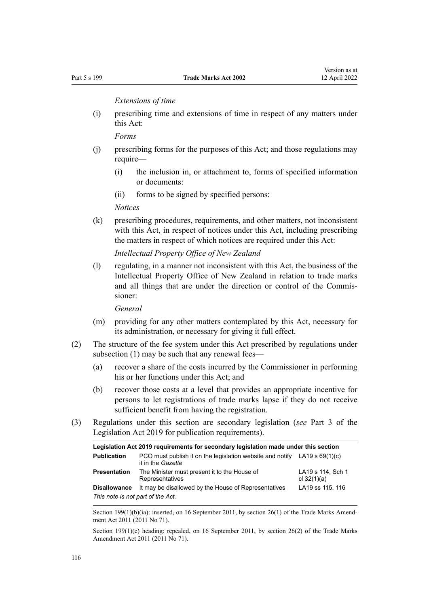*Extensions of time*

(i) prescribing time and extensions of time in respect of any matters under this Act:

*Forms*

- (j) prescribing forms for the purposes of this Act; and those regulations may require—
	- (i) the inclusion in, or attachment to, forms of specified information or documents:
	- (ii) forms to be signed by specified persons:

*Notices*

(k) prescribing procedures, requirements, and other matters, not inconsistent with this Act, in respect of notices under this Act, including prescribing the matters in respect of which notices are required under this Act:

*Intellectual Property Office of New Zealand*

(l) regulating, in a manner not inconsistent with this Act, the business of the Intellectual Property Office of New Zealand in relation to trade marks and all things that are under the direction or control of the Commissioner:

*General*

- (m) providing for any other matters contemplated by this Act, necessary for its administration, or necessary for giving it full effect.
- (2) The structure of the fee system under this Act prescribed by regulations under subsection (1) may be such that any renewal fees—
	- (a) recover a share of the costs incurred by the Commissioner in performing his or her functions under this Act; and
	- (b) recover those costs at a level that provides an appropriate incentive for persons to let registrations of trade marks lapse if they do not receive sufficient benefit from having the registration.
- (3) Regulations under this section are secondary legislation (*see* [Part 3](http://legislation.govt.nz/pdflink.aspx?id=DLM7298343) of the Legislation Act 2019 for publication requirements).

| Legislation Act 2019 requirements for secondary legislation made under this section |                                                                                                  |                                    |  |  |
|-------------------------------------------------------------------------------------|--------------------------------------------------------------------------------------------------|------------------------------------|--|--|
| <b>Publication</b>                                                                  | PCO must publish it on the legislation website and notify LA19 s $69(1)(c)$<br>it in the Gazette |                                    |  |  |
| <b>Presentation</b>                                                                 | The Minister must present it to the House of<br>Representatives                                  | LA19 s 114, Sch 1<br>cl $32(1)(a)$ |  |  |
| <b>Disallowance</b>                                                                 | It may be disallowed by the House of Representatives                                             | LA19 ss 115, 116                   |  |  |
| This note is not part of the Act.                                                   |                                                                                                  |                                    |  |  |

Section 199(1)(b)(ia): inserted, on 16 September 2011, by [section 26\(1\)](http://legislation.govt.nz/pdflink.aspx?id=DLM2290127) of the Trade Marks Amendment Act 2011 (2011 No 71).

Section 199(1)(c) heading: repealed, on 16 September 2011, by [section 26\(2\)](http://legislation.govt.nz/pdflink.aspx?id=DLM2290127) of the Trade Marks Amendment Act 2011 (2011 No 71).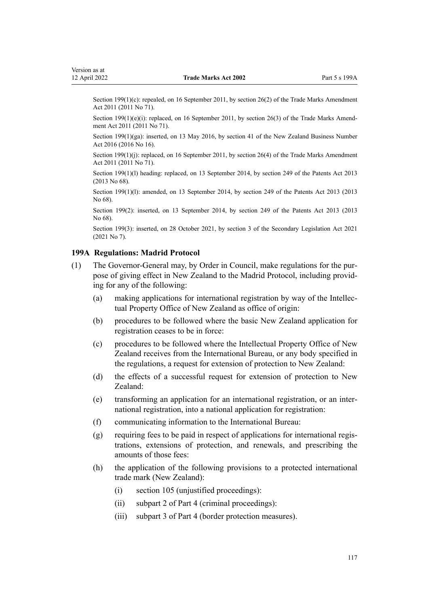Section 199(1)(c): repealed, on 16 September 2011, by [section 26\(2\)](http://legislation.govt.nz/pdflink.aspx?id=DLM2290127) of the Trade Marks Amendment Act 2011 (2011 No 71).

Section 199(1)(e)(i): replaced, on 16 September 2011, by [section 26\(3\)](http://legislation.govt.nz/pdflink.aspx?id=DLM2290127) of the Trade Marks Amendment Act 2011 (2011 No 71).

Section 199(1)(ga): inserted, on 13 May 2016, by [section 41](http://legislation.govt.nz/pdflink.aspx?id=DLM6431601) of the New Zealand Business Number Act 2016 (2016 No 16).

Section 199(1)(j): replaced, on 16 September 2011, by [section 26\(4\)](http://legislation.govt.nz/pdflink.aspx?id=DLM2290127) of the Trade Marks Amendment Act 2011 (2011 No 71).

Section 199(1)(l) heading: replaced, on 13 September 2014, by [section 249](http://legislation.govt.nz/pdflink.aspx?id=DLM1419624) of the Patents Act 2013 (2013 No 68).

Section 199(1)(l): amended, on 13 September 2014, by [section 249](http://legislation.govt.nz/pdflink.aspx?id=DLM1419624) of the Patents Act 2013 (2013 No 68).

Section 199(2): inserted, on 13 September 2014, by [section 249](http://legislation.govt.nz/pdflink.aspx?id=DLM1419624) of the Patents Act 2013 (2013 No 68).

Section 199(3): inserted, on 28 October 2021, by [section 3](http://legislation.govt.nz/pdflink.aspx?id=LMS268932) of the Secondary Legislation Act 2021 (2021 No 7).

#### **199A Regulations: Madrid Protocol**

- (1) The Governor-General may, by Order in Council, make regulations for the pur‐ pose of giving effect in New Zealand to the Madrid Protocol, including provid‐ ing for any of the following:
	- (a) making applications for international registration by way of the Intellec‐ tual Property Office of New Zealand as office of origin:
	- (b) procedures to be followed where the basic New Zealand application for registration ceases to be in force:
	- (c) procedures to be followed where the Intellectual Property Office of New Zealand receives from the International Bureau, or any body specified in the regulations, a request for extension of protection to New Zealand:
	- (d) the effects of a successful request for extension of protection to New Zealand:
	- (e) transforming an application for an international registration, or an inter‐ national registration, into a national application for registration:
	- (f) communicating information to the International Bureau:
	- (g) requiring fees to be paid in respect of applications for international regis‐ trations, extensions of protection, and renewals, and prescribing the amounts of those fees:
	- (h) the application of the following provisions to a protected international trade mark (New Zealand):
		- (i) [section 105](#page-54-0) (unjustified proceedings):
		- (ii) [subpart 2](#page-58-0) of Part 4 (criminal proceedings):
		- (iii) [subpart 3](#page-81-0) of Part 4 (border protection measures).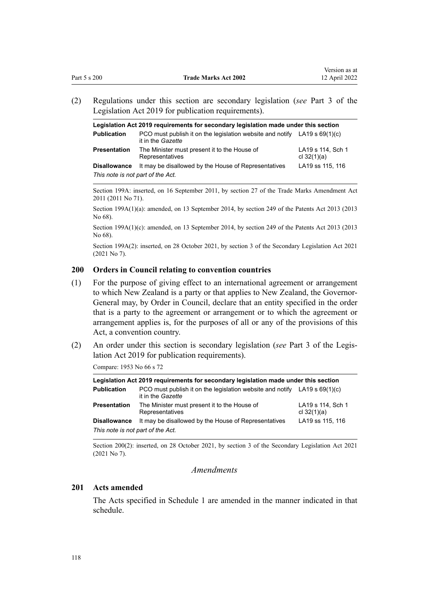<span id="page-117-0"></span>(2) Regulations under this section are secondary legislation (*see* [Part 3](http://legislation.govt.nz/pdflink.aspx?id=DLM7298343) of the Legislation Act 2019 for publication requirements).

| Legislation Act 2019 requirements for secondary legislation made under this section |                                                                                                                  |                                    |  |  |
|-------------------------------------------------------------------------------------|------------------------------------------------------------------------------------------------------------------|------------------------------------|--|--|
| <b>Publication</b>                                                                  | PCO must publish it on the legislation website and notify $LA19 \text{ s } 69(1)(c)$<br>it in the <i>Gazette</i> |                                    |  |  |
| <b>Presentation</b>                                                                 | The Minister must present it to the House of<br>Representatives                                                  | LA19 s 114, Sch 1<br>cl $32(1)(a)$ |  |  |
| <b>Disallowance</b>                                                                 | It may be disallowed by the House of Representatives                                                             | LA19 ss 115, 116                   |  |  |
| This note is not part of the Act.                                                   |                                                                                                                  |                                    |  |  |

Section 199A: inserted, on 16 September 2011, by [section 27](http://legislation.govt.nz/pdflink.aspx?id=DLM2290128) of the Trade Marks Amendment Act 2011 (2011 No 71).

Section 199A(1)(a): amended, on 13 September 2014, by [section 249](http://legislation.govt.nz/pdflink.aspx?id=DLM1419624) of the Patents Act 2013 (2013 No 68).

Section 199A(1)(c): amended, on 13 September 2014, by [section 249](http://legislation.govt.nz/pdflink.aspx?id=DLM1419624) of the Patents Act 2013 (2013) No 68).

Section 199A(2): inserted, on 28 October 2021, by [section 3](http://legislation.govt.nz/pdflink.aspx?id=LMS268932) of the Secondary Legislation Act 2021 (2021 No 7).

#### **200 Orders in Council relating to convention countries**

- (1) For the purpose of giving effect to an international agreement or arrangement to which New Zealand is a party or that applies to New Zealand, the Governor-General may, by Order in Council, declare that an entity specified in the order that is a party to the agreement or arrangement or to which the agreement or arrangement applies is, for the purposes of all or any of the provisions of this Act, a convention country.
- (2) An order under this section is secondary legislation (*see* [Part 3](http://legislation.govt.nz/pdflink.aspx?id=DLM7298343) of the Legis‐ lation Act 2019 for publication requirements).

Compare: 1953 No 66 s 72

| Legislation Act 2019 reguirements for secondary legislation made under this section |                                                                                                  |                                    |  |  |
|-------------------------------------------------------------------------------------|--------------------------------------------------------------------------------------------------|------------------------------------|--|--|
| <b>Publication</b>                                                                  | PCO must publish it on the legislation website and notify LA19 s $69(1)(c)$<br>it in the Gazette |                                    |  |  |
| Presentation                                                                        | The Minister must present it to the House of<br>Representatives                                  | LA19 s 114, Sch 1<br>cl $32(1)(a)$ |  |  |
| <b>Disallowance</b>                                                                 | It may be disallowed by the House of Representatives                                             | LA19 ss 115, 116                   |  |  |
| This note is not part of the Act.                                                   |                                                                                                  |                                    |  |  |

Section 200(2): inserted, on 28 October 2021, by [section 3](http://legislation.govt.nz/pdflink.aspx?id=LMS268932) of the Secondary Legislation Act 2021 (2021 No 7).

*Amendments*

#### **201 Acts amended**

The Acts specified in [Schedule 1](#page-122-0) are amended in the manner indicated in that schedule.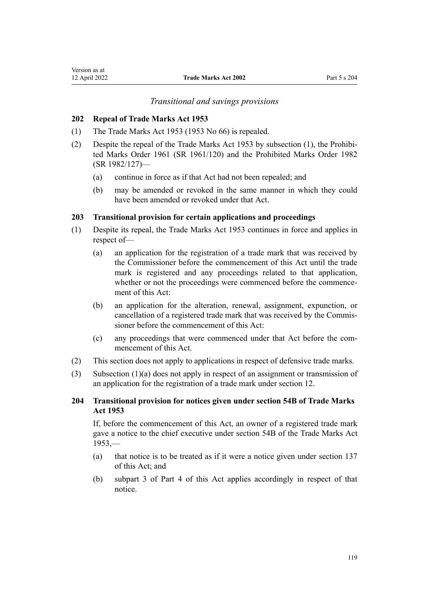### *Transitional and savings provisions*

## **202 Repeal of Trade Marks Act 1953**

- (1) The Trade Marks Act 1953 (1953 No 66) is repealed.
- (2) Despite the repeal of the Trade Marks Act 1953 by subsection (1), the [Prohibi‐](http://legislation.govt.nz/pdflink.aspx?id=DLM15734) [ted Marks Order 1961](http://legislation.govt.nz/pdflink.aspx?id=DLM15734) (SR 1961/120) and the [Prohibited Marks Order 1982](http://legislation.govt.nz/pdflink.aspx?id=DLM82309) (SR 1982/127)—
	- (a) continue in force as if that Act had not been repealed; and
	- (b) may be amended or revoked in the same manner in which they could have been amended or revoked under that Act.

## **203 Transitional provision for certain applications and proceedings**

- (1) Despite its repeal, the Trade Marks Act 1953 continues in force and applies in respect of—
	- (a) an application for the registration of a trade mark that was received by the Commissioner before the commencement of this Act until the trade mark is registered and any proceedings related to that application, whether or not the proceedings were commenced before the commencement of this Act:
	- (b) an application for the alteration, renewal, assignment, expunction, or cancellation of a registered trade mark that was received by the Commis‐ sioner before the commencement of this Act:
	- (c) any proceedings that were commenced under that Act before the com‐ mencement of this Act.
- (2) This section does not apply to applications in respect of defensive trade marks.
- (3) Subsection (1)(a) does not apply in respect of an assignment or transmission of an application for the registration of a trade mark under [section 12](#page-22-0).

## **204 Transitional provision for notices given under section 54B of Trade Marks Act 1953**

If, before the commencement of this Act, an owner of a registered trade mark gave a notice to the chief executive under section 54B of the Trade Marks Act  $1953$ , $-$ 

- (a) that notice is to be treated as if it were a notice given under [section 137](#page-84-0) of this Act; and
- (b) subpart 3 of [Part 4](#page-48-0) of this Act applies accordingly in respect of that notice.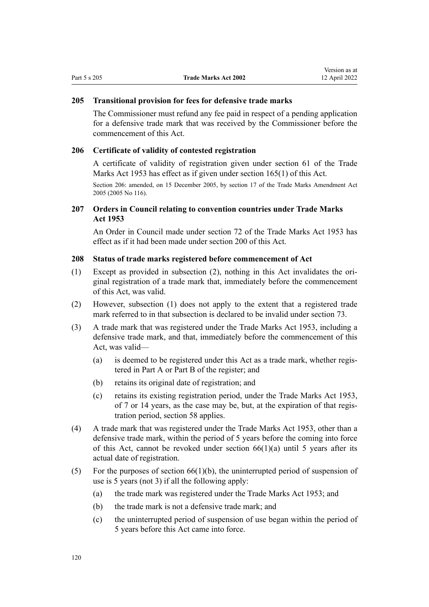#### **205 Transitional provision for fees for defensive trade marks**

The Commissioner must refund any fee paid in respect of a pending application for a defensive trade mark that was received by the Commissioner before the commencement of this Act.

#### **206 Certificate of validity of contested registration**

A certificate of validity of registration given under section 61 of the Trade Marks Act 1953 has effect as if given under [section 165\(1\)](#page-102-0) of this Act.

Section 206: amended, on 15 December 2005, by [section 17](http://legislation.govt.nz/pdflink.aspx?id=DLM362651) of the Trade Marks Amendment Act 2005 (2005 No 116).

## **207 Orders in Council relating to convention countries under Trade Marks Act 1953**

An Order in Council made under section 72 of the Trade Marks Act 1953 has effect as if it had been made under [section 200](#page-117-0) of this Act.

## **208 Status of trade marks registered before commencement of Act**

- (1) Except as provided in subsection (2), nothing in this Act invalidates the ori‐ ginal registration of a trade mark that, immediately before the commencement of this Act, was valid.
- (2) However, subsection (1) does not apply to the extent that a registered trade mark referred to in that subsection is declared to be invalid under [section 73.](#page-43-0)
- (3) A trade mark that was registered under the Trade Marks Act 1953, including a defensive trade mark, and that, immediately before the commencement of this Act, was valid—
	- (a) is deemed to be registered under this Act as a trade mark, whether regis‐ tered in Part A or Part B of the register; and
	- (b) retains its original date of registration; and
	- (c) retains its existing registration period, under the Trade Marks Act 1953, of 7 or 14 years, as the case may be, but, at the expiration of that regis‐ tration period, [section 58](#page-38-0) applies.
- (4) A trade mark that was registered under the Trade Marks Act 1953, other than a defensive trade mark, within the period of 5 years before the coming into force of this Act, cannot be revoked under section  $66(1)(a)$  until 5 years after its actual date of registration.
- (5) For the purposes of section  $66(1)(b)$ , the uninterrupted period of suspension of use is 5 years (not 3) if all the following apply:
	- (a) the trade mark was registered under the Trade Marks Act 1953; and
	- (b) the trade mark is not a defensive trade mark; and
	- (c) the uninterrupted period of suspension of use began within the period of 5 years before this Act came into force.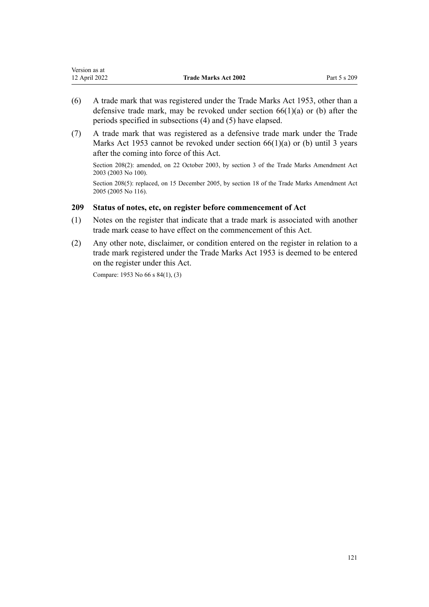| Version as at |                             |              |
|---------------|-----------------------------|--------------|
| 12 April 2022 | <b>Trade Marks Act 2002</b> | Part 5 s 209 |

- (6) A trade mark that was registered under the Trade Marks Act 1953, other than a defensive trade mark, may be revoked under [section 66\(1\)\(a\) or \(b\)](#page-40-0) after the periods specified in subsections (4) and (5) have elapsed.
- (7) A trade mark that was registered as a defensive trade mark under the Trade Marks Act 1953 cannot be revoked under section  $66(1)(a)$  or (b) until 3 years after the coming into force of this Act.

Section 208(2): amended, on 22 October 2003, by [section 3](http://legislation.govt.nz/pdflink.aspx?id=DLM218849) of the Trade Marks Amendment Act 2003 (2003 No 100).

Section 208(5): replaced, on 15 December 2005, by [section 18](http://legislation.govt.nz/pdflink.aspx?id=DLM362652) of the Trade Marks Amendment Act 2005 (2005 No 116).

### **209 Status of notes, etc, on register before commencement of Act**

- (1) Notes on the register that indicate that a trade mark is associated with another trade mark cease to have effect on the commencement of this Act.
- (2) Any other note, disclaimer, or condition entered on the register in relation to a trade mark registered under the Trade Marks Act 1953 is deemed to be entered on the register under this Act.

Compare: 1953 No 66 s 84(1), (3)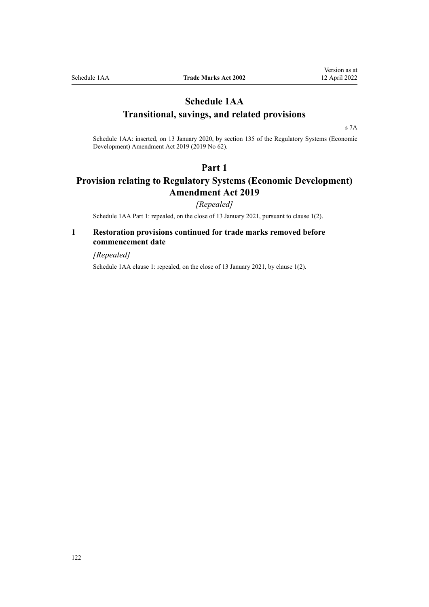## <span id="page-121-0"></span>**Schedule 1AA Transitional, savings, and related provisions**

[s 7A](#page-21-0)

Schedule 1AA: inserted, on 13 January 2020, by [section 135](http://legislation.govt.nz/pdflink.aspx?id=LMS85768) of the Regulatory Systems (Economic Development) Amendment Act 2019 (2019 No 62).

## **Part 1**

# **Provision relating to Regulatory Systems (Economic Development) Amendment Act 2019**

*[Repealed]*

Schedule 1AA Part 1: repealed, on the close of 13 January 2021, pursuant to clause 1(2).

## **1 Restoration provisions continued for trade marks removed before commencement date**

*[Repealed]*

Schedule 1AA clause 1: repealed, on the close of 13 January 2021, by clause 1(2).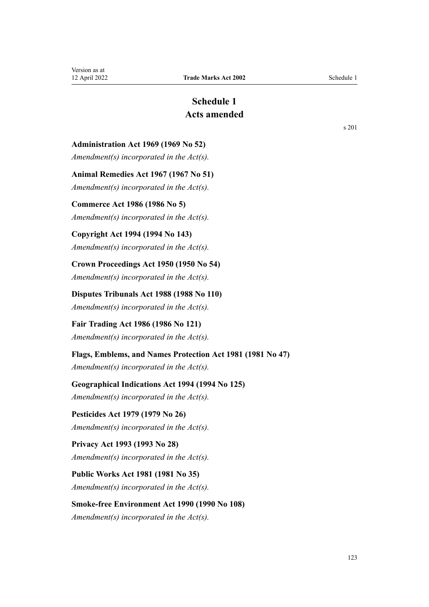# **Schedule 1 Acts amended**

<span id="page-122-0"></span>**Administration Act 1969 (1969 No 52)**

*Amendment(s) incorporated in the [Act\(s\).](http://legislation.govt.nz/pdflink.aspx?id=DLM392629)*

**Animal Remedies Act 1967 (1967 No 51)**

*Amendment(s) incorporated in the Act(s).*

## **Commerce Act 1986 (1986 No 5)**

*Amendment(s) incorporated in the [Act\(s\).](http://legislation.govt.nz/pdflink.aspx?id=DLM88410)*

## **Copyright Act 1994 (1994 No 143)**

*Amendment(s) incorporated in the [Act\(s\).](http://legislation.govt.nz/pdflink.aspx?id=DLM346602)*

**Crown Proceedings Act 1950 (1950 No 54)** *Amendment(s) incorporated in the [Act\(s\).](http://legislation.govt.nz/pdflink.aspx?id=DLM261925)*

**Disputes Tribunals Act 1988 (1988 No 110)** *Amendment(s) incorporated in the [Act\(s\).](http://legislation.govt.nz/pdflink.aspx?id=DLM133292)*

**Fair Trading Act 1986 (1986 No 121)** *Amendment(s) incorporated in the [Act\(s\).](http://legislation.govt.nz/pdflink.aspx?id=DLM96923)*

## **Flags, Emblems, and Names Protection Act 1981 (1981 No 47)**

*Amendment(s) incorporated in the [Act\(s\).](http://legislation.govt.nz/pdflink.aspx?id=DLM51363)*

## **Geographical Indications Act 1994 (1994 No 125)**

*Amendment(s) incorporated in the [Act\(s\).](http://legislation.govt.nz/pdflink.aspx?id=DLM345232)*

**Pesticides Act 1979 (1979 No 26)** *Amendment(s) incorporated in the Act(s).*

## **Privacy Act 1993 (1993 No 28)** *Amendment(s) incorporated in the [Act\(s\).](http://legislation.govt.nz/pdflink.aspx?id=DLM298477)*

**Public Works Act 1981 (1981 No 35)** *Amendment(s) incorporated in the [Act\(s\).](http://legislation.govt.nz/pdflink.aspx?id=DLM45426)*

# **Smoke-free Environment Act 1990 (1990 No 108)**

*Amendment(s) incorporated in the [Act\(s\).](http://legislation.govt.nz/pdflink.aspx?id=DLM223905)*

[s 201](#page-117-0)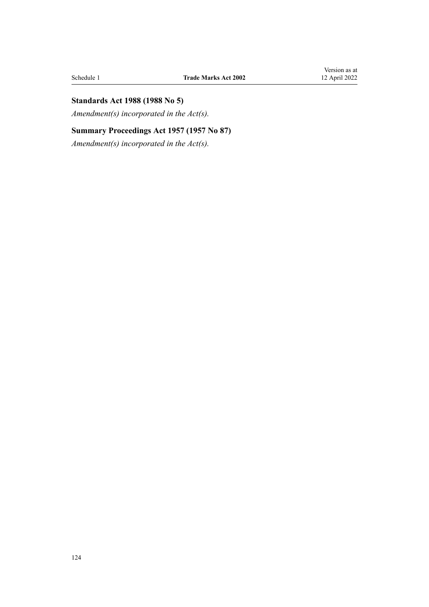## **Standards Act 1988 (1988 No 5)**

*Amendment(s) incorporated in the [Act\(s\).](http://legislation.govt.nz/pdflink.aspx?id=DLM128701)*

## **Summary Proceedings Act 1957 (1957 No 87)**

*Amendment(s) incorporated in the [Act\(s\).](http://legislation.govt.nz/pdflink.aspx?id=DLM310742)*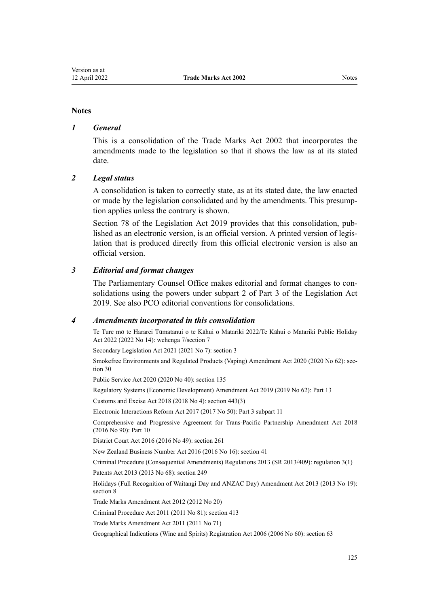#### **Notes**

### *1 General*

This is a consolidation of the Trade Marks Act 2002 that incorporates the amendments made to the legislation so that it shows the law as at its stated date.

### *2 Legal status*

A consolidation is taken to correctly state, as at its stated date, the law enacted or made by the legislation consolidated and by the amendments. This presump‐ tion applies unless the contrary is shown.

[Section 78](http://legislation.govt.nz/pdflink.aspx?id=DLM7298365) of the Legislation Act 2019 provides that this consolidation, published as an electronic version, is an official version. A printed version of legis‐ lation that is produced directly from this official electronic version is also an official version.

### *3 Editorial and format changes*

The Parliamentary Counsel Office makes editorial and format changes to consolidations using the powers under [subpart 2](http://legislation.govt.nz/pdflink.aspx?id=DLM7298371) of Part 3 of the Legislation Act 2019. See also [PCO editorial conventions for consolidations](http://www.pco.govt.nz/editorial-conventions/).

### *4 Amendments incorporated in this consolidation*

Te Ture mō te Hararei Tūmatanui o te Kāhui o Matariki 2022/Te Kāhui o Matariki Public Holiday Act 2022 (2022 No 14): [wehenga 7/](http://legislation.govt.nz/pdflink.aspx?id=LMS557838)[section 7](http://legislation.govt.nz/pdflink.aspx?id=LMS557848)

Secondary Legislation Act 2021 (2021 No 7): [section 3](http://legislation.govt.nz/pdflink.aspx?id=LMS268932)

Smokefree Environments and Regulated Products (Vaping) Amendment Act 2020 (2020 No 62): [sec‐](http://legislation.govt.nz/pdflink.aspx?id=LMS314081) [tion 30](http://legislation.govt.nz/pdflink.aspx?id=LMS314081)

Public Service Act 2020 (2020 No 40): [section 135](http://legislation.govt.nz/pdflink.aspx?id=LMS176959)

Regulatory Systems (Economic Development) Amendment Act 2019 (2019 No 62): [Part 13](http://legislation.govt.nz/pdflink.aspx?id=LMS85770)

Customs and Excise Act 2018 (2018 No 4): [section 443\(3\)](http://legislation.govt.nz/pdflink.aspx?id=DLM7039957)

Electronic Interactions Reform Act 2017 (2017 No 50): Part 3 [subpart 11](http://legislation.govt.nz/pdflink.aspx?id=DLM6962237)

Comprehensive and Progressive Agreement for Trans-Pacific Partnership Amendment Act 2018 (2016 No 90): [Part 10](http://legislation.govt.nz/pdflink.aspx?id=DLM6838425)

District Court Act 2016 (2016 No 49): [section 261](http://legislation.govt.nz/pdflink.aspx?id=DLM6942680)

New Zealand Business Number Act 2016 (2016 No 16): [section 41](http://legislation.govt.nz/pdflink.aspx?id=DLM6431601)

Criminal Procedure (Consequential Amendments) Regulations 2013 (SR 2013/409): [regulation 3\(1\)](http://legislation.govt.nz/pdflink.aspx?id=DLM5642106)

Patents Act 2013 (2013 No 68): [section 249](http://legislation.govt.nz/pdflink.aspx?id=DLM1419624)

Holidays (Full Recognition of Waitangi Day and ANZAC Day) Amendment Act 2013 (2013 No 19): [section 8](http://legislation.govt.nz/pdflink.aspx?id=DLM4929207)

[Trade Marks Amendment Act 2012](http://legislation.govt.nz/pdflink.aspx?id=DLM4015202) (2012 No 20)

Criminal Procedure Act 2011 (2011 No 81): [section 413](http://legislation.govt.nz/pdflink.aspx?id=DLM3360714)

[Trade Marks Amendment Act 2011](http://legislation.govt.nz/pdflink.aspx?id=DLM2290000) (2011 No 71)

Geographical Indications (Wine and Spirits) Registration Act 2006 (2006 No 60): [section 63](http://legislation.govt.nz/pdflink.aspx?id=DLM390893)